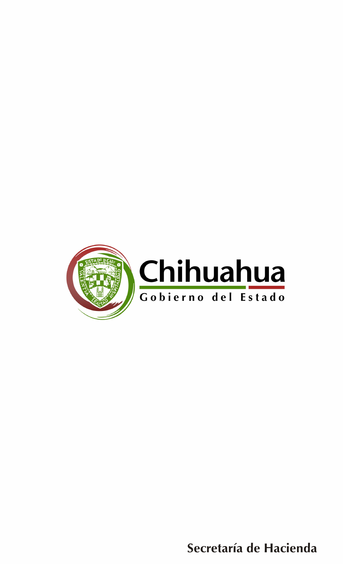

Secretaría de Hacienda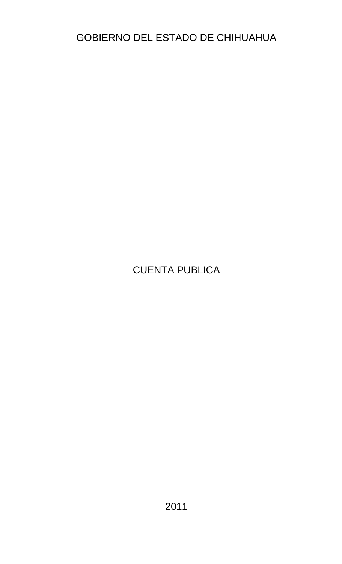## GOBIERNO DEL ESTADO DE CHIHUAHUA

## CUENTA PUBLICA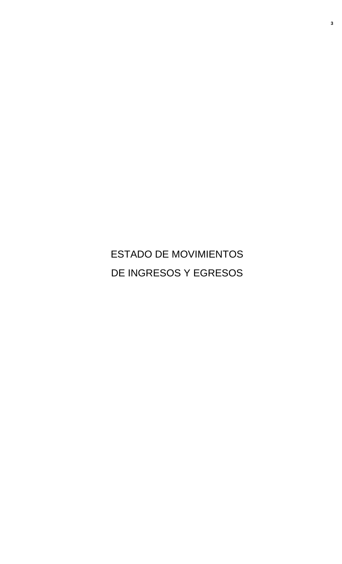ESTADO DE MOVIMIENTOS DE INGRESOS Y EGRESOS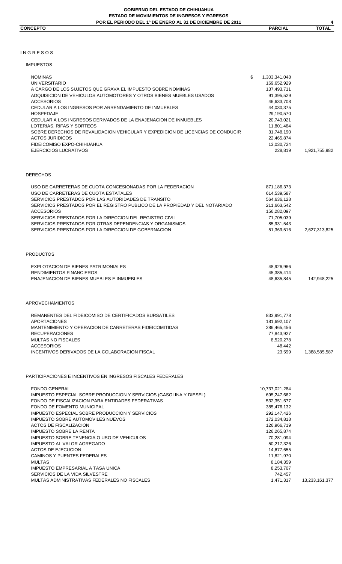**4**

#### I N G R E S O S

## IMPUESTOS

| IMPUESTOS                                                                                                                                                                                                                                                                                                                                                                                                                                                                                                                                                                             |                                                                                                                                                                                                                        |                |
|---------------------------------------------------------------------------------------------------------------------------------------------------------------------------------------------------------------------------------------------------------------------------------------------------------------------------------------------------------------------------------------------------------------------------------------------------------------------------------------------------------------------------------------------------------------------------------------|------------------------------------------------------------------------------------------------------------------------------------------------------------------------------------------------------------------------|----------------|
| <b>NOMINAS</b><br><b>UNIVERSITARIO</b><br>A CARGO DE LOS SUJETOS QUE GRAVA EL IMPUESTO SOBRE NOMINAS<br>ADQUISICION DE VEHICULOS AUTOMOTORES Y OTROS BIENES MUEBLES USADOS<br><b>ACCESORIOS</b><br>CEDULAR A LOS INGRESOS POR ARRENDAMIENTO DE INMUEBLES<br><b>HOSPEDAJE</b><br>CEDULAR A LOS INGRESOS DERIVADOS DE LA ENAJENACION DE INMUEBLES<br>LOTERIAS, RIFAS Y SORTEOS<br>SOBRE DERECHOS DE REVALIDACION VEHICULAR Y EXPEDICION DE LICENCIAS DE CONDUCIR<br><b>ACTOS JURIDICOS</b><br>FIDEICOMISO EXPO-CHIHUAHUA<br>EJERCICIOS LUCRATIVOS                                       | \$<br>1,303,341,048<br>169,652,929<br>137,493,711<br>91,395,529<br>46,633,708<br>44,030,375<br>29,190,570<br>20,743,021<br>11,801,484<br>31,748,190<br>22,465,874<br>13,030,724<br>228,819                             | 1,921,755,982  |
| DERECHOS                                                                                                                                                                                                                                                                                                                                                                                                                                                                                                                                                                              |                                                                                                                                                                                                                        |                |
| USO DE CARRETERAS DE CUOTA CONCESIONADAS POR LA FEDERACION<br>USO DE CARRETERAS DE CUOTA ESTATALES<br>SERVICIOS PRESTADOS POR LAS AUTORIDADES DE TRANSITO<br>SERVICIOS PRESTADOS POR EL REGISTRO PUBLICO DE LA PROPIEDAD Y DEL NOTARIADO<br><b>ACCESORIOS</b><br>SERVICIOS PRESTADOS POR LA DIRECCION DEL REGISTRO CIVIL<br>SERVICIOS PRESTADOS POR OTRAS DEPENDENCIAS Y ORGANISMOS<br>SERVICIOS PRESTADOS POR LA DIRECCION DE GOBERNACION                                                                                                                                            | 871,186,373<br>614,539,587<br>564,636,128<br>211,663,542<br>156,282,097<br>71,705,039<br>85,931,543<br>51,369,516                                                                                                      | 2,627,313,825  |
| PRODUCTOS                                                                                                                                                                                                                                                                                                                                                                                                                                                                                                                                                                             |                                                                                                                                                                                                                        |                |
| EXPLOTACION DE BIENES PATRIMONIALES<br>RENDIMIENTOS FINANCIEROS<br>ENAJENACION DE BIENES MUEBLES E INMUEBLES                                                                                                                                                                                                                                                                                                                                                                                                                                                                          | 48,926,966<br>45,385,414<br>48,635,845                                                                                                                                                                                 | 142,948,225    |
| APROVECHAMIENTOS                                                                                                                                                                                                                                                                                                                                                                                                                                                                                                                                                                      |                                                                                                                                                                                                                        |                |
| REMANENTES DEL FIDEICOMISO DE CERTIFICADOS BURSATILES<br><b>APORTACIONES</b><br>MANTENIMIENTO Y OPERACION DE CARRETERAS FIDEICOMITIDAS<br><b>RECUPERACIONES</b><br><b>MULTAS NO FISCALES</b><br><b>ACCESORIOS</b><br>INCENTIVOS DERIVADOS DE LA COLABORACION FISCAL                                                                                                                                                                                                                                                                                                                   | 833,991,778<br>181,692,107<br>286,465,456<br>77,843,927<br>8,520,278<br>48,442<br>23,599                                                                                                                               | 1,388,585,587  |
| PARTICIPACIONES E INCENTIVOS EN INGRESOS FISCALES FEDERALES                                                                                                                                                                                                                                                                                                                                                                                                                                                                                                                           |                                                                                                                                                                                                                        |                |
| <b>FONDO GENERAL</b><br>IMPUESTO ESPECIAL SOBRE PRODUCCION Y SERVICIOS (GASOLINA Y DIESEL)<br>FONDO DE FISCALIZACION PARA ENTIDADES FEDERATIVAS<br>FONDO DE FOMENTO MUNICIPAL<br>IMPUESTO ESPECIAL SOBRE PRODUCCION Y SERVICIOS<br><b>IMPUESTO SOBRE AUTOMOVILES NUEVOS</b><br><b>ACTOS DE FISCALIZACION</b><br><b>IMPUESTO SOBRE LA RENTA</b><br>IMPUESTO SOBRE TENENCIA O USO DE VEHICULOS<br><b>IMPUESTO AL VALOR AGREGADO</b><br><b>ACTOS DE EJECUCION</b><br>CAMINOS Y PUENTES FEDERALES<br><b>MULTAS</b><br>IMPUESTO EMPRESARIAL A TASA UNICA<br>SERVICIOS DE LA VIDA SILVESTRE | 10,737,021,284<br>695,247,662<br>532, 351, 577<br>385,476,132<br>292,147,426<br>172,034,818<br>126,966,719<br>126,265,874<br>70,281,094<br>50,217,326<br>14,677,655<br>11,821,970<br>8,184,359<br>8,253,707<br>742,457 |                |
| MULTAS ADMINISTRATIVAS FEDERALES NO FISCALES                                                                                                                                                                                                                                                                                                                                                                                                                                                                                                                                          | 1,471,317                                                                                                                                                                                                              | 13,233,161,377 |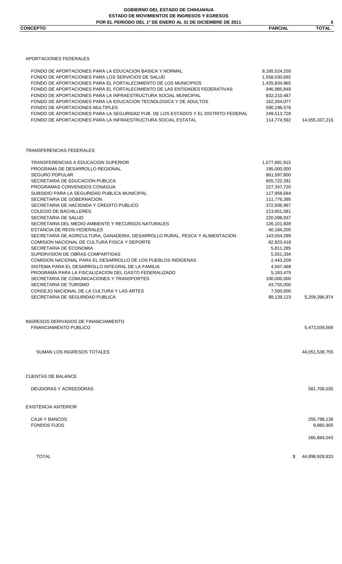#### **GOBIERNO DEL ESTADO DE CHIHUAHUA ESTADO DE MOVIMIENTOS DE INGRESOS Y EGRESOS POR EL PERIODO DEL 1º DE ENERO AL 31 DE DICIEMBRE DE 2011**

 $\frac{5}{\text{TOTAL}}$ **CONCEPTO PARCIAL TOTAL** 

APORTACIONES FEDERALES

| FONDO DE APORTACIONES PARA LA EDUCACION BASICA Y NORMAL<br>FONDO DE APORTACIONES PARA LOS SERVICIOS DE SALUD<br>FONDO DE APORTACIONES PARA EL FORTALECIMIENTO DE LOS MUNICIPIOS<br>FONDO DE APORTACIONES PARA EL FORTALECIMIENTO DE LAS ENTIDADES FEDERATIVAS<br>FONDO DE APORTACIONES PARA LA INFRAESTRUCTURA SOCIAL MUNICIPAL<br>FONDO DE APORTACIONES PARA LA EDUCACION TECNOLOGICA Y DE ADULTOS<br>FONDO DE APORTACIONES MULTIPLES | 8,165,524,250<br>1,558,030,692<br>1,435,834,965<br>946,985,849<br>832,210,487<br>162,264,077<br>590,198,576 |                          |
|----------------------------------------------------------------------------------------------------------------------------------------------------------------------------------------------------------------------------------------------------------------------------------------------------------------------------------------------------------------------------------------------------------------------------------------|-------------------------------------------------------------------------------------------------------------|--------------------------|
| FONDO DE APORTACIONES PARA LA SEGURIDAD PUB. DE LOS ESTADOS Y EL DISTRITO FEDERAL<br>FONDO DE APORTACIONES PARA LA INFRAESTRUCTURA SOCIAL ESTATAL                                                                                                                                                                                                                                                                                      | 249,513,728<br>114,774,592                                                                                  | 14,055,337,216           |
| TRANSFERENCIAS FEDERALES                                                                                                                                                                                                                                                                                                                                                                                                               |                                                                                                             |                          |
| TRANSFERENCIAS A EDUCACION SUPERIOR                                                                                                                                                                                                                                                                                                                                                                                                    | 1,577,691,915                                                                                               |                          |
| PROGRAMA DE DESARROLLO REGIONAL                                                                                                                                                                                                                                                                                                                                                                                                        | 195,000,000                                                                                                 |                          |
| <b>SEGURO POPULAR</b>                                                                                                                                                                                                                                                                                                                                                                                                                  | 861,597,800                                                                                                 |                          |
| SECRETARIA DE EDUCACION PUBLICA                                                                                                                                                                                                                                                                                                                                                                                                        | 655,722,291                                                                                                 |                          |
| PROGRAMAS CONVENIDOS CONAGUA                                                                                                                                                                                                                                                                                                                                                                                                           | 227,347,720                                                                                                 |                          |
| SUBSIDIO PARA LA SEGURIDAD PUBLICA MUNICIPAL                                                                                                                                                                                                                                                                                                                                                                                           | 117,958,684                                                                                                 |                          |
| SECRETARIA DE GOBERNACION                                                                                                                                                                                                                                                                                                                                                                                                              | 111,776,395                                                                                                 |                          |
| SECRETARIA DE HACIENDA Y CREDITO PUBLICO                                                                                                                                                                                                                                                                                                                                                                                               | 372,936,997                                                                                                 |                          |
| <b>COLEGIO DE BACHILLERES</b>                                                                                                                                                                                                                                                                                                                                                                                                          | 213,651,581                                                                                                 |                          |
| SECRETARIA DE SALUD                                                                                                                                                                                                                                                                                                                                                                                                                    | 220,098,937                                                                                                 |                          |
| SECRETARIA DEL MEDIO AMBIENTE Y RECURSOS NATURALES                                                                                                                                                                                                                                                                                                                                                                                     | 126,101,839                                                                                                 |                          |
| ESTANCIA DE REOS FEDERALES                                                                                                                                                                                                                                                                                                                                                                                                             | 40,184,200                                                                                                  |                          |
| SECRETARIA DE AGRICULTURA, GANADERIA, DESARROLLO RURAL, PESCA Y ALIMENTACION                                                                                                                                                                                                                                                                                                                                                           | 143,554,299                                                                                                 |                          |
| COMISION NACIONAL DE CULTURA FISICA Y DEPORTE                                                                                                                                                                                                                                                                                                                                                                                          | 82,823,418                                                                                                  |                          |
| SECRETARIA DE ECONOMIA                                                                                                                                                                                                                                                                                                                                                                                                                 | 5,811,285                                                                                                   |                          |
| SUPERVISION DE OBRAS COMPARTIDAS                                                                                                                                                                                                                                                                                                                                                                                                       | 5,551,334                                                                                                   |                          |
| COMISION NACIONAL PARA EL DESARROLLO DE LOS PUEBLOS INDIGENAS                                                                                                                                                                                                                                                                                                                                                                          | 2,443,209                                                                                                   |                          |
| SISTEMA PARA EL DESARROLLO INTEGRAL DE LA FAMILIA                                                                                                                                                                                                                                                                                                                                                                                      | 4,567,468                                                                                                   |                          |
| PROGRAMA PARA LA FISCALIZACION DEL GASTO FEDERALIZADO                                                                                                                                                                                                                                                                                                                                                                                  | 5,183,479                                                                                                   |                          |
| SECRETARIA DE COMUNICACIONES Y TRANSPORTES                                                                                                                                                                                                                                                                                                                                                                                             | 100,000,000                                                                                                 |                          |
| SECRETARIA DE TURISMO                                                                                                                                                                                                                                                                                                                                                                                                                  | 43,755,000                                                                                                  |                          |
| CONSEJO NACIONAL DE LA CULTURA Y LAS ARTES                                                                                                                                                                                                                                                                                                                                                                                             | 7,500,000                                                                                                   |                          |
| SECRETARIA DE SEGURIDAD PUBLICA                                                                                                                                                                                                                                                                                                                                                                                                        | 88,139,123                                                                                                  | 5,209,396,974            |
| INGRESOS DERIVADOS DE FINANCIAMIENTO                                                                                                                                                                                                                                                                                                                                                                                                   |                                                                                                             |                          |
| <b>FINANCIAMIENTO PUBLICO</b>                                                                                                                                                                                                                                                                                                                                                                                                          |                                                                                                             | 5,473,039,569            |
| SUMAN LOS INGRESOS TOTALES                                                                                                                                                                                                                                                                                                                                                                                                             |                                                                                                             | 44,051,538,755           |
| <b>CUENTAS DE BALANCE</b>                                                                                                                                                                                                                                                                                                                                                                                                              |                                                                                                             |                          |
| DEUDORAS Y ACREEDORAS                                                                                                                                                                                                                                                                                                                                                                                                                  |                                                                                                             | 581,706,035              |
| EXISTENCIA ANTERIOR                                                                                                                                                                                                                                                                                                                                                                                                                    |                                                                                                             |                          |
| CAJA Y BANCOS<br><b>FONDOS FIJOS</b>                                                                                                                                                                                                                                                                                                                                                                                                   |                                                                                                             | 255,798,138<br>9,885,905 |

265,684,043

TOTAL \$ 44,898,928,833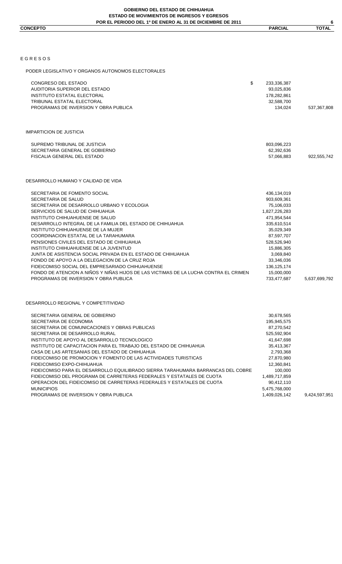|                 | <b>E DICIEMBRE DE 2011</b><br><b>POR EL</b><br><b>1º DE ENERO</b><br><b>PERIODO DEL</b><br>31 DE<br>ΔI |                |              |
|-----------------|--------------------------------------------------------------------------------------------------------|----------------|--------------|
| <b>CONCEPTO</b> |                                                                                                        | <b>PARCIAL</b> | <b>TOTAL</b> |
|                 |                                                                                                        |                |              |

| EGRESOS                                                                                                                                                                                                                                                                                                                                                                                                                                                                                                                                                                                                                                                                                                          |                                                                                                                                                                                                                           |               |
|------------------------------------------------------------------------------------------------------------------------------------------------------------------------------------------------------------------------------------------------------------------------------------------------------------------------------------------------------------------------------------------------------------------------------------------------------------------------------------------------------------------------------------------------------------------------------------------------------------------------------------------------------------------------------------------------------------------|---------------------------------------------------------------------------------------------------------------------------------------------------------------------------------------------------------------------------|---------------|
| PODER LEGISLATIVO Y ORGANOS AUTONOMOS ELECTORALES                                                                                                                                                                                                                                                                                                                                                                                                                                                                                                                                                                                                                                                                |                                                                                                                                                                                                                           |               |
| \$<br>CONGRESO DEL ESTADO<br>AUDITORIA SUPERIOR DEL ESTADO<br><b>INSTITUTO ESTATAL ELECTORAL</b><br>TRIBUNAL ESTATAL ELECTORAL<br>PROGRAMAS DE INVERSION Y OBRA PUBLICA                                                                                                                                                                                                                                                                                                                                                                                                                                                                                                                                          | 233,336,387<br>93,025,836<br>178,282,861<br>32,588,700<br>134,024                                                                                                                                                         | 537,367,808   |
| <b>IMPARTICION DE JUSTICIA</b>                                                                                                                                                                                                                                                                                                                                                                                                                                                                                                                                                                                                                                                                                   |                                                                                                                                                                                                                           |               |
| SUPREMO TRIBUNAL DE JUSTICIA<br>SECRETARIA GENERAL DE GOBIERNO<br>FISCALIA GENERAL DEL ESTADO                                                                                                                                                                                                                                                                                                                                                                                                                                                                                                                                                                                                                    | 803,096,223<br>62,392,636<br>57,066,883                                                                                                                                                                                   | 922,555,742   |
| DESARROLLO HUMANO Y CALIDAD DE VIDA                                                                                                                                                                                                                                                                                                                                                                                                                                                                                                                                                                                                                                                                              |                                                                                                                                                                                                                           |               |
| SECRETARIA DE FOMENTO SOCIAL<br>SECRETARIA DE SALUD<br>SECRETARIA DE DESARROLLO URBANO Y ECOLOGIA<br>SERVICIOS DE SALUD DE CHIHUAHUA<br>INSTITUTO CHIHUAHUENSE DE SALUD<br>DESARROLLO INTEGRAL DE LA FAMILIA DEL ESTADO DE CHIHUAHUA<br>INSTITUTO CHIHUAHUENSE DE LA MUJER<br>COORDINACION ESTATAL DE LA TARAHUMARA<br>PENSIONES CIVILES DEL ESTADO DE CHIHUAHUA<br>INSTITUTO CHIHUAHUENSE DE LA JUVENTUD<br>JUNTA DE ASISTENCIA SOCIAL PRIVADA EN EL ESTADO DE CHIHUAHUA<br>FONDO DE APOYO A LA DELEGACION DE LA CRUZ ROJA<br>FIDEICOMISO SOCIAL DEL EMPRESARIADO CHIHUAHUENSE<br>FONDO DE ATENCION A NIÑOS Y NIÑAS HIJOS DE LAS VICTIMAS DE LA LUCHA CONTRA EL CRIMEN<br>PROGRAMAS DE INVERSION Y OBRA PUBLICA | 436,134,019<br>903,609,361<br>75,106,033<br>1,827,226,283<br>471,954,544<br>335,610,514<br>35,029,349<br>87,597,707<br>528,526,940<br>15,886,305<br>3,069,840<br>33,346,036<br>136, 125, 174<br>15,000,000<br>733,477,687 | 5,637,699,792 |
| DESARROLLO REGIONAL Y COMPETITIVIDAD                                                                                                                                                                                                                                                                                                                                                                                                                                                                                                                                                                                                                                                                             |                                                                                                                                                                                                                           |               |
| SECRETARIA GENERAL DE GOBIERNO<br>SECRETARIA DE ECONOMIA<br>SECRETARIA DE COMUNICACIONES Y OBRAS PUBLICAS<br>SECRETARIA DE DESARROLLO RURAL<br>INSTITUTO DE APOYO AL DESARROLLO TECNOLOGICO<br>INSTITUTO DE CAPACITACION PARA EL TRABAJO DEL ESTADO DE CHIHUAHUA<br>CASA DE LAS ARTESANIAS DEL ESTADO DE CHIHUAHUA<br>FIDEICOMISO DE PROMOCION Y FOMENTO DE LAS ACTIVIDADES TURISTICAS<br>FIDEICOMISO EXPO-CHIHUAHUA<br>FIDEICOMISO PARA EL DESARROLLO EQUILIBRADO SIERRA TARAHUMARA BARRANCAS DEL COBRE<br>FIDEICOMISO DEL PROGRAMA DE CARRETERAS FEDERALES Y ESTATALES DE CUOTA<br>OPERACION DEL FIDEICOMISO DE CARRETERAS FEDERALES Y ESTATALES DE CUOTA<br><b>MUNICIPIOS</b>                                 | 30,678,565<br>195,945,575<br>87,270,542<br>525,592,904<br>41,647,698<br>35,413,367<br>2,793,368<br>27,870,980<br>12,360,841<br>100,000<br>1,489,717,859<br>90,412,110<br>5,475,768,000                                    |               |

PROGRAMAS DE INVERSION Y OBRA PUBLICA 1,409,026,142 9,424,597,951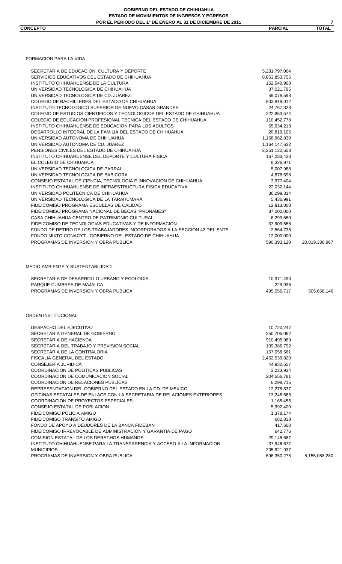$\frac{7}{\text{DTAL}}$ 

|                                                                                                                  | 5,231,797,004                        |                |
|------------------------------------------------------------------------------------------------------------------|--------------------------------------|----------------|
| SERVICIOS EDUCATIVOS DEL ESTADO DE CHIHUAHUA                                                                     | 8,053,853,755                        |                |
| INSTITUTO CHIHUAHUENSE DE LA CULTURA                                                                             | 152,540,908                          |                |
| UNIVERSIDAD TECNOLOGICA DE CHIHUAHUA                                                                             | 37,021,795                           |                |
| UNIVERSIDAD TECNOLOGICA DE CD. JUAREZ                                                                            | 59,078,598                           |                |
| COLEGIO DE BACHILLERES DEL ESTADO DE CHIHUAHUA                                                                   | 503,818,012                          |                |
| INSTITUTO TECNOLOGICO SUPERIOR DE NUEVO CASAS GRANDES                                                            | 24,767,328                           |                |
|                                                                                                                  |                                      |                |
| COLEGIO DE ESTUDIOS CIENTIFICOS Y TECNOLOGICOS DEL ESTADO DE CHIHUAHUA                                           | 222,853,574                          |                |
| COLEGIO DE EDUCACION PROFESIONAL TECNICA DEL ESTADO DE CHIHUAHUA                                                 | 110,452,778                          |                |
| INSTITUTO CHIHUAHUENSE DE EDUCACION PARA LOS ADULTOS                                                             | 65,934,213                           |                |
| DESARROLLO INTEGRAL DE LA FAMILIA DEL ESTADO DE CHIHUAHUA                                                        | 20,819,105                           |                |
| UNIVERSIDAD AUTONOMA DE CHIHUAHUA                                                                                | 1,168,962,830                        |                |
| UNIVERSIDAD AUTONOMA DE CD. JUAREZ                                                                               | 1,164,147,632                        |                |
| PENSIONES CIVILES DEL ESTADO DE CHIHUAHUA                                                                        | 2,251,122,558                        |                |
| INSTITUTO CHIHUAHUENSE DEL DEPORTE Y CULTURA FISICA                                                              | 167,233,423                          |                |
| EL COLEGIO DE CHIHUAHUA                                                                                          | 8,326,971                            |                |
| UNIVERSIDAD TECNOLOGICA DE PARRAL                                                                                | 5,007,968                            |                |
| UNIVERSIDAD TECNOLOGICA DE BABICORA                                                                              | 4,878,698                            |                |
|                                                                                                                  |                                      |                |
| CONSEJO ESTATAL DE CIENCIA, TECNOLOGIA E INNOVACION DE CHIHUAHUA                                                 | 3,977,404                            |                |
| INSTITUTO CHIHUAHUENSE DE INFRAESTRUCTURA FISICA EDUCATIVA                                                       | 22,032,144                           |                |
| UNIVERSIDAD POLITECNICA DE CHIHUAHUA                                                                             | 36,299,314                           |                |
| UNIVERSIDAD TECNOLOGICA DE LA TARAHUMARA                                                                         | 5,436,991                            |                |
| FIDEICOMISO PROGRAMA ESCUELAS DE CALIDAD                                                                         | 12,813,000                           |                |
| FIDEICOMISO PROGRAMA NACIONAL DE BECAS "PRONABES"                                                                | 37,000,000                           |                |
| CASA CHIHUAHUA CENTRO DE PATRIMONIO CULTURAL                                                                     | 6,293,550                            |                |
| FIDEICOMISO DE TECNOLOGIAS EDUCATIVAS Y DE INFORMACION                                                           | 37,909,556                           |                |
| FONDO DE RETIRO DE LOS TRABAJADORES INCORPORADOS A LA SECCION 42 DEL SNTE                                        | 2,564,738                            |                |
| FONDO MIXTO CONACYT - GOBIERNO DEL ESTADO DE CHIHUAHUA                                                           | 12,000,000                           |                |
|                                                                                                                  |                                      |                |
| PROGRAMAS DE INVERSION Y OBRA PUBLICA                                                                            | 590,393,120                          | 20,019,336,967 |
|                                                                                                                  |                                      |                |
| SECRETARIA DE DESARROLLO URBANO Y ECOLOGIA<br>PARQUE CUMBRES DE MAJALCA<br>PROGRAMAS DE INVERSION Y OBRA PUBLICA | 10,371,493<br>229,936<br>495,056,717 | 505,658,146    |
| MEDIO AMBIENTE Y SUSTENTABILIDAD<br>ORDEN INSTITUCIONAL                                                          |                                      |                |
|                                                                                                                  |                                      |                |
| DESPACHO DEL EJECUTIVO                                                                                           | 10,720,247                           |                |
| SECRETARIA GENERAL DE GOBIERNO                                                                                   | 250,705,062                          |                |
| SECRETARIA DE HACIENDA                                                                                           | 910,495,989                          |                |
| SECRETARIA DEL TRABAJO Y PREVISION SOCIAL                                                                        | 109,386,792                          |                |
| SECRETARIA DE LA CONTRALORIA                                                                                     | 157,058,561                          |                |
| FISCALIA GENERAL DEL ESTADO                                                                                      | 2,452,539,820                        |                |
| CONSEJERIA JURIDICA                                                                                              | 44,930,557                           |                |
| COORDINACION DE POLITICAS PUBLICAS                                                                               | 3,223,934                            |                |
| COORDINACION DE COMUNICACION SOCIAL                                                                              | 204,556,781                          |                |
| COORDINACION DE RELACIONES PUBLICAS                                                                              |                                      |                |
|                                                                                                                  | 6,298,715                            |                |
| REPRESENTACION DEL GOBIERNO DEL ESTADO EN LA CD. DE MEXICO                                                       | 12,278,837                           |                |
| OFICINAS ESTATALES DE ENLACE CON LA SECRETARIA DE RELACIONES EXTERIORES                                          | 13,246,665                           |                |
| COORDINACION DE PROYECTOS ESPECIALES                                                                             | 1,165,456                            |                |
| CONSEJO ESTATAL DE POBLACION                                                                                     | 5,992,400                            |                |
| FIDEICOMISO POLICIA AMIGO                                                                                        | 1,378,174                            |                |
| FIDEICOMISO TRANSITO AMIGO                                                                                       | 682,338                              |                |
| FONDO DE APOYO A DEUDORES DE LA BANCA FIDEBAN                                                                    | 417,600                              |                |
| FIDEICOMISO IRREVOCABLE DE ADMINISTRACION Y GARANTIA DE PAGO                                                     | 642,776                              |                |
| <b>COMISION ESTATAL DE LOS DERECHOS HUMANOS</b>                                                                  | 29,148,687                           |                |
| INSTITUTO CHIHUAHUENSE PARA LA TRANSPARENCIA Y ACCESO A LA INFORMACION                                           | 37,946,677                           |                |
| <b>MUNICIPIOS</b>                                                                                                |                                      |                |
| PROGRAMAS DE INVERSION Y OBRA PUBLICA                                                                            | 205,921,937<br>696,350,275           | 5,155,088,280  |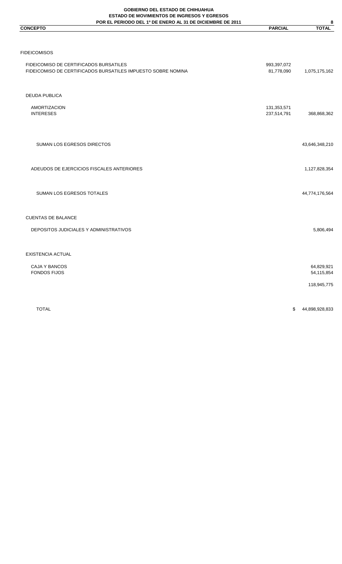### **GOBIERNO DEL ESTADO DE CHIHUAHUA ESTADO DE MOVIMIENTOS DE INGRESOS Y EGRESOS**

| <b>ESTADO DE MOVIMIENTOS DE INGRESOS Y EGRESOS</b><br>POR EL PERIODO DEL 1º DE ENERO AL 31 DE DICIEMBRE DE 2011 |                            | 8                        |
|-----------------------------------------------------------------------------------------------------------------|----------------------------|--------------------------|
| <b>CONCEPTO</b>                                                                                                 | <b>PARCIAL</b>             | <b>TOTAL</b>             |
|                                                                                                                 |                            |                          |
| <b>FIDEICOMISOS</b>                                                                                             |                            |                          |
| FIDEICOMISO DE CERTIFICADOS BURSATILES<br>FIDEICOMISO DE CERTIFICADOS BURSATILES IMPUESTO SOBRE NOMINA          | 993,397,072<br>81,778,090  | 1,075,175,162            |
| DEUDA PUBLICA                                                                                                   |                            |                          |
| <b>AMORTIZACION</b><br><b>INTERESES</b>                                                                         | 131,353,571<br>237,514,791 | 368,868,362              |
| SUMAN LOS EGRESOS DIRECTOS                                                                                      |                            | 43,646,348,210           |
| ADEUDOS DE EJERCICIOS FISCALES ANTERIORES                                                                       |                            | 1,127,828,354            |
| SUMAN LOS EGRESOS TOTALES                                                                                       |                            | 44,774,176,564           |
| <b>CUENTAS DE BALANCE</b>                                                                                       |                            |                          |
| DEPOSITOS JUDICIALES Y ADMINISTRATIVOS                                                                          |                            | 5,806,494                |
| <b>EXISTENCIA ACTUAL</b>                                                                                        |                            |                          |
| CAJA Y BANCOS<br><b>FONDOS FIJOS</b>                                                                            |                            | 64,829,921<br>54,115,854 |
|                                                                                                                 |                            | 118,945,775              |
|                                                                                                                 |                            |                          |

TOTAL \$ 44,898,928,833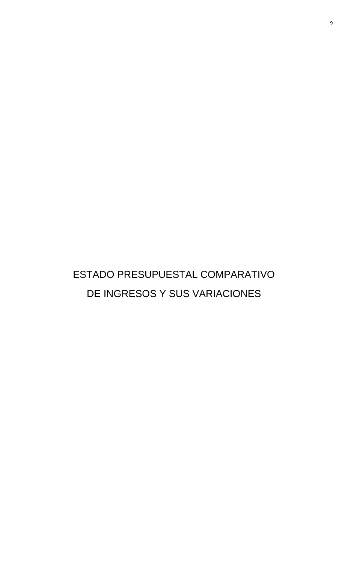# ESTADO PRESUPUESTAL COMPARATIVO DE INGRESOS Y SUS VARIACIONES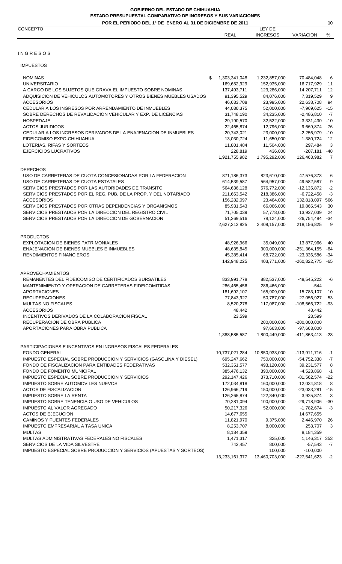### CONCEPTO LEY DE

### I N G R E S O S

#### IMPUESTOS

| <b>NOMINAS</b>                                                      | \$<br>1,303,341,048 | 1,232,857,000  | 70,484,048           | 6              |
|---------------------------------------------------------------------|---------------------|----------------|----------------------|----------------|
| <b>UNIVERSITARIO</b>                                                | 169,652,929         | 152,935,000    | 16,717,929           | 11             |
| A CARGO DE LOS SUJETOS QUE GRAVA EL IMPUESTO SOBRE NOMINAS          | 137,493,711         | 123,286,000    | 14,207,711           | 12             |
| ADQUISICION DE VEHICULOS AUTOMOTORES Y OTROS BIENES MUEBLES USADOS  | 91,395,529          | 84,076,000     | 7,319,529            | 9              |
| <b>ACCESORIOS</b>                                                   | 46,633,708          | 23,995,000     | 22,638,708           | 94             |
| CEDULAR A LOS INGRESOS POR ARRENDAMIENTO DE INMUEBLES               | 44,030,375          | 52,000,000     | $-7,969,625$         | $-15$          |
| SOBRE DERECHOS DE REVALIDACION VEHICULAR Y EXP. DE LICENCIAS        | 31,748,190          | 34,235,000     | $-2,486,810$         | $-7$           |
| HOSPEDAJE                                                           | 29,190,570          | 32,522,000     | $-3,331,430$         | $-10$          |
| <b>ACTOS JURIDICOS</b>                                              | 22,465,874          | 12,796,000     | 9,669,874            | 76             |
| CEDULAR A LOS INGRESOS DERIVADOS DE LA ENAJENACION DE INMUEBLES     | 20,743,021          | 23,000,000     | $-2,256,979$         | $-10$          |
| FIDEICOMISO EXPO-CHIHUAHUA                                          | 13,030,724          | 11,650,000     | 1,380,724            | 12             |
| LOTERIAS, RIFAS Y SORTEOS                                           | 11,801,484          | 11,504,000     | 297,484              | 3              |
| EJERCICIOS LUCRATIVOS                                               | 228,819             | 436,000        | $-207,181$           | $-48$          |
|                                                                     | 1,921,755,982       | 1,795,292,000  | 126,463,982          | $\overline{7}$ |
|                                                                     |                     |                |                      |                |
| <b>DERECHOS</b>                                                     |                     |                |                      |                |
| USO DE CARRETERAS DE CUOTA CONCESIONADAS POR LA FEDERACION          | 871,186,373         | 823,610,000    | 47,576,373           | 6              |
| USO DE CARRETERAS DE CUOTA ESTATALES                                | 614,539,587         | 564,957,000    | 49,582,587           | 9              |
| SERVICIOS PRESTADOS POR LAS AUTORIDADES DE TRANSITO                 | 564,636,128         | 576,772,000    | $-12, 135, 872$      | $-2$           |
| SERVICIOS PRESTADOS POR EL REG. PUB. DE LA PROP. Y DEL NOTARIADO    | 211,663,542         | 218,386,000    | $-6,722,458$         | $-3$           |
| <b>ACCESORIOS</b>                                                   | 156,282,097         | 23,464,000     | 132,818,097 566      |                |
| SERVICIOS PRESTADOS POR OTRAS DEPENDENCIAS Y ORGANISMOS             | 85,931,543          | 66,066,000     | 19,865,543           | 30             |
| SERVICIOS PRESTADOS POR LA DIRECCION DEL REGISTRO CIVIL             | 71,705,039          | 57,778,000     | 13,927,039           | 24             |
| SERVICIOS PRESTADOS POR LA DIRECCION DE GOBERNACION                 | 51,369,516          | 78,124,000     | $-26,754,484$        | $-34$          |
|                                                                     | 2,627,313,825       | 2,409,157,000  | 218,156,825          | 9              |
|                                                                     |                     |                |                      |                |
| PRODUCTOS                                                           |                     |                |                      |                |
| EXPLOTACION DE BIENES PATRIMONIALES                                 | 48,926,966          | 35,049,000     | 13,877,966           | 40             |
| ENAJENACION DE BIENES MUEBLES E INMUEBLES                           | 48,635,845          | 300,000,000    | $-251,364,155$       | -84            |
| <b>RENDIMIENTOS FINANCIEROS</b>                                     | 45,385,414          | 68,722,000     | $-23,336,586$        | $-34$          |
|                                                                     | 142,948,225         | 403,771,000    | $-260,822,775$       | $-65$          |
| APROVECHAMIENTOS                                                    |                     |                |                      |                |
| REMANENTES DEL FIDEICOMISO DE CERTIFICADOS BURSATILES               | 833,991,778         | 882,537,000    | $-48,545,222$        | $-6$           |
| MANTENIMIENTO Y OPERACION DE CARRETERAS FIDEICOMITIDAS              | 286,465,456         | 286,466,000    | -544                 |                |
| <b>APORTACIONES</b>                                                 | 181,692,107         | 165,909,000    | 15,783,107           |                |
| <b>RECUPERACIONES</b>                                               |                     |                |                      | 10             |
|                                                                     | 77,843,927          | 50,787,000     | 27,056,927           | 53             |
| MULTAS NO FISCALES                                                  | 8,520,278           | 117,087,000    | $-108,566,722$       | -93            |
| <b>ACCESORIOS</b>                                                   | 48,442              |                | 48,442               |                |
| INCENTIVOS DERIVADOS DE LA COLABORACION FISCAL                      | 23,599              |                | 23,599               |                |
| RECUPERACION DE OBRA PUBLICA                                        |                     | 200,000,000    | $-200,000,000$       |                |
| APORTACIONES PARA OBRA PUBLICA                                      |                     | 97,663,000     | $-97,663,000$        |                |
|                                                                     | 1,388,585,587       | 1,800,449,000  | $-411,863,413$ $-23$ |                |
| PARTICIPACIONES E INCENTIVOS EN INGRESOS FISCALES FEDERALES         |                     |                |                      |                |
| <b>FONDO GENERAL</b>                                                | 10,737,021,284      | 10,850,933,000 | $-113,911,716$       | $-1$           |
| IMPUESTO ESPECIAL SOBRE PRODUCCION Y SERVICIOS (GASOLINA Y DIESEL)  | 695,247,662         | 750,000,000    | $-54,752,338$        | $-7$           |
| FONDO DE FISCALIZACION PARA ENTIDADES FEDERATIVAS                   | 532,351,577         | 493,120,000    | 39,231,577           |                |
|                                                                     |                     |                |                      | 8              |
| FONDO DE FOMENTO MUNICIPAL                                          | 385,476,132         | 390,000,000    | -4,523,868           | $-1$           |
| IMPUESTO ESPECIAL SOBRE PRODUCCION Y SERVICIOS                      | 292,147,426         | 373,710,000    | $-81,562,574$ $-22$  |                |
| <b>IMPUESTO SOBRE AUTOMOVILES NUEVOS</b>                            | 172,034,818         | 160,000,000    | 12,034,818           | - 8            |
| ACTOS DE FISCALIZACION                                              | 126,966,719         | 150,000,000    | $-23,033,281$        | $-15$          |
| <b>IMPUESTO SOBRE LA RENTA</b>                                      | 126,265,874         | 122,340,000    | 3,925,874            | 3              |
| IMPUESTO SOBRE TENENCIA O USO DE VEHICULOS                          | 70,281,094          | 100,000,000    | -29,718,906          | -30            |
| IMPUESTO AL VALOR AGREGADO                                          | 50,217,326          | 52,000,000     | $-1,782,674$         | $-3$           |
| <b>ACTOS DE EJECUCION</b>                                           | 14,677,655          |                | 14,677,655           |                |
| CAMINOS Y PUENTES FEDERALES                                         | 11,821,970          | 9,375,000      | 2,446,970            | 26             |
| IMPUESTO EMPRESARIAL A TASA UNICA                                   | 8,253,707           | 8,000,000      | 253,707              | 3              |
| <b>MULTAS</b>                                                       | 8,184,359           |                | 8,184,359            |                |
| MULTAS ADMINISTRATIVAS FEDERALES NO FISCALES                        | 1,471,317           | 325,000        | 1,146,317 353        |                |
| SERVICIOS DE LA VIDA SILVESTRE                                      | 742,457             | 800,000        | $-57,543$            | $-7$           |
| IMPUESTO ESPECIAL SOBRE PRODUCCION Y SERVICIOS (APUESTAS Y SORTEOS) |                     | 100,000        | $-100,000$           |                |
|                                                                     | 13,233,161,377      | 13,460,703,000 | $-227,541,623$       | $-2$           |
|                                                                     |                     |                |                      |                |

REAL INGRESOS VARIACION %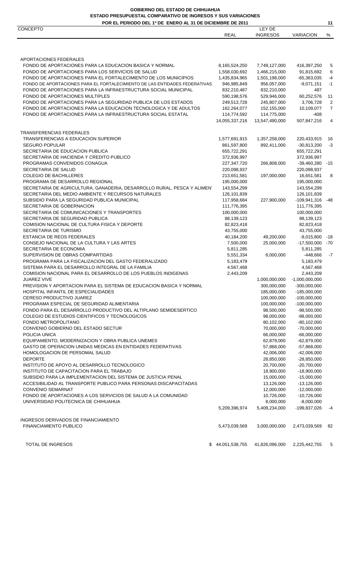### **ESTADO PRESUPUESTAL COMPARATIVO DE INGRESOS Y SUS VARIACIONES GOBIERNO DEL ESTADO DE CHIHUAHUA**

|  |  | <b>POR EL PERIODO DEL 1º DE ENERO AL 31 DE DICIEMBRE DE 2011</b> |  |
|--|--|------------------------------------------------------------------|--|

| POR EL PERIODO DEL 1º DE ENERO AL 31 DE DICIEMBRE DE 2011                                                                                    |                            |                            |                               | 11             |
|----------------------------------------------------------------------------------------------------------------------------------------------|----------------------------|----------------------------|-------------------------------|----------------|
| <b>CONCEPTO</b>                                                                                                                              | <b>REAL</b>                | LEY DE<br><b>INGRESOS</b>  | <b>VARIACION</b>              | %              |
|                                                                                                                                              |                            |                            |                               |                |
|                                                                                                                                              |                            |                            |                               |                |
| APORTACIONES FEDERALES                                                                                                                       |                            |                            |                               |                |
| FONDO DE APORTACIONES PARA LA EDUCACION BASICA Y NORMAL                                                                                      | 8,165,524,250              | 7,749,127,000              | 416,397,250                   | 5              |
| FONDO DE APORTACIONES PARA LOS SERVICIOS DE SALUD                                                                                            | 1,558,030,692              | 1,466,215,000              | 91,815,692                    | 6              |
| FONDO DE APORTACIONES PARA EL FORTALECIMIENTO DE LOS MUNICIPIOS                                                                              | 1,435,834,965              | 1,501,198,000              | $-65,363,035$                 | $-4$           |
| FONDO DE APORTACIONES PARA EL FORTALECIMIENTO DE LAS ENTIDADES FEDERATIVAS<br>FONDO DE APORTACIONES PARA LA INFRAESTRUCTURA SOCIAL MUNICIPAL | 946,985,849<br>832,210,487 | 956,057,000<br>832,210,000 | $-9,071,151$<br>487           | $-1$           |
| FONDO DE APORTACIONES MULTIPLES                                                                                                              | 590,198,576                | 529,946,000                | 60,252,576                    | 11             |
| FONDO DE APORTACIONES PARA LA SEGURIDAD PUBLICA DE LOS ESTADOS                                                                               | 249,513,728                | 245,807,000                | 3,706,728                     | $\overline{2}$ |
| FONDO DE APORTACIONES PARA LA EDUCACION TECNOLOGICA Y DE ADULTOS                                                                             | 162,264,077                | 152,155,000                | 10,109,077                    | $\overline{7}$ |
| FONDO DE APORTACIONES PARA LA INFRAESTRUCTURA SOCIAL ESTATAL                                                                                 | 114,774,592                | 114,775,000                | -408                          |                |
|                                                                                                                                              | 14,055,337,216             | 13,547,490,000             | 507,847,216                   | 4              |
| TRANSFERENCIAS FEDERALES                                                                                                                     |                            |                            |                               |                |
| TRANSFERENCIAS A EDUCACION SUPERIOR                                                                                                          | 1,577,691,915              | 1,357,258,000              | 220,433,915                   | 16             |
| <b>SEGURO POPULAR</b>                                                                                                                        | 861,597,800                | 892,411,000                | $-30,813,200$                 | $-3$           |
| SECRETARIA DE EDUCACION PUBLICA                                                                                                              | 655,722,291                |                            | 655,722,291                   |                |
| SECRETARIA DE HACIENDA Y CREDITO PUBLICO                                                                                                     | 372,936,997                |                            | 372,936,997                   |                |
| PROGRAMAS CONVENIDOS CONAGUA                                                                                                                 | 227,347,720                | 266,808,000                | $-39,460,280$                 | $-15$          |
| SECRETARIA DE SALUD                                                                                                                          | 220,098,937                |                            | 220,098,937                   |                |
| <b>COLEGIO DE BACHILLERES</b>                                                                                                                | 213,651,581                | 197,000,000                | 16,651,581                    | 8              |
| PROGRAMA DE DESARROLLO REGIONAL                                                                                                              | 195,000,000                |                            | 195,000,000                   |                |
| SECRETARIA DE AGRICULTURA, GANADERIA, DESARROLLO RURAL, PESCA Y ALIMEN'                                                                      | 143,554,299                |                            | 143,554,299                   |                |
| SECRETARIA DEL MEDIO AMBIENTE Y RECURSOS NATURALES                                                                                           | 126,101,839                |                            | 126,101,839                   |                |
| SUBSIDIO PARA LA SEGURIDAD PUBLICA MUNICIPAL                                                                                                 | 117,958,684                | 227,900,000                | $-109,941,316$                | -48            |
| SECRETARIA DE GOBERNACION                                                                                                                    | 111,776,395                |                            | 111,776,395                   |                |
| SECRETARIA DE COMUNICACIONES Y TRANSPORTES                                                                                                   | 100,000,000                |                            | 100,000,000                   |                |
| SECRETARIA DE SEGURIDAD PUBLICA                                                                                                              | 88,139,123                 |                            | 88,139,123                    |                |
| COMISION NACIONAL DE CULTURA FISICA Y DEPORTE                                                                                                | 82,823,418                 |                            | 82,823,418                    |                |
| SECRETARIA DE TURISMO                                                                                                                        | 43,755,000                 |                            | 43,755,000                    |                |
| ESTANCIA DE REOS FEDERALES                                                                                                                   | 40,184,200                 | 49,200,000                 | $-9,015,800$                  | -18            |
| CONSEJO NACIONAL DE LA CULTURA Y LAS ARTES                                                                                                   | 7,500,000                  | 25,000,000                 | $-17,500,000$                 | $-70$          |
| SECRETARIA DE ECONOMIA                                                                                                                       | 5,811,285                  |                            | 5,811,285                     |                |
| SUPERVISION DE OBRAS COMPARTIDAS                                                                                                             | 5,551,334                  | 6,000,000                  | $-448,666$                    | $-7$           |
| PROGRAMA PARA LA FISCALIZACION DEL GASTO FEDERALIZADO                                                                                        | 5,183,479                  |                            | 5,183,479                     |                |
| SISTEMA PARA EL DESARROLLO INTEGRAL DE LA FAMILIA<br>COMISION NACIONAL PARA EL DESARROLLO DE LOS PUEBLOS INDIGENAS                           | 4,567,468                  |                            | 4,567,468                     |                |
| <b>JUAREZ VIVE</b>                                                                                                                           | 2,443,209                  | 1,000,000,000              | 2,443,209<br>$-1,000,000,000$ |                |
| PREVISION Y APORTACION PARA EL SISTEMA DE EDUCACION BASICA Y NORMAL                                                                          |                            | 300,000,000                | $-300,000,000$                |                |
| HOSPITAL INFANTIL DE ESPECIALIDADES                                                                                                          |                            | 185,000,000                | $-185,000,000$                |                |
| CERESO PRODUCTIVO JUAREZ                                                                                                                     |                            | 100,000,000                | $-100,000,000$                |                |
| PROGRAMA ESPECIAL DE SEGURIDAD ALIMENTARIA                                                                                                   |                            | 100,000,000                | $-100,000,000$                |                |
| FONDO PARA EL DESARROLLO PRODUCTIVO DEL ALTIPLANO SEMIDESERTICO                                                                              |                            | 98,500,000                 | $-98,500,000$                 |                |
| COLEGIO DE ESTUDIOS CIENTIFICOS Y TECNOLOGICOS                                                                                               |                            | 98,000,000                 | $-98,000,000$                 |                |
| FONDO METROPOLITANO                                                                                                                          |                            | 80,102,000                 | $-80, 102, 000$               |                |
| CONVENIO GOBIERNO DEL ESTADO SECTUR                                                                                                          |                            | 70,000,000                 | $-70,000,000$                 |                |
| POLICIA UNICA                                                                                                                                |                            | 66,000,000                 | $-66,000,000$                 |                |
| EQUIPAMIENTO, MODERNIZACION Y OBRA PUBLICA UNEMES                                                                                            |                            | 62,879,000                 | $-62,879,000$                 |                |
| GASTO DE OPERACION UNIDAS MEDICAS EN ENTIDADES FEDERATIVAS                                                                                   |                            | 57,868,000                 | $-57,868,000$                 |                |
| HOMOLOGACION DE PERSOMAL SALUD                                                                                                               |                            | 42,006,000                 | $-42,006,000$                 |                |
| <b>DEPORTE</b>                                                                                                                               |                            | 28,850,000                 | $-28,850,000$                 |                |
| INSTITUTO DE APOYO AL DESARROLLO TECNOLOGICO                                                                                                 |                            | 20,700,000                 | $-20,700,000$                 |                |
| INSTITUTO DE CAPACITACION PARA EL TRABAJO                                                                                                    |                            | 18,900,000                 | $-18,900,000$                 |                |
| SUBSIDIO PARA LA IMPLEMENTACION DEL SISTEMA DE JUSTICIA PENAL                                                                                |                            | 15,000,000                 | $-15,000,000$                 |                |
| ACCESIBILIDAD AL TRANSPORTE PUBLICO PARA PERSONAS DISCAPACITADAS                                                                             |                            | 13,126,000                 | $-13,126,000$                 |                |
| <b>CONVENIO SEMARNAT</b>                                                                                                                     |                            | 12,000,000                 | $-12,000,000$                 |                |
| FONDO DE APORTACIONES A LOS SERVICIOS DE SALUD A LA COMUNIDAD                                                                                |                            | 10,726,000                 | $-10,726,000$                 |                |
| UNIVERSIDAD POLITECNICA DE CHIHUAHUA                                                                                                         |                            | 8,000,000                  | $-8,000,000$                  |                |
|                                                                                                                                              | 5,209,396,974              | 5,409,234,000              | -199,837,026                  | -4             |
| INGRESOS DERIVADOS DE FINANCIAMIENTO                                                                                                         |                            |                            |                               |                |
| <b>FINANCIAMIENTO PUBLICO</b>                                                                                                                | 5,473,039,569              | 3,000,000,000              | 2,473,039,569                 | 82             |
| TOTAL DE INGRESOS<br>\$                                                                                                                      | 44,051,538,755             | 41,826,096,000             | 2,225,442,755                 | 5              |
|                                                                                                                                              |                            |                            |                               |                |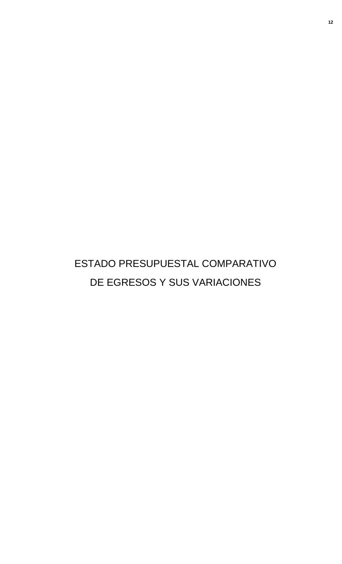# ESTADO PRESUPUESTAL COMPARATIVO DE EGRESOS Y SUS VARIACIONES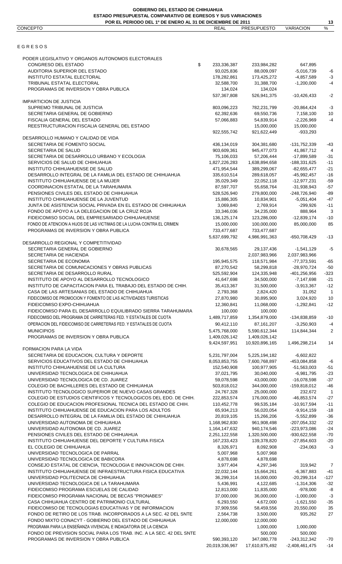| POR EL PERIODO DEL 1º DE ENERO AL 31 DE DICIEMBRE DE 2011              |                |                    |                  | 13                |
|------------------------------------------------------------------------|----------------|--------------------|------------------|-------------------|
| CONCEPTO                                                               | <b>REAL</b>    | <b>PRESUPUESTO</b> | <b>VARIACION</b> | $\%$              |
|                                                                        |                |                    |                  |                   |
| EGRESOS                                                                |                |                    |                  |                   |
|                                                                        |                |                    |                  |                   |
| PODER LEGISLATIVO Y ORGANOS AUTONOMOS ELECTORALES                      |                |                    |                  |                   |
| CONGRESO DEL ESTADO<br>\$                                              | 233,336,387    | 233,984,282        | 647,895          |                   |
| AUDITORIA SUPERIOR DEL ESTADO                                          | 93,025,836     | 88,009,097         | $-5,016,739$     | -6                |
| <b>INSTITUTO ESTATAL ELECTORAL</b>                                     | 178,282,861    | 173,425,272        | $-4,857,589$     | $-3$              |
| TRIBUNAL ESTATAL ELECTORAL                                             | 32,588,700     | 31,388,700         | $-1,200,000$     | $-4$              |
| PROGRAMAS DE INVERSION Y OBRA PUBLICA                                  | 134,024        | 134,024            |                  |                   |
|                                                                        | 537,367,808    | 526,941,375        | $-10,426,433$    | $-2$              |
| <b>IMPARTICION DE JUSTICIA</b>                                         |                |                    |                  |                   |
| SUPREMO TRIBUNAL DE JUSTICIA                                           | 803,096,223    | 782,231,799        | $-20,864,424$    | $-3$              |
| SECRETARIA GENERAL DE GOBIERNO                                         | 62,392,636     | 69,550,736         | 7,158,100        | $10$              |
| FISCALIA GENERAL DEL ESTADO                                            | 57,066,883     | 54,839,914         | $-2,226,969$     | $-4$              |
| REESTRUCTURACION FISCALIA GENERAL DEL ESTADO                           |                | 15,000,000         | 15,000,000       |                   |
|                                                                        | 922,555,742    | 921,622,449        | $-933,293$       |                   |
| DESARROLLO HUMANO Y CALIDAD DE VIDA                                    |                |                    |                  |                   |
| SECRETARIA DE FOMENTO SOCIAL                                           | 436,134,019    | 304,381,680        | -131,752,339     | -43               |
| SECRETARIA DE SALUD                                                    | 903,609,361    | 945,477,073        | 41,867,712       | $\overline{4}$    |
| SECRETARIA DE DESARROLLO URBANO Y ECOLOGIA                             | 75,106,033     | 57,206,444         | $-17,899,589$    | $-31$             |
| SERVICIOS DE SALUD DE CHIHUAHUA                                        | 1,827,226,283  | 1,638,894,658      | -188,331,625     | $-11$             |
| INSTITUTO CHIHUAHUENSE DE SALUD                                        | 471,954,544    | 389,299,067        | $-82,655,477$    | $-21$             |
|                                                                        |                |                    |                  |                   |
| DESARROLLO INTEGRAL DE LA FAMILIA DEL ESTADO DE CHIHUAHUA              | 335,610,514    | 289,618,057        | $-45,992,457$    | $-16$             |
| INSTITUTO CHIHUAHUENSE DE LA MUJER                                     | 35,029,349     | 22,052,118         | $-12,977,231$    | $-59$             |
| COORDINACION ESTATAL DE LA TARAHUMARA                                  | 87,597,707     | 55,658,764         | $-31,938,943$    | $-57$             |
| PENSIONES CIVILES DEL ESTADO DE CHIHUAHUA                              | 528,526,940    | 279,800,000        | -248,726,940     | $-89$             |
| INSTITUTO CHIHUAHUENSE DE LA JUVENTUD                                  | 15,886,305     | 10,834,901         | $-5,051,404$     | $-47$             |
| JUNTA DE ASISTENCIA SOCIAL PRIVADA EN EL ESTADO DE CHIHUAHUA           | 3,069,840      | 2,769,914          | $-299,926$       | $-11$             |
| FONDO DE APOYO A LA DELEGACION DE LA CRUZ ROJA                         | 33,346,036     | 34,235,000         | 888,964          | 3                 |
| FIDEICOMISO SOCIAL DEL EMPRESARIADO CHIHUAHUENSE                       | 136, 125, 174  | 123,286,000        | $-12,839,174$    | $-10$             |
| FONDO DE ATENCION A HIJOS DE LAS VICTIMAS DE LA LUCHA CONTRA EL CRIMEN | 15,000,000     | 100,000,000        | 85,000,000       | 85                |
| PROGRAMAS DE INVERSION Y OBRA PUBLICA                                  | 733,477,687    | 733,477,687        |                  |                   |
|                                                                        | 5,637,699,792  | 4,986,991,363      | -650,708,429     | $-13$             |
| DESARROLLO REGIONAL Y COMPETITIVIDAD                                   |                |                    |                  |                   |
| SECRETARIA GENERAL DE GOBIERNO                                         | 30,678,565     | 29,137,436         | -1,541,129       | -5                |
| SECRETARIA DE HACIENDA                                                 |                | 2,037,983,966      | 2,037,983,966    |                   |
| SECRETARIA DE ECONOMIA                                                 | 195,945,575    | 118,571,984        | $-77,373,591$    | $-65$             |
| SECRETARIA DE COMUNICACIONES Y OBRAS PUBLICAS                          | 87,270,542     | 58,299,818         | $-28,970,724$    | -50               |
| SECRETARIA DE DESARROLLO RURAL                                         | 525,592,904    | 124,335,948        | -401,256,956     | -323              |
| INSTITUTO DE APOYO AL DESARROLLO TECNOLOGICO                           | 41,647,698     | 34,500,000         | $-7,147,698$     | $-21$             |
| INSTITUTO DE CAPACITACION PARA EL TRABAJO DEL ESTADO DE CHIH.          | 35,413,367     | 31,500,000         | $-3,913,367$     | $-12$             |
| CASA DE LAS ARTESANIAS DEL ESTADO DE CHIHUAHUA                         | 2,793,368      | 2,824,420          | 31,052           | $\overline{1}$    |
| FIDEICOMISO DE PROMOCION Y FOMENTO DE LAS ACTIVIDADES TURISTICAS       | 27,870,980     | 30,895,900         | 3,024,920        | 10                |
| FIDEICOMISO EXPO-CHIHUAHUA                                             | 12,360,841     | 11.068.000         | $-1,292,841$     | $-12$             |
| FIDEICOMISO PARA EL DESARROLLO EQUILIBRADO SIERRA TARAHUMARA           | 100,000        | 100,000            |                  |                   |
| FIDEICOMISO DEL PROGRAMA DE CARRETERAS FED. Y ESTATALES DE CUOTA       | 1,489,717,859  | 1,354,879,000      | -134,838,859     | $-10$             |
| OPERACION DEL FIDEICOMISO DE CARRETERAS FED. Y ESTATALES DE CUOTA      |                |                    |                  |                   |
|                                                                        | 90,412,110     | 87,161,207         | $-3,250,903$     | $-4$              |
| <b>MUNICIPIOS</b>                                                      | 5,475,768,000  | 5,590,612,344      | 114,844,344      | $\overline{2}$    |
| PROGRAMAS DE INVERSION Y OBRA PUBLICA                                  | 1,409,026,142  | 1,409,026,142      |                  |                   |
|                                                                        | 9,424,597,951  | 10,920,896,165     | 1,496,298,214    | 14                |
| FORMACION PARA LA VIDA                                                 |                |                    |                  |                   |
| SECRETARIA DE EDUCACION, CULTURA Y DEPORTE                             | 5,231,797,004  | 5,225,194,182      | $-6,602,822$     |                   |
| SERVICIOS EDUCATIVOS DEL ESTADO DE CHIHUAHUA                           | 8,053,853,755  | 7,600,768,897      | -453,084,858     | $-6$              |
| INSTITUTO CHIHUAHUENSE DE LA CULTURA                                   | 152,540,908    | 100,977,905        | $-51,563,003$    | $-51$             |
| UNIVERSIDAD TECNOLOGICA DE CHIHUAHUA                                   | 37,021,795     | 30,040,000         | $-6,981,795$     | $-23$             |
| UNIVERSIDAD TECNOLOGICA DE CD. JUAREZ                                  | 59,078,598     | 43,000,000         | $-16,078,598$    | $-37$             |
| COLEGIO DE BACHILLERES DEL ESTADO DE CHIHUAHUA                         | 503,818,012    | 344,000,000        | $-159,818,012$   | $-46$             |
| INSTITUTO TECNOLOGICO SUPERIOR DE NUEVO CASAS GRANDES                  | 24,767,328     | 25,000,000         | 232,672          | $\overline{1}$    |
| COLEGIO DE ESTUDIOS CIENTIFICOS Y TECNOLOGICOS DEL EDO. DE CHIH.       | 222,853,574    | 176,000,000        | -46,853,574      | $-27$             |
| COLEGIO DE EDUCACION PROFESIONAL TECNICA DEL ESTADO DE CHIH.           | 110,452,778    | 99,535,184         | $-10,917,594$    | $-11$             |
| INSTITUTO CHIHUAHUENSE DE EDUCACION PARA LOS ADULTOS                   | 65,934,213     | 56,020,054         | $-9,914,159$     | $-18$             |
| DESARROLLO INTEGRAL DE LA FAMILIA DEL ESTADO DE CHIHUAHUA              | 20,819,105     | 15,266,206         | $-5,552,899$     | $-36$             |
| UNIVERSIDAD AUTONOMA DE CHIHUAHUA                                      | 1,168,962,830  | 961,908,498        | -207,054,332     | $-22$             |
| UNIVERSIDAD AUTONOMA DE CD. JUAREZ                                     | 1,164,147,632  | 940,174,546        | -223,973,086     | $-24$             |
| PENSIONES CIVILES DEL ESTADO DE CHIHUAHUA                              | 2,251,122,558  | 1,320,500,000      | $-930,622,558$   | $-70$             |
| INSTITUTO CHIHUAHUENSE DEL DEPORTE Y CULTURA FISICA                    | 167,233,423    | 139,378,820        | $-27,854,603$    | $-20$             |
| EL COLEGIO DE CHIHUAHUA                                                | 8,326,971      | 8,092,908          | $-234,063$       | $-3$              |
| UNIVERSIDAD TECNOLOGICA DE PARRAL                                      | 5,007,968      | 5,007,968          |                  |                   |
| UNIVERSIDAD TECNOLOGICA DE BABICORA                                    | 4,878,698      | 4,878,698          |                  |                   |
| CONSEJO ESTATAL DE CIENCIA, TECNOLOGIA E INNOVACION DE CHIH.           | 3,977,404      | 4,297,346          | 319,942          | $\overline{7}$    |
| INSTITUTO CHIHUAHUENSE DE INFRAESTRUCTURA FISICA EDUCATIVA             | 22,032,144     | 15,664,261         | $-6,367,883$     | $-41$             |
| UNIVERSIDAD POLITECNICA DE CHIHUAHUA                                   | 36,299,314     | 16,000,000         | $-20,299,314$    | $-127$            |
| UNIVERSIDAD TECNOLOGICA DE LA TARAHUMARA                               | 5,436,991      | 4,122,685          | $-1,314,306$     | $-32$             |
| FIDEICOMISO PROGRAMA ESCUELAS DE CALIDAD                               | 12,813,000     | 11,835,000         | $-978,000$       | $\textnormal{-}8$ |
| FIDEICOMISO PROGRAMA NACIONAL DE BECAS "PRONABES"                      | 37,000,000     | 36,000,000         | $-1,000,000$     | $-3$              |
| CASA CHIHUAHUA CENTRO DE PATRIMONIO CULTURAL                           | 6,293,550      | 4,672,000          | $-1,621,550$     | $-35$             |
| FIDEICOMISO DE TECNOLOGIAS EDUCATIVAS Y DE INFORMACION                 | 37,909,556     | 58,459,556         | 20,550,000       | 35                |
| FONDO DE RETIRO DE LOS TRAB. INCORPORADOS A LA SEC. 42 DEL SNTE        | 2,564,738      | 3,500,000          | 935,262          | 27                |
| FONDO MIXTO CONACYT - GOBIERNO DEL ESTADO DE CHIHUAHUA                 | 12,000,000     | 12.000.000         |                  |                   |
| PROGRAMA PARA LA ENSEÑANZA VIVENCIAL E INDAGATORIA DE LA CIENCIA       |                | 1,000,000          | 1,000,000        |                   |
| FONDO DE PREVISION SOCIAL PARA LOS TRAB. INC. A LA SEC. 42 DEL SNTE    |                | 500,000            | 500,000          |                   |
| PROGRAMAS DE INVERSION Y OBRA PUBLICA                                  | 590,393,120    | 347,080,778        | -243,312,342     | $-70$             |
|                                                                        | 20,019,336,967 | 17,610,875,492     | $-2,408,461,475$ | $-14$             |
|                                                                        |                |                    |                  |                   |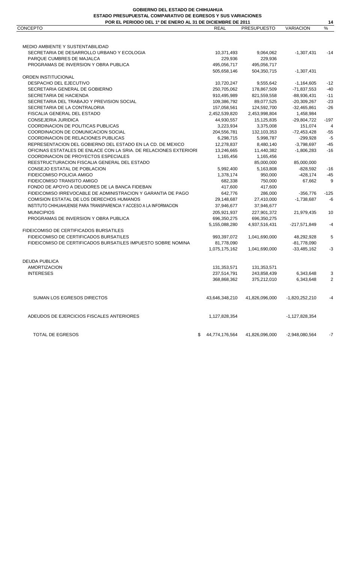**14**

| <b>CONCEPTO</b>                                                     | <b>REAL</b>          | <b>PRESUPUESTO</b> | <b>VARIACION</b> | $\%$   |
|---------------------------------------------------------------------|----------------------|--------------------|------------------|--------|
|                                                                     |                      |                    |                  |        |
| MEDIO AMBIENTE Y SUSTENTABILIDAD                                    |                      |                    |                  |        |
| SECRETARIA DE DESARROLLO URBANO Y ECOLOGIA                          | 10,371,493           | 9,064,062          | $-1,307,431$     | -14    |
| PARQUE CUMBRES DE MAJALCA                                           | 229,936              | 229,936            |                  |        |
| PROGRAMAS DE INVERSION Y OBRA PUBLICA                               | 495,056,717          | 495,056,717        |                  |        |
|                                                                     | 505,658,146          | 504,350,715        | $-1,307,431$     |        |
| ORDEN INSTITUCIONAL                                                 |                      |                    |                  |        |
| DESPACHO DEL EJECUTIVO                                              | 10,720,247           | 9,555,642          | $-1,164,605$     | $-12$  |
| SECRETARIA GENERAL DE GOBIERNO                                      | 250,705,062          | 178,867,509        | $-71,837,553$    | $-40$  |
| SECRETARIA DE HACIENDA                                              | 910,495,989          | 821,559,558        | $-88,936,431$    | $-11$  |
| SECRETARIA DEL TRABAJO Y PREVISION SOCIAL                           | 109,386,792          | 89,077,525         | $-20,309,267$    | $-23$  |
| SECRETARIA DE LA CONTRALORIA                                        | 157,058,561          | 124,592,700        | $-32,465,861$    | $-26$  |
| FISCALIA GENERAL DEL ESTADO                                         | 2,452,539,820        | 2,453,998,804      | 1,458,984        |        |
| CONSEJERIA JURIDICA                                                 | 44,930,557           | 15,125,835         | $-29,804,722$    | $-197$ |
| COORDINACION DE POLITICAS PUBLICAS                                  | 3,223,934            | 3,375,008          | 151,074          | 4      |
| COORDINACION DE COMUNICACION SOCIAL                                 | 204,556,781          | 132,103,353        | $-72,453,428$    | $-55$  |
| COORDINACION DE RELACIONES PUBLICAS                                 | 6,298,715            | 5,998,787          | $-299,928$       | $-5$   |
| REPRESENTACION DEL GOBIERNO DEL ESTADO EN LA CD. DE MEXICO          | 12,278,837           | 8,480,140          | $-3,798,697$     | $-45$  |
| OFICINAS ESTATALES DE ENLACE CON LA SRIA. DE RELACIONES EXTERIORI   |                      |                    |                  | $-16$  |
|                                                                     | 13,246,665           | 11,440,382         | $-1,806,283$     |        |
| COORDINACION DE PROYECTOS ESPECIALES                                | 1,165,456            | 1,165,456          |                  |        |
| REESTRUCTURACION FISCALIA GENERAL DEL ESTADO                        |                      | 85,000,000         | 85,000,000       |        |
| CONSEJO ESTATAL DE POBLACION                                        | 5,992,400            | 5,163,808          | $-828,592$       | -16    |
| FIDEICOMISO POLICIA AMIGO                                           | 1,378,174            | 950,000            | $-428,174$       | $-45$  |
| FIDEICOMISO TRANSITO AMIGO                                          | 682,338              | 750,000            | 67,662           | 9      |
| FONDO DE APOYO A DEUDORES DE LA BANCA FIDEBAN                       | 417,600              | 417,600            |                  |        |
| FIDEICOMISO IRREVOCABLE DE ADMINISTRACION Y GARANTIA DE PAGO        | 642,776              | 286,000            | $-356,776$       | $-125$ |
| COMISION ESTATAL DE LOS DERECHOS HUMANOS                            | 29,148,687           | 27,410,000         | $-1,738,687$     | -6     |
| INSTITUTO CHIHUAHUENSE PARA TRANSPARENCIA Y ACCESO A LA INFORMACION | 37,946,677           | 37,946,677         |                  |        |
| <b>MUNICIPIOS</b>                                                   | 205,921,937          | 227,901,372        | 21,979,435       | 10     |
| PROGRAMAS DE INVERSION Y OBRA PUBLICA                               | 696,350,275          | 696,350,275        |                  |        |
|                                                                     | 5,155,088,280        | 4,937,516,431      | $-217,571,849$   | $-4$   |
| FIDEICOMISO DE CERTIFICADOS BURSATILES                              |                      |                    |                  |        |
| FIDEICOMISO DE CERTIFICADOS BURSATILES                              | 993,397,072          | 1,041,690,000      | 48,292,928       | 5      |
| FIDEICOMISO DE CERTIFICADOS BURSATILES IMPUESTO SOBRE NOMINA        | 81,778,090           |                    | $-81,778,090$    |        |
|                                                                     | 1,075,175,162        | 1,041,690,000      | $-33,485,162$    | $-3$   |
|                                                                     |                      |                    |                  |        |
| <b>DEUDA PUBLICA</b>                                                |                      |                    |                  |        |
| <b>AMORTIZACION</b>                                                 | 131,353,571          | 131,353,571        |                  |        |
| <b>INTERESES</b>                                                    | 237,514,791          | 243,858,439        | 6,343,648        | 3      |
|                                                                     | 368,868,362          | 375,212,010        | 6,343,648        | 2      |
| <b>SUMAN LOS EGRESOS DIRECTOS</b>                                   | 43,646,348,210       | 41,826,096,000     | $-1,820,252,210$ | -4     |
| ADEUDOS DE EJERCICIOS FISCALES ANTERIORES                           | 1,127,828,354        |                    | $-1,127,828,354$ |        |
| TOTAL DE EGRESOS                                                    | 44,774,176,564<br>S. | 41,826,096,000     | $-2,948,080,564$ | -7     |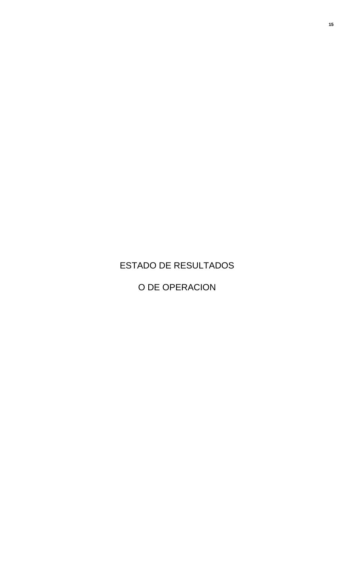## ESTADO DE RESULTADOS

O DE OPERACION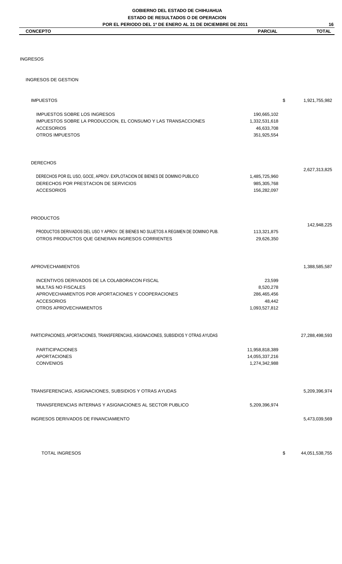#### **CONCEPTO PARCIAL TOTAL**

**16**

### INGRESOS

### INGRESOS DE GESTION

| <b>IMPUESTOS</b>                                                                                                                                                               |                                                               | \$<br>1,921,755,982 |
|--------------------------------------------------------------------------------------------------------------------------------------------------------------------------------|---------------------------------------------------------------|---------------------|
| <b>IMPUESTOS SOBRE LOS INGRESOS</b><br>IMPUESTOS SOBRE LA PRODUCCION, EL CONSUMO Y LAS TRANSACCIONES<br><b>ACCESORIOS</b><br><b>OTROS IMPUESTOS</b>                            | 190,665,102<br>1,332,531,618<br>46,633,708<br>351,925,554     |                     |
| <b>DERECHOS</b>                                                                                                                                                                |                                                               |                     |
| DERECHOS POR EL USO, GOCE, APROV. EXPLOTACION DE BIENES DE DOMINIO PUBLICO<br>DERECHOS POR PRESTACION DE SERVICIOS<br><b>ACCESORIOS</b>                                        | 1,485,725,960<br>985,305,768<br>156,282,097                   | 2,627,313,825       |
| <b>PRODUCTOS</b>                                                                                                                                                               |                                                               |                     |
| PRODUCTOS DERIVADOS DEL USO Y APROV. DE BIENES NO SUJETOS A REGIMEN DE DOMINIO PUB.<br>OTROS PRODUCTOS QUE GENERAN INGRESOS CORRIENTES                                         | 113,321,875<br>29,626,350                                     | 142,948,225         |
| <b>APROVECHAMIENTOS</b>                                                                                                                                                        |                                                               | 1,388,585,587       |
| INCENTIVOS DERIVADOS DE LA COLABORACON FISCAL<br><b>MULTAS NO FISCALES</b><br>APROVECHAMIENTOS POR APORTACIONES Y COOPERACIONES<br><b>ACCESORIOS</b><br>OTROS APROVECHAMIENTOS | 23,599<br>8,520,278<br>286,465,456<br>48,442<br>1,093,527,812 |                     |
| PARTICIPACIONES, APORTACIONES, TRANSFERENCIAS, ASIGNACIONES, SUBSIDIOS Y OTRAS AYUDAS                                                                                          |                                                               | 27,288,498,593      |
| <b>PARTICIPACIONES</b><br>APORTACIONES<br><b>CONVENIOS</b>                                                                                                                     | 11,958,818,389<br>14,055,337,216<br>1,274,342,988             |                     |
| TRANSFERENCIAS, ASIGNACIONES, SUBSIDIOS Y OTRAS AYUDAS                                                                                                                         |                                                               | 5,209,396,974       |
| TRANSFERENCIAS INTERNAS Y ASIGNACIONES AL SECTOR PUBLICO                                                                                                                       | 5,209,396,974                                                 |                     |
| INGRESOS DERIVADOS DE FINANCIAMIENTO                                                                                                                                           |                                                               | 5,473,039,569       |
|                                                                                                                                                                                |                                                               |                     |

TOTAL INGRESOS \$ 44,051,538,755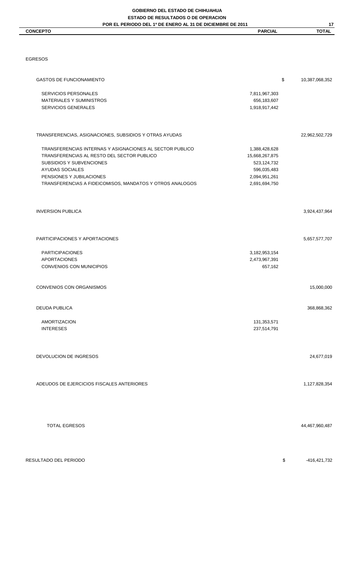**CONCEPTO PARCIAL TOTAL** 

**17**

### EGRESOS

| <b>GASTOS DE FUNCIONAMIENTO</b> |                                                          |                  | \$<br>10,387,068,352 |
|---------------------------------|----------------------------------------------------------|------------------|----------------------|
| <b>SERVICIOS PERSONALES</b>     |                                                          | 7,811,967,303    |                      |
| MATERIALES Y SUMINISTROS        |                                                          | 656,183,607      |                      |
| <b>SERVICIOS GENERALES</b>      |                                                          | 1,918,917,442    |                      |
|                                 | TRANSFERENCIAS, ASIGNACIONES, SUBSIDIOS Y OTRAS AYUDAS   |                  | 22,962,502,729       |
|                                 | TRANSFERENCIAS INTERNAS Y ASIGNACIONES AL SECTOR PUBLICO | 1,388,428,628    |                      |
|                                 | TRANSFERENCIAS AL RESTO DEL SECTOR PUBLICO               | 15,668,267,875   |                      |
| SUBSIDIOS Y SUBVENCIONES        |                                                          | 523,124,732      |                      |
| <b>AYUDAS SOCIALES</b>          |                                                          | 596,035,483      |                      |
| PENSIONES Y JUBILACIONES        |                                                          | 2,094,951,261    |                      |
|                                 | TRANSFERENCIAS A FIDEICOMISOS, MANDATOS Y OTROS ANALOGOS | 2,691,694,750    |                      |
| <b>INVERSION PUBLICA</b>        |                                                          |                  | 3,924,437,964        |
|                                 | PARTICIPACIONES Y APORTACIONES                           |                  | 5,657,577,707        |
| <b>PARTICIPACIONES</b>          |                                                          | 3, 182, 953, 154 |                      |
| <b>APORTACIONES</b>             |                                                          | 2,473,967,391    |                      |
| CONVENIOS CON MUNICIPIOS        |                                                          | 657,162          |                      |
| <b>CONVENIOS CON ORGANISMOS</b> |                                                          |                  | 15,000,000           |
| <b>DEUDA PUBLICA</b>            |                                                          |                  | 368,868,362          |
| AMORTIZACION                    |                                                          | 131,353,571      |                      |
| <b>INTERESES</b>                |                                                          | 237,514,791      |                      |
| DEVOLUCION DE INGRESOS          |                                                          |                  | 24,677,019           |
|                                 | ADEUDOS DE EJERCICIOS FISCALES ANTERIORES                |                  | 1,127,828,354        |
| TOTAL EGRESOS                   |                                                          |                  | 44,467,960,487       |
| RESULTADO DEL PERIODO           |                                                          |                  | \$<br>-416,421,732   |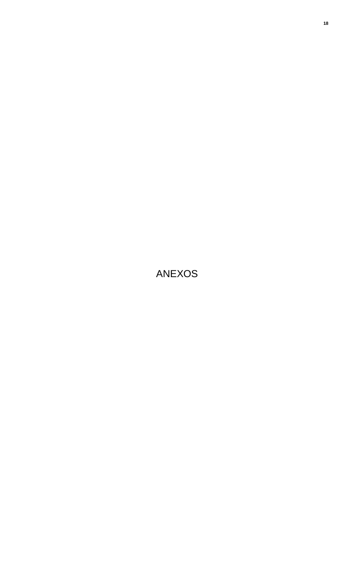# ANEXOS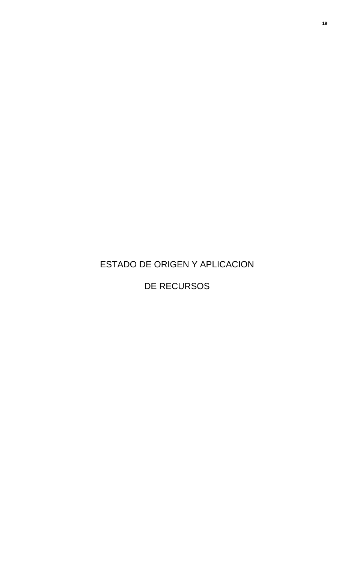ESTADO DE ORIGEN Y APLICACION

DE RECURSOS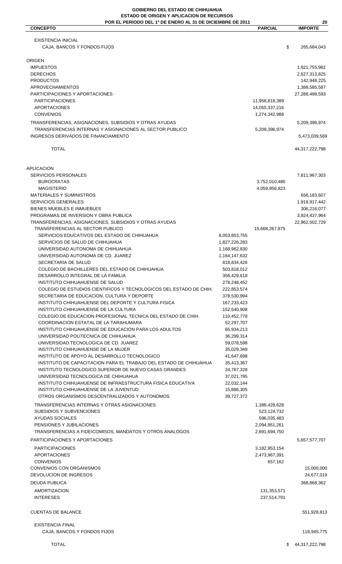### **GOBIERNO DEL ESTADO DE CHIHUAHUA ESTADO DE ORIGEN Y APLICACION DE RECURSOS**

| POR EL PERIODO DEL 1º DE ENERO AL 31 DE DICIEMBRE DE 2011                                                                  |                                |                                 | 20                             |
|----------------------------------------------------------------------------------------------------------------------------|--------------------------------|---------------------------------|--------------------------------|
| <b>CONCEPTO</b>                                                                                                            |                                | <b>PARCIAL</b>                  | <b>IMPORTE</b>                 |
| <b>EXISTENCIA INICIAL</b>                                                                                                  |                                |                                 |                                |
| CAJA, BANCOS Y FONDOS FIJOS                                                                                                |                                |                                 | \$<br>265,684,043              |
|                                                                                                                            |                                |                                 |                                |
| <b>ORIGEN</b><br><b>IMPUESTOS</b>                                                                                          |                                |                                 |                                |
| <b>DERECHOS</b>                                                                                                            |                                |                                 | 1,921,755,982<br>2,627,313,825 |
| <b>PRODUCTOS</b>                                                                                                           |                                |                                 | 142,948,225                    |
| APROVECHAMIENTOS                                                                                                           |                                |                                 | 1,388,585,587                  |
| PARTICIPACIONES Y APORTACIONES                                                                                             |                                |                                 | 27,288,498,593                 |
| <b>PARTICIPACIONES</b>                                                                                                     |                                | 11,958,818,389                  |                                |
| <b>APORTACIONES</b><br><b>CONVENIOS</b>                                                                                    |                                | 14,055,337,216<br>1,274,342,988 |                                |
| TRANSFERENCIAS, ASIGNACIONES, SUBSIDIOS Y OTRAS AYUDAS                                                                     |                                |                                 | 5,209,396,974                  |
| TRANSFERENCIAS INTERNAS Y ASIGNACIONES AL SECTOR PUBLICO                                                                   |                                | 5,209,396,974                   |                                |
| INGRESOS DERIVADOS DE FINANCIAMIENTO                                                                                       |                                |                                 | 5,473,039,569                  |
|                                                                                                                            |                                |                                 |                                |
| <b>TOTAL</b>                                                                                                               |                                |                                 | 44,317,222,798                 |
| <b>APLICACION</b>                                                                                                          |                                |                                 |                                |
| SERVICIOS PERSONALES                                                                                                       |                                |                                 | 7,811,967,303                  |
| <b>BUROCRATAS</b>                                                                                                          |                                | 3,752,010,480                   |                                |
| <b>MAGISTERIO</b>                                                                                                          |                                | 4,059,956,823                   |                                |
| MATERIALES Y SUMINISTROS                                                                                                   |                                |                                 | 656,183,607                    |
| <b>SERVICIOS GENERALES</b><br><b>BIENES MUEBLES E INMUEBLES</b>                                                            |                                |                                 | 1,918,917,442<br>306,216,077   |
| PROGRAMAS DE INVERSION Y OBRA PUBLICA                                                                                      |                                |                                 | 3,924,437,964                  |
| TRANSFERENCIAS, ASIGNACIONES, SUBSIDIOS Y OTRAS AYUDAS                                                                     |                                |                                 | 22,962,502,729                 |
| TRANSFERENCIAS AL SECTOR PUBLICO                                                                                           |                                | 15,668,267,875                  |                                |
| SERVICIOS EDUCATIVOS DEL ESTADO DE CHIHUAHUA                                                                               | 8,053,853,755                  |                                 |                                |
| SERVICIOS DE SALUD DE CHIHUAHUA<br>UNIVERSIDAD AUTONOMA DE CHIHUAHUA                                                       | 1,827,226,283<br>1,168,962,830 |                                 |                                |
| UNIVERSIDAD AUTONOMA DE CD. JUAREZ                                                                                         | 1,164,147,632                  |                                 |                                |
| SECRETARIA DE SALUD                                                                                                        | 818,834,426                    |                                 |                                |
| COLEGIO DE BACHILLERES DEL ESTADO DE CHIHUAHUA                                                                             | 503,818,012                    |                                 |                                |
| DESARROLLO INTEGRAL DE LA FAMILIA                                                                                          | 356,429,618                    |                                 |                                |
| INSTITUTO CHIHUAHUENSE DE SALUD<br>COLEGIO DE ESTUDIOS CIENTIFICOS Y TECNOLOGICOS DEL ESTADO DE CHIH.                      | 278,248,452                    |                                 |                                |
| SECRETARIA DE EDUCACION, CULTURA Y DEPORTE                                                                                 | 222,853,574<br>378,530,994     |                                 |                                |
| INSTITUTO CHIHUAHUENSE DEL DEPORTE Y CULTURA FISICA                                                                        | 167,233,423                    |                                 |                                |
| INSTITUTO CHIHUAHUENSE DE LA CULTURA                                                                                       | 152,540,908                    |                                 |                                |
| COLEGIO DE EDUCACION PROFESIONAL TECNICA DEL ESTADO DE CHIH.                                                               | 110,452,778                    |                                 |                                |
| COORDINACION ESTATAL DE LA TARAHUMARA<br>INSTITUTO CHIHUAHUENSE DE EDUCACION PARA LOS ADULTOS                              | 52,297,707<br>65,934,213       |                                 |                                |
| UNIVERSIDAD POLITECNICA DE CHIHUAHUA                                                                                       | 36,299,314                     |                                 |                                |
| UNIVERSIDAD TECNOLOGICA DE CD. JUAREZ                                                                                      | 59,078,598                     |                                 |                                |
| INSTITUTO CHIHUAHUENSE DE LA MUJER                                                                                         | 35,029,349                     |                                 |                                |
| INSTITUTO DE APOYO AL DESARROLLO TECNOLOGICO                                                                               | 41,647,698                     |                                 |                                |
| INSTITUTO DE CAPACITACION PARA EL TRABAJO DEL ESTADO DE CHIHUAHUA<br>INSTITUTO TECNOLOGICO SUPERIOR DE NUEVO CASAS GRANDES | 35,413,367<br>24,767,328       |                                 |                                |
| UNIVERSIDAD TECNOLOGICA DE CHIHUAHUA                                                                                       | 37,021,795                     |                                 |                                |
| INSTITUTO CHIHUAHUENSE DE INFRAESTRUCTURA FISICA EDUCATIVA                                                                 | 22,032,144                     |                                 |                                |
| INSTITUTO CHIHUAHUENSE DE LA JUVENTUD                                                                                      | 15,886,305                     |                                 |                                |
| OTROS ORGANISMOS DESCENTRALIZADOS Y AUTONOMOS                                                                              | 39,727,372                     |                                 |                                |
| TRANSFERENCIAS INTERNAS Y OTRAS ASIGNACIONES                                                                               |                                | 1,388,428,628                   |                                |
| SUBSIDIOS Y SUBVENCIONES<br>AYUDAS SOCIALES                                                                                |                                | 523,124,732                     |                                |
| PENSIONES Y JUBILACIONES                                                                                                   |                                | 596,035,483<br>2,094,951,261    |                                |
| TRANSFERENCIAS A FIDEICOMISOS, MANDATOS Y OTROS ANALOGOS                                                                   |                                | 2,691,694,750                   |                                |
| PARTICIPACIONES Y APORTACIONES                                                                                             |                                |                                 | 5,657,577,707                  |
| <b>PARTICIPACIONES</b>                                                                                                     |                                | 3,182,953,154                   |                                |
| <b>APORTACIONES</b>                                                                                                        |                                | 2,473,967,391                   |                                |
| <b>CONVENIOS</b>                                                                                                           |                                | 657,162                         |                                |
| <b>CONVENIOS CON ORGANISMOS</b>                                                                                            |                                |                                 | 15,000,000                     |
| DEVOLUCION DE INGRESOS                                                                                                     |                                |                                 | 24,677,019                     |
| <b>DEUDA PUBLICA</b>                                                                                                       |                                |                                 | 368,868,362                    |
| <b>AMORTIZACION</b><br><b>INTERESES</b>                                                                                    |                                | 131,353,571<br>237,514,791      |                                |
|                                                                                                                            |                                |                                 |                                |
| <b>CUENTAS DE BALANCE</b>                                                                                                  |                                |                                 | 551,928,813                    |
| <b>EXISTENCIA FINAL</b>                                                                                                    |                                |                                 |                                |
| CAJA, BANCOS Y FONDOS FIJOS                                                                                                |                                |                                 | 118,945,775                    |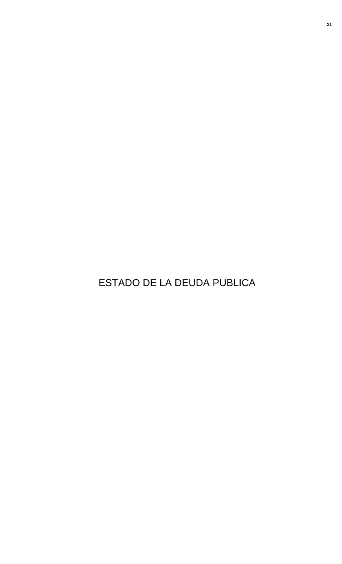ESTADO DE LA DEUDA PUBLICA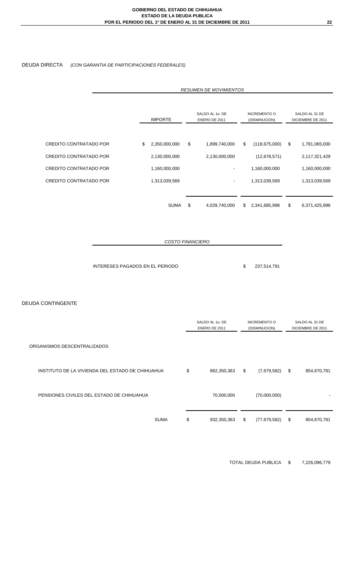### DEUDA DIRECTA *(CON GARANTIA DE PARTICIPACIONES FEDERALES)*

|                               | <b>RESUMEN DE MOVIMIENTOS</b> |                                                    |    |               |                                      |                 |                                     |               |
|-------------------------------|-------------------------------|----------------------------------------------------|----|---------------|--------------------------------------|-----------------|-------------------------------------|---------------|
|                               |                               | SALDO AL 1o. DE<br><b>IMPORTE</b><br>ENERO DE 2011 |    |               | <b>INCREMENTO O</b><br>(DISMINUCION) |                 | SALDO AL 31 DE<br>DICIEMBRE DE 2011 |               |
|                               |                               |                                                    |    |               |                                      |                 |                                     |               |
| CREDITO CONTRATADO POR        | \$                            | 2,350,000,000                                      | \$ | 1,899,740,000 | \$                                   | (118, 675, 000) | \$                                  | 1,781,065,000 |
| <b>CREDITO CONTRATADO POR</b> |                               | 2,130,000,000                                      |    | 2,130,000,000 |                                      | (12,678,571)    |                                     | 2,117,321,429 |
| <b>CREDITO CONTRATADO POR</b> |                               | 1,160,000,000                                      |    |               |                                      | 1,160,000,000   |                                     | 1,160,000,000 |
| <b>CREDITO CONTRATADO POR</b> |                               | 1,313,039,569                                      |    |               |                                      | 1,313,039,569   |                                     | 1,313,039,569 |
|                               |                               |                                                    |    |               |                                      |                 |                                     |               |
|                               |                               | <b>SUMA</b>                                        | \$ | 4,029,740,000 | \$.                                  | 2,341,685,998   | \$                                  | 6,371,425,998 |

*COSTO FINANCIERO*

INTERESES PAGADOS EN EL PERIODO \$ 237,514,791

DEUDA CONTINGENTE

|                                                  | SALDO AL 10. DE<br>ENERO DE 2011 | <b>INCREMENTO O</b><br>(DISMINUCION) | SALDO AL 31 DE<br>DICIEMBRE DE 2011 |
|--------------------------------------------------|----------------------------------|--------------------------------------|-------------------------------------|
| ORGANISMOS DESCENTRALIZADOS                      |                                  |                                      |                                     |
| INSTITUTO DE LA VIVIENDA DEL ESTADO DE CHIHUAHUA | \$<br>862,350,363                | \$<br>(7,679,582)                    | \$<br>854,670,781                   |
| PENSIONES CIVILES DEL ESTADO DE CHIHUAHUA        | 70,000,000                       | (70,000,000)                         |                                     |
| <b>SUMA</b>                                      | \$<br>932,350,363                | \$<br>(77, 679, 582)                 | \$<br>854,670,781                   |

TOTAL DEUDA PUBLICA \$ 7,226,096,779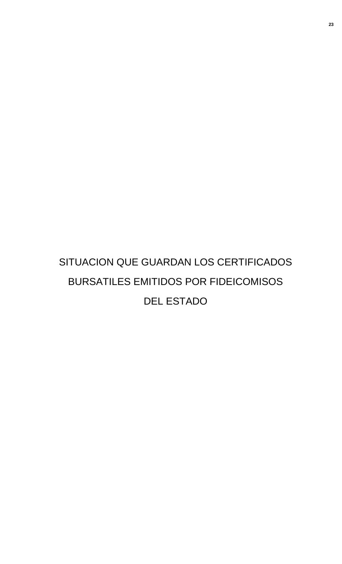# SITUACION QUE GUARDAN LOS CERTIFICADOS BURSATILES EMITIDOS POR FIDEICOMISOS DEL ESTADO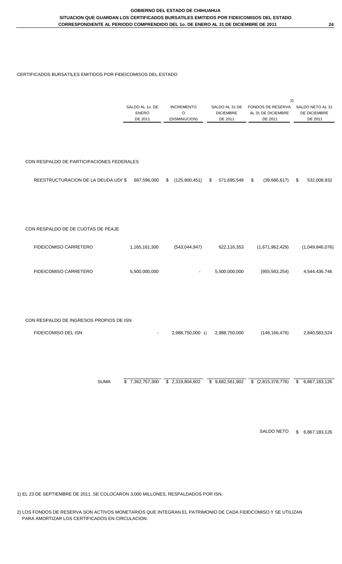#### CERTIFICADOS BURSATILES EMITIDOS POR FIDEICOMISOS DEL ESTADO

|                                           | SALDO AL 1o. DE<br><b>ENERO</b><br>DE 2011 | <b>INCREMENTO</b><br>O<br>(DISMINUCION) | SALDO AL 31 DE<br><b>DICIEMBRE</b><br>DE 2011 | 2)<br>FONDOS DE RESERVA<br>AL 31 DE DICIEMBRE<br>DE 2011 | SALDO NETO AL 31<br>DE DICIEMBRE<br>DE 2011 |
|-------------------------------------------|--------------------------------------------|-----------------------------------------|-----------------------------------------------|----------------------------------------------------------|---------------------------------------------|
| CON RESPALDO DE PARTICIPACIONES FEDERALES |                                            |                                         |                                               |                                                          |                                             |
| REESTRUCTURACION DE LA DEUDA UDI' \$      | 697,596,000                                | (125,900,451)<br>\$                     | 571,695,549<br>\$                             | \$<br>(39, 686, 617)                                     | 532,008,932<br>\$                           |
| CON RESPALDO DE DE CUOTAS DE PEAJE        |                                            |                                         |                                               |                                                          |                                             |
| FIDEICOMISO CARRETERO                     | 1,165,161,300                              | (543, 044, 947)                         | 622,116,353                                   | (1,671,962,429)                                          | (1,049,846,076)                             |
| <b>FIDEICOMISO CARRETERO</b>              | 5,500,000,000                              |                                         | 5,500,000,000                                 | (955, 563, 254)                                          | 4,544,436,746                               |
|                                           |                                            |                                         |                                               |                                                          |                                             |
| CON RESPALDO DE INGRESOS PROPIOS DE ISN   |                                            |                                         |                                               |                                                          |                                             |
| FIDEICOMISO DEL ISN                       |                                            | 2,988,750,000 1)                        | 2,988,750,000                                 | (148, 166, 476)                                          | 2,840,583,524                               |
|                                           |                                            |                                         |                                               |                                                          |                                             |

SUMA  $\overline{\$}$  7,362,757,300  $\overline{\$}$  2,319,804,602  $\overline{\$}$  9,682,561,902  $\overline{\$}$  (2,815,378,776)  $\overline{\$}$  6,867,183,126

SALDO NETO \$ 6,867,183,126

1) EL 23 DE SEPTIEMBRE DE 2011, SE COLOCARON 3,000 MILLONES, RESPALDADOS POR ISN.

2) LOS FONDOS DE RESERVA SON ACTIVOS MONETARIOS QUE INTEGRAN EL PATRIMONIO DE CADA FIDEICOMISO Y SE UTILIZAN PARA AMORTIZAR LOS CERTIFICADOS EN CIRCULACION.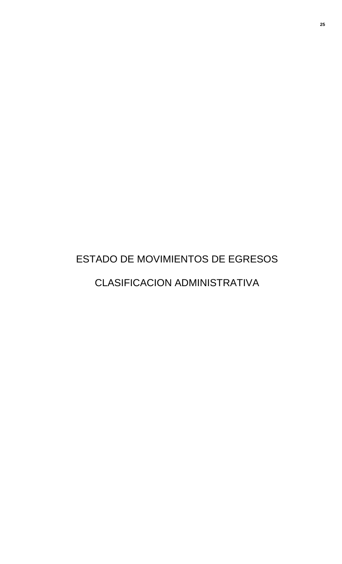# ESTADO DE MOVIMIENTOS DE EGRESOS CLASIFICACION ADMINISTRATIVA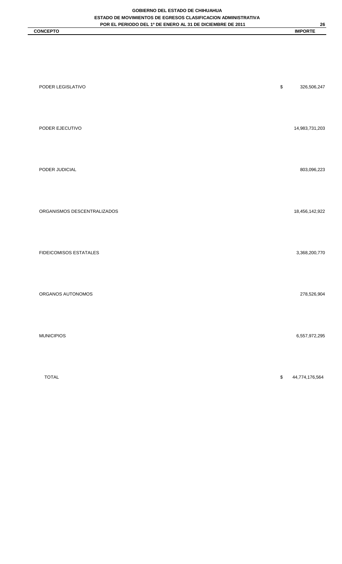| PODER LEGISLATIVO           | $\mathbb{S}$                                      | 326,506,247    |
|-----------------------------|---------------------------------------------------|----------------|
| PODER EJECUTIVO             |                                                   | 14,983,731,203 |
| PODER JUDICIAL              |                                                   | 803,096,223    |
| ORGANISMOS DESCENTRALIZADOS |                                                   | 18,456,142,922 |
| FIDEICOMISOS ESTATALES      |                                                   | 3,368,200,770  |
| ORGANOS AUTONOMOS           |                                                   | 278,526,904    |
| <b>MUNICIPIOS</b>           |                                                   | 6,557,972,295  |
| <b>TOTAL</b>                | $\, \, \raisebox{-1.5pt}{\text{\circle*{1.5}}}\,$ | 44,774,176,564 |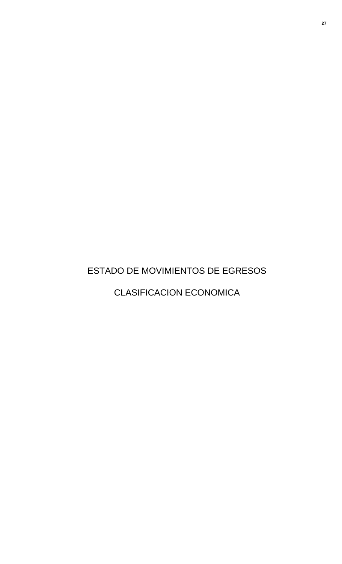ESTADO DE MOVIMIENTOS DE EGRESOS

CLASIFICACION ECONOMICA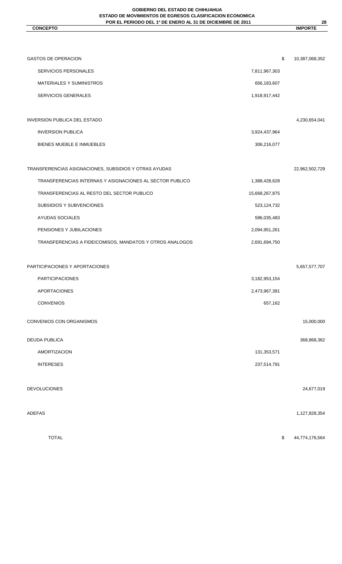#### **GOBIERNO DEL ESTADO DE CHIHUAHUA ESTADO DE MOVIMIENTOS DE EGRESOS CLASIFICACION ECONOMICA POR EL PERIODO DEL 1º DE ENERO AL 31 DE DICIEMBRE DE 2011**

**CONCEPTO IMPORTE**

| ۹ |
|---|
|   |

| <b>GASTOS DE OPERACION</b>                               | \$             | 10,387,068,352 |
|----------------------------------------------------------|----------------|----------------|
| SERVICIOS PERSONALES                                     | 7,811,967,303  |                |
| MATERIALES Y SUMINISTROS                                 | 656,183,607    |                |
| <b>SERVICIOS GENERALES</b>                               | 1,918,917,442  |                |
|                                                          |                |                |
| <b>INVERSION PUBLICA DEL ESTADO</b>                      |                | 4,230,654,041  |
| <b>INVERSION PUBLICA</b>                                 | 3,924,437,964  |                |
| BIENES MUEBLE E INMUEBLES                                | 306,216,077    |                |
|                                                          |                |                |
| TRANSFERENCIAS ASIGNACIONES, SUBSIDIOS Y OTRAS AYUDAS    |                | 22,962,502,729 |
| TRANSFERENCIAS INTERNAS Y ASIGNACIONES AL SECTOR PUBLICO | 1,388,428,628  |                |
| TRANSFERENCIAS AL RESTO DEL SECTOR PUBLICO               | 15,668,267,875 |                |
| <b>SUBSIDIOS Y SUBVENCIONES</b>                          | 523,124,732    |                |
| <b>AYUDAS SOCIALES</b>                                   | 596,035,483    |                |
| PENSIONES Y JUBILACIONES                                 | 2,094,951,261  |                |
| TRANSFERENCIAS A FIDEICOMISOS, MANDATOS Y OTROS ANALOGOS | 2,691,694,750  |                |
|                                                          |                |                |
| PARTICIPACIONES Y APORTACIONES                           |                | 5,657,577,707  |
| <b>PARTICIPACIONES</b>                                   | 3,182,953,154  |                |
| <b>APORTACIONES</b>                                      | 2,473,967,391  |                |
| <b>CONVENIOS</b>                                         | 657,162        |                |
|                                                          |                |                |
| CONVENIOS CON ORGANISMOS                                 |                | 15,000,000     |
| <b>DEUDA PUBLICA</b>                                     |                | 368,868,362    |
| AMORTIZACION                                             | 131,353,571    |                |
| <b>INTERESES</b>                                         | 237,514,791    |                |
|                                                          |                |                |
| <b>DEVOLUCIONES</b>                                      |                | 24,677,019     |
|                                                          |                |                |
| <b>ADEFAS</b>                                            |                | 1,127,828,354  |
|                                                          |                |                |
| <b>TOTAL</b>                                             | \$             | 44,774,176,564 |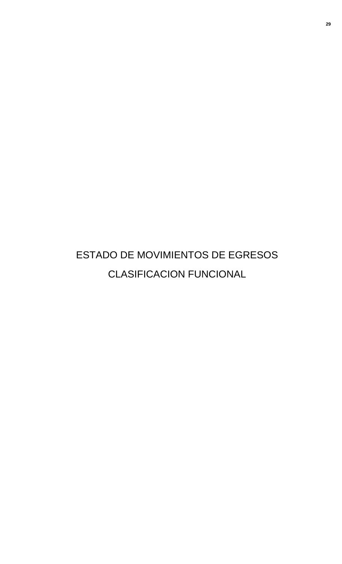# ESTADO DE MOVIMIENTOS DE EGRESOS CLASIFICACION FUNCIONAL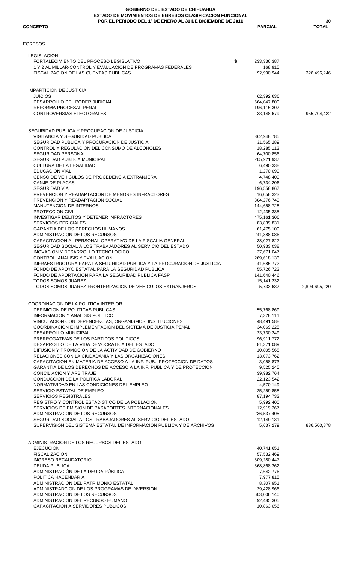#### **POR EL PERIODO DEL 1º DE ENERO AL 31 DE DICIEMBRE DE 2011 GOBIERNO DEL ESTADO DE CHIHUAHUA ESTADO DE MOVIMIENTOS DE EGRESOS CLASIFICACION FUNCIONAL**

| POR EL PERIODO DEL 1º DE ENERO AL 31 DE DICIEMBRE DE 2011<br><b>CONCEPTO</b>                                                                  | <b>PARCIAL</b>             | 30<br><b>TOTAL</b> |
|-----------------------------------------------------------------------------------------------------------------------------------------------|----------------------------|--------------------|
|                                                                                                                                               |                            |                    |
| EGRESOS                                                                                                                                       |                            |                    |
|                                                                                                                                               |                            |                    |
| <b>LEGISLACION</b><br>FORTALECIMIENTO DEL PROCESO LEGISLATIVO                                                                                 | \$<br>233,336,387          |                    |
| 1 Y 2 AL MILLAR-CONTROL Y EVALUACION DE PROGRAMAS FEDERALES                                                                                   | 168,915                    |                    |
| FISCALIZACION DE LAS CUENTAS PUBLICAS                                                                                                         | 92,990,944                 | 326,496,246        |
| <b>IMPARTICION DE JUSTICIA</b>                                                                                                                |                            |                    |
| <b>JUICIOS</b>                                                                                                                                | 62,392,636                 |                    |
| DESARROLLO DEL PODER JUDICIAL<br>REFORMA PROCESAL PENAL                                                                                       | 664,047,800<br>196,115,307 |                    |
| CONTROVERSIAS ELECTORALES                                                                                                                     | 33,148,679                 | 955,704,422        |
| SEGURIDAD PUBLICA Y PROCURACION DE JUSTICIA                                                                                                   |                            |                    |
| VIGILANCIA Y SEGURIDAD PUBLICA                                                                                                                | 362,948,785                |                    |
| SEGURIDAD PUBLICA Y PROCURACION DE JUSTICIA<br>CONTROL Y REGULACION DEL CONSUMO DE ALCOHOLES                                                  | 31,565,289                 |                    |
| <b>SEGURIDAD PERSONAL</b>                                                                                                                     | 18,285,113<br>64,700,856   |                    |
| SEGURIDAD PUBLICA MUNICIPAL                                                                                                                   | 205,921,937                |                    |
| CULTURA DE LA LEGALIDAD                                                                                                                       | 6,490,338                  |                    |
| <b>EDUCACION VIAL</b><br>CENSO DE VEHICULOS DE PROCEDENCIA EXTRANJERA                                                                         | 1,270,099<br>4,748,409     |                    |
| CANJE DE PLACAS                                                                                                                               | 6,734,206                  |                    |
| <b>SEGURIDAD VIAL</b>                                                                                                                         | 196,558,867                |                    |
| PREVENCION Y READAPTACION DE MENORES INFRACTORES                                                                                              | 16,058,323                 |                    |
| PREVENCION Y READAPTACION SOCIAL                                                                                                              | 304,276,749                |                    |
| <b>MANUTENCION DE INTERNOS</b><br>PROTECCION CIVIL                                                                                            | 144,658,728<br>12,435,335  |                    |
| INVESTIGAR DELITOS Y DETENER INFRACTORES                                                                                                      | 475,161,306                |                    |
| <b>SERVICIOS PERICIALES</b>                                                                                                                   | 83,839,831                 |                    |
| <b>GARANTIA DE LOS DERECHOS HUMANOS</b>                                                                                                       | 61,475,109                 |                    |
| ADMINISTRACION DE LOS RECURSOS<br>CAPACITACION AL PERSONAL OPERATIVO DE LA FISCALIA GENERAL                                                   | 241,388,086<br>38,027,827  |                    |
| SEGURIDAD SOCIAL A LOS TRABAJADORES AL SERVICIO DEL ESTADO                                                                                    | 50,933,038                 |                    |
| INOVACION Y DESARROLLO TECNOLOGICO                                                                                                            | 37,671,047                 |                    |
| CONTROL. ANALISIS Y EVALUACION                                                                                                                | 269,618,133                |                    |
| INFRAESTRUCTURA PARA LA SEGURIDAD PUBLICA Y LA PROCURACION DE JUSTICIA<br>FONDO DE APOYO ESTATAL PARA LA SEGURIDAD PUBLICA                    | 41,685,772<br>55,726,722   |                    |
| FONDO DE APORTACIÓN PARA LA SEGURIDAD PUBLICA FASP                                                                                            | 141,640,446                |                    |
| TODOS SOMOS JUÁREZ<br>TODOS SOMOS JUAREZ-FRONTERIZACION DE VEHICULOS EXTRANJEROS                                                              | 15,141,232<br>5,733,637    | 2,894,695,220      |
|                                                                                                                                               |                            |                    |
| COORDINACION DE LA POLITICA INTERIOR<br>DEFINICION DE POLITICAS PUBLICAS                                                                      | 55,768,869                 |                    |
| INFORMACION Y ANALISIS POLITICO                                                                                                               | 7,328,111                  |                    |
| VINCULACION CON DEPENDENCIAS, ORGANISMOS, INSTITUCIONES                                                                                       | 48,491,588                 |                    |
| COORDINACION E IMPLEMENTACION DEL SISTEMA DE JUSTICIA PENAL                                                                                   | 34,069,225                 |                    |
| DESARROLLO MUNICIPAL<br>PRERROGATIVAS DE LOS PARTIDOS POLITICOS                                                                               | 23,730,249<br>96,911,772   |                    |
| DESARROLLO DE LA VIDA DEMOCRATICA DEL ESTADO                                                                                                  | 81,371,089                 |                    |
| DIFUSION Y PROMOCION DE LA ACTIVIDAD DE GOBIERNO                                                                                              | 10,805,568                 |                    |
| RELACIONES CON LA CIUDADANIA Y LAS ORGANIZACIONES                                                                                             | 13,073,762                 |                    |
| CAPACITACION EN MATERIA DE ACCESO A LA INF. PUB., PROTECCION DE DATOS<br>GARANTIA DE LOS DERECHOS DE ACCESO A LA INF. PUBLICA Y DE PROTECCION | 3,058,873<br>9,525,245     |                    |
| CONCILIACION Y ARBITRAJE                                                                                                                      | 39,982,764                 |                    |
| CONDUCCION DE LA POLITICA LABORAL                                                                                                             | 22,123,542                 |                    |
| NORMATIVIDAD EN LAS CONDICIONES DEL EMPLEO                                                                                                    | 4,570,149                  |                    |
| SERVICIO ESTATAL DE EMPLEO<br><b>SERVICIOS REGISTRALES</b>                                                                                    | 25,259,858<br>87,194,732   |                    |
| REGISTRO Y CONTROL ESTADISTICO DE LA POBLACION                                                                                                | 5,992,400                  |                    |
| SERVICIOS DE EMISION DE PASAPORTES INTERNACIONALES                                                                                            | 12,919,267                 |                    |
| ADMINISTRACION DE LOS RECURSOS                                                                                                                | 236,537,405                |                    |
| SEGURIDAD SOCIAL A LOS TRABAJADORES AL SERVICIO DEL ESTADO<br>SUPERVISION DEL SISTEMA ESTATAL DE INFORMACION PUBLICA Y DE ARCHIVOS            | 12,149,131<br>5,637,279    | 836,500,878        |
| ADMINISTRACION DE LOS RECURSOS DEL ESTADO                                                                                                     |                            |                    |
| <b>EJECUCION</b>                                                                                                                              | 40,741,651                 |                    |
| <b>FISCALIZACION</b>                                                                                                                          | 57,532,469                 |                    |
| <b>INGRESO RECAUDATORIO</b>                                                                                                                   | 309,280,447                |                    |
| <b>DEUDA PUBLICA</b><br>ADMINISTRACIÓN DE LA DEUDA PÚBLICA                                                                                    | 368,868,362<br>7,642,776   |                    |
| POLITICA HACENDARIA                                                                                                                           | 7,977,815                  |                    |
| ADMINISTRACION DEL PATRIMONIO ESTATAL                                                                                                         | 8,307,951                  |                    |
| ADMINISTRADCION DE LOS PROGRAMAS DE INVERSION                                                                                                 | 29,428,966                 |                    |
| ADMINISTRACION DE LOS RECURSOS<br>ADMINISTRACION DEL RECURSO HUMANO                                                                           | 603,006,140<br>92,485,305  |                    |
| CAPACITACION A SERVIDORES PUBLICOS                                                                                                            | 10,863,056                 |                    |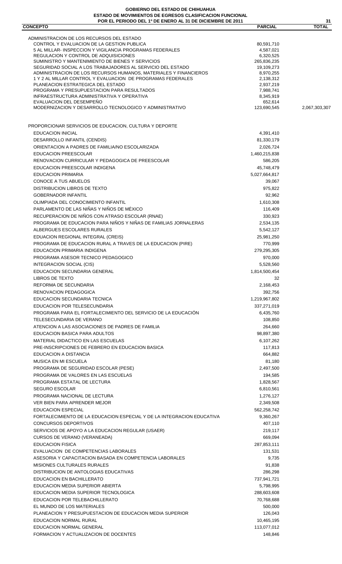#### **GOBIERNO DEL ESTADO DE CHIHUAHUA ESTADO DE MOVIMIENTOS DE EGRESOS CLASIFICACION FUNCIONAL POR EL PERIODO DEL 1º DE ENERO AL 31 DE DICIEMBRE DE 2011**

| POR EL PERIODO DEL 1º DE ENERO AL 31 DE DICIEMBRE DE 2011                               |                         | 31            |
|-----------------------------------------------------------------------------------------|-------------------------|---------------|
| <b>CONCEPTO</b>                                                                         | <b>PARCIAL</b>          | <b>TOTAL</b>  |
|                                                                                         |                         |               |
| ADMINISTRACION DE LOS RECURSOS DEL ESTADO<br>CONTROL Y EVALUACION DE LA GESTION PUBLICA |                         |               |
| 5 AL MILLAR- INSPECCION Y VIGILANCIA PROGRAMAS FEDERALES                                | 80,591,710<br>4,587,021 |               |
| REGULACION Y CONTROL DE ADQUISICIONES                                                   | 6,320,525               |               |
| SUMINISTRO Y MANTENIMIENTO DE BIENES Y SERVICIOS                                        | 265,836,235             |               |
| SEGURIDAD SOCIAL A LOS TRABAJADORES AL SERVICIO DEL ESTADO                              | 19,109,273              |               |
| ADMINISTRACION DE LOS RECURSOS HUMANOS, MATERIALES Y FINANCIEROS                        | 8,970,255               |               |
| 1 Y 2 AL MILLAR CONTROL Y EVALUACION DE PROGRAMAS FEDERALES                             | 2,138,312               |               |
| PLANEACION ESTRATEGICA DEL ESTADO                                                       | 2,937,219               |               |
| PROGRAMA Y PRESUPUESTACION PARA RESULTADOS                                              | 7,988,741               |               |
| INFRAESTRUCTURA ADMINISTRATIVA Y OPERATIVA                                              | 8,345,919               |               |
| EVALUACION DEL DESEMPENO                                                                | 652,614                 |               |
| MODERNIZACION Y DESARROLLO TECNOLOGICO Y ADMINISTRATIVO                                 | 123,690,545             | 2,067,303,307 |
| PROPORCIONAR SERVICIOS DE EDUCACION, CULTURA Y DEPORTE                                  |                         |               |
| <b>EDUCACION INICIAL</b>                                                                | 4,391,410               |               |
| DESARROLLO INFANTIL (CENDIS)                                                            |                         |               |
|                                                                                         | 81,330,179              |               |
| ORIENTACION A PADRES DE FAMILIA/NO ESCOLARIZADA                                         | 2,026,724               |               |
| <b>EDUCACION PREESCOLAR</b>                                                             | 1,460,215,838           |               |
| RENOVACION CURRICULAR Y PEDAGOGICA DE PREESCOLAR                                        | 586,205                 |               |
| EDUCACION PREESCOLAR INDIGENA                                                           | 45,748,479              |               |
| <b>EDUCACION PRIMARIA</b>                                                               | 5,027,664,817           |               |
| <b>CONOCE A TUS ABUELOS</b>                                                             | 39,067                  |               |
| DISTRIBUCION LIBROS DE TEXTO                                                            | 975,822                 |               |
| <b>GOBERNADOR INFANTIL</b>                                                              | 92,962                  |               |
|                                                                                         |                         |               |
| OLIMPIADA DEL CONOCIMIENTO INFANTIL                                                     | 1,610,308               |               |
| PARLAMENTO DE LAS NIÑAS Y NIÑOS DE MÉXICO                                               | 116,409                 |               |
| RECUPERACION DE NIÑOS CON ATRASO ESCOLAR (RNAE)                                         | 330,923                 |               |
| PROGRAMA DE EDUCACION PARA NIÑOS Y NIÑAS DE FAMILIAS JORNALERAS                         | 2,534,135               |               |
| ALBERGUES ESCOLARES RURALES                                                             | 5,542,127               |               |
| EDUACION REGIONAL INTEGRAL (CREIS)                                                      | 25,981,250              |               |
| PROGRAMA DE EDUCACION RURAL A TRAVES DE LA EDUCACION (PIRE)                             | 770,999                 |               |
|                                                                                         |                         |               |
| EDUCACION PRIMARIA INDIGENA                                                             | 279,295,305             |               |
| PROGRAMA ASESOR TECNICO PEDAGOGICO                                                      | 970,000                 |               |
| INTEGRACION SOCIAL (CIS)                                                                | 5,528,560               |               |
| EDUCACION SECUNDARIA GENERAL                                                            | 1,814,500,454           |               |
| LIBROS DE TEXTO                                                                         | 32                      |               |
| REFORMA DE SECUNDARIA                                                                   | 2,168,453               |               |
| <b>RENOVACION PEDAGOGICA</b>                                                            | 392,756                 |               |
| EDUCACION SECUNDARIA TECNICA                                                            | 1,219,967,802           |               |
| EDUCACION POR TELESECUNDARIA                                                            | 337,271,019             |               |
| PROGRAMA PARA EL FORTALECIMIENTO DEL SERVICIO DE LA EDUCACIÓN                           |                         |               |
|                                                                                         | 6,435,760               |               |
| TELESECUNDARIA DE VERANO                                                                | 108,850                 |               |
| ATENCION A LAS ASOCIACIONES DE PADRES DE FAMILIA                                        | 264,660                 |               |
| EDUCACION BASICA PARA ADULTOS                                                           | 98,897,380              |               |
| MATERIAL DIDACTICO EN LAS ESCUELAS                                                      | 6,107,262               |               |
| PRE-INSCRIPCIONES DE FEBRERO EN EDUCACION BASICA                                        | 117,813                 |               |
| EDUCACION A DISTANCIA                                                                   | 664,882                 |               |
| <b>MUSICA EN MI ESCUELA</b>                                                             | 81,180                  |               |
| PROGRAMA DE SEGURIDAD ESCOLAR (PESE)                                                    | 2,497,500               |               |
|                                                                                         |                         |               |
| PROGRAMA DE VALORES EN LAS ESCUELAS                                                     | 194,585                 |               |
| PROGRAMA ESTATAL DE LECTURA                                                             | 1,828,567               |               |
| <b>SEGURO ESCOLAR</b>                                                                   | 6,810,561               |               |
| PROGRAMA NACIONAL DE LECTURA                                                            | 1,276,127               |               |
| VER BIEN PARA APRENDER MEJOR                                                            | 2,349,508               |               |
| <b>EDUCACION ESPECIAL</b>                                                               | 562,258,742             |               |
| FORTALECIMIENTO DE LA EDUCACION ESPECIAL Y DE LA INTEGRACION EDUCATIVA                  | 9,360,267               |               |
|                                                                                         |                         |               |
| CONCURSOS DEPORTIVOS                                                                    | 407,110                 |               |
| SERVICIOS DE APOYO A LA EDUCACION REGULAR (USAER)                                       | 219,117                 |               |
| <b>CURSOS DE VERANO (VERANEADA)</b>                                                     | 669,094                 |               |
| <b>EDUCACION FISICA</b>                                                                 | 287,853,111             |               |
| EVALUACION DE COMPETENCIAS LABORALES                                                    | 131,531                 |               |
| ASESORIA Y CAPACITACION BASADA EN COMPETENCIA LABORALES                                 | 9,735                   |               |
| <b>MISIONES CULTURALES RURALES</b>                                                      | 91,838                  |               |
| DISTRIBUCION DE ANTOLOGIAS EDUCATIVAS                                                   | 286,298                 |               |
| EDUCACION EN BACHILLERATO                                                               |                         |               |
|                                                                                         | 737,941,721             |               |
| EDUCACION MEDIA SUPERIOR ABIERTA                                                        | 5,798,995               |               |
| EDUCACION MEDIA SUPERIOR TECNOLOGICA                                                    | 288,603,608             |               |
| EDUCACION POR TELEBACHILLERATO                                                          | 70,768,688              |               |
| EL MUNDO DE LOS MATERIALES                                                              | 500,000                 |               |
| PLANEACION Y PRESUPUESTACION DE EDUCACION MEDIA SUPERIOR                                | 126,043                 |               |
| EDUCACION NORMAL RURAL                                                                  | 10,465,195              |               |
| EDUCACION NORMAL GENERAL                                                                | 113,077,012             |               |
| FORMACION Y ACTUALIZACION DE DOCENTES                                                   |                         |               |
|                                                                                         | 148,846                 |               |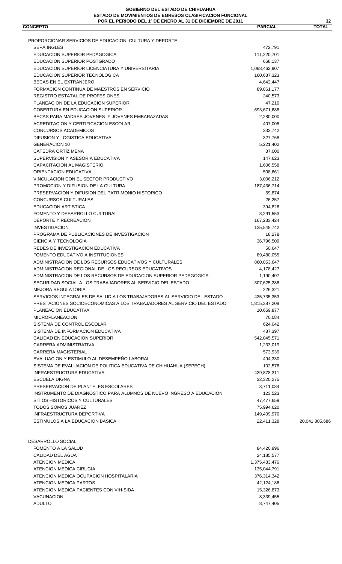| <b>CONCEPTO</b>                                                         | <b>PARCIAL</b>               | <b>TOTAL</b>   |
|-------------------------------------------------------------------------|------------------------------|----------------|
|                                                                         |                              |                |
| PROPORCIONAR SERVICIOS DE EDUCACION, CULTURA Y DEPORTE                  |                              |                |
| <b>SEPA INGLES</b><br><b>EDUCACION SUPERIOR PEDAGOGICA</b>              | 472,791<br>111,220,701       |                |
| EDUCACION SUPERIOR POSTGRADO                                            | 668,137                      |                |
| EDUCACION SUPERIOR LICENCIATURA Y UNIVERSITARIA                         |                              |                |
| EDUCACION SUPERIOR TECNOLOGICA                                          | 1,068,462,907<br>160,687,323 |                |
| BECAS EN EL EXTRANJERO                                                  | 4,642,447                    |                |
| FORMACION CONTINUA DE MAESTROS EN SERVICIO                              | 89,061,177                   |                |
| REGISTRO ESTATAL DE PROFESIONES                                         | 240,573                      |                |
| PLANEACION DE LA EDUCACION SUPERIOR                                     | 47,210                       |                |
| <b>COBERTURA EN EDUCACION SUPERIOR</b>                                  | 693,671,688                  |                |
| BECAS PARA MADRES JOVENES Y JOVENES EMBARAZADAS                         | 2,280,000                    |                |
| ACREDITACION Y CERTIFICACION ESCOLAR                                    | 407,008                      |                |
| <b>CONCURSOS ACADEMICOS</b>                                             | 333,742                      |                |
| DIFUSION Y LOGISTICA EDUCATIVA                                          | 327,768                      |                |
| <b>GENERACION 10</b>                                                    | 5,221,402                    |                |
| CATEDRA ORTÍZ MENA                                                      | 37,000                       |                |
| SUPERVISION Y ASESORIA EDUCATIVA                                        | 147,623                      |                |
| CAPACITACION AL MAGISTERIO                                              | 1,606,558                    |                |
| ORIENTACION EDUCATIVA                                                   | 508,661                      |                |
| VINCULACION CON EL SECTOR PRODUCTIVO                                    | 3,006,212                    |                |
| PROMOCION Y DIFUSION DE LA CULTURA                                      | 187,436,714                  |                |
| PRESERVACION Y DIFUSION DEL PATRIMONIO HISTORICO                        | 59,874                       |                |
| CONCURSOS CULTURALES.                                                   | 26,257                       |                |
| <b>EDUCACION ARTISTICA</b>                                              | 394,826                      |                |
| FOMENTO Y DESARROLLO CULTURAL                                           | 3,291,553                    |                |
| DEPORTE Y RECREACION                                                    | 167,233,424                  |                |
| <b>INVESTIGACION</b>                                                    | 125,548,742                  |                |
| PROGRAMA DE PUBLICACIONES DE INVESTIGACION                              | 18,278                       |                |
| CIENCIA Y TECNOLOGIA                                                    | 36,796,509                   |                |
| REDES DE INVESTIGACIÓN EDUCATIVA                                        | 50,647                       |                |
| FOMENTO EDUCATIVO A INSTITUCIONES                                       | 89,480,055                   |                |
| ADMINISTRACION DE LOS RECURSOS EDUCATIVOS Y CULTURALES                  | 860,053,647                  |                |
| ADMINISTRACION REGIONAL DE LOS RECURSOS EDUCATIVOS                      | 4,178,427                    |                |
| ADMINISTRACION DE LOS RECURSOS DE EDUCACION SUPERIOR PEDAGOGICA         | 1,190,407                    |                |
| SEGURIDAD SOCIAL A LOS TRABAJADORES AL SERVICIO DEL ESTADO              | 307,625,288                  |                |
| <b>MEJORA REGULATORIA</b>                                               | 226,321                      |                |
| SERVICIOS INTEGRALES DE SALUD A LOS TRABAJADORES AL SERVICIO DEL ESTADO | 435,735,353                  |                |
| PRESTACIONES SOCIOECONOMICAS A LOS TRABAJADORES AL SERVICIO DEL ESTADO  | 1,815,387,208                |                |
| PLANEACION EDUCATIVA                                                    | 10,659,877                   |                |
| <b>MICROPLANEACION</b>                                                  | 70,084                       |                |
| SISTEMA DE CONTROL ESCOLAR                                              | 624,042                      |                |
| SISTEMA DE INFORMACION EDUCATIVA                                        | 487,397                      |                |
| CALIDAD EN EDUCACION SUPERIOR                                           | 542,045,571                  |                |
| CARRERA ADMINISTRATIVA                                                  | 1,233,019                    |                |
| CARRERA MAGISTERIAL                                                     | 573,939                      |                |
| EVALUACION Y ESTIMULO AL DESEMPEÑO LABORAL                              | 494,330                      |                |
| SISTEMA DE EVALUACION DE POLITICA EDUCATIVA DE CHIHUAHUA (SEPECH)       | 102,578                      |                |
| INFRAESTRUCTURA EDUCATIVA                                               | 439,878,311                  |                |
| ESCUELA DIGNA                                                           | 32,320,275                   |                |
| PRESERVACION DE PLANTELES ESCOLARES                                     | 3,711,084                    |                |
| INSTRUMENTO DE DIAGNOSTICO PARA ALUMNOS DE NUEVO INGRESO A EDUCACION    | 123,523                      |                |
| SITIOS HISTORICOS Y CULTURALES                                          | 47,477,659                   |                |
| <b>TODOS SOMOS JUÁREZ</b>                                               | 75,994,620                   |                |
| INFRAESTRUCTURA DEPORTIVA                                               | 149,409,970                  |                |
| ESTIMULOS A LA EDUCACION BASICA                                         | 22,411,328                   | 20,041,805,686 |
|                                                                         |                              |                |
| DESARROLLO SOCIAL                                                       |                              |                |

| ESARROLLO SOCIAL                       |               |
|----------------------------------------|---------------|
| FOMENTO A LA SALUD                     | 84,420,996    |
| CALIDAD DEL AGUA                       | 24,185,577    |
| ATENCION MEDICA                        | 1,375,483,476 |
| ATENCION MEDICA CIRUGIA                | 135,044,791   |
| ATENCION MEDICA OCUPACION HOSPITALARIA | 376,314,342   |
| ATENCION MEDICA PARTOS                 | 42,124,186    |
| ATENCION MEDICA PACIENTES CON VIH-SIDA | 15,326,873    |
| <b>VACUNACION</b>                      | 8,339,455     |
| <b>ADULTO</b>                          | 8,747,405     |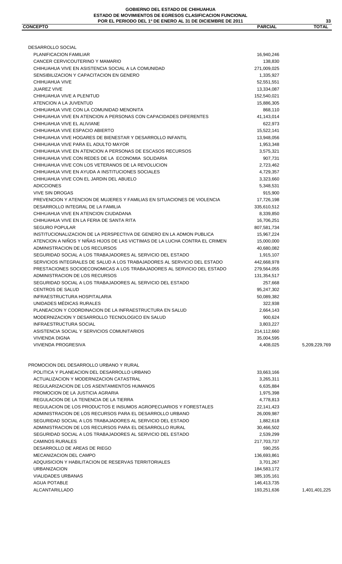| DESARROLLO SOCIAL                                                                            |                           |
|----------------------------------------------------------------------------------------------|---------------------------|
| PLANIFICACION FAMILIAR                                                                       | 16,940,246                |
| CANCER CERVICOUTERINO Y MAMARIO                                                              | 138,830                   |
| CHIHUAHUA VIVE EN ASISTENCIA SOCIAL A LA COMUNIDAD                                           | 271,009,025               |
| SENSIBILIZACION Y CAPACITACION EN GENERO                                                     | 1,335,927                 |
| CHIHUAHUA VIVE                                                                               | 52,551,551                |
| <b>JUAREZ VIVE</b>                                                                           | 13,334,087                |
| CHIHUAHUA VIVE A PLENITUD                                                                    | 152,540,021               |
| ATENCION A LA JUVENTUD                                                                       | 15,886,305                |
| CHIHUAHUA VIVE CON LA COMUNIDAD MENONITA                                                     | 868,110                   |
| CHIHUAHUA VIVE EN ATENCION A PERSONAS CON CAPACIDADES DIFERENTES                             | 41,143,014                |
| CHIHUAHUA VIVE EL ALIVIANE                                                                   | 622,973                   |
| CHIHUAHUA VIVE ESPACIO ABIERTO                                                               | 15,522,141                |
| CHIHUAHUA VIVE HOGARES DE BIENESTAR Y DESARROLLO INFANTIL                                    | 13,948,056                |
| CHIHUAHUA VIVE PARA EL ADULTO MAYOR                                                          | 1,953,348                 |
| CHIHUAHUA VIVE EN ATENCION A PERSONAS DE ESCASOS RECURSOS                                    | 3,575,321                 |
| CHIHUAHUA VIVE CON REDES DE LA ECONOMIA SOLIDARIA                                            | 907,731                   |
| CHIHUAHUA VIVE CON LOS VETERANOS DE LA REVOLUCION                                            | 2,723,462                 |
| CHIHUAHUA VIVE EN AYUDA A INSTITUCIONES SOCIALES                                             | 4,729,357                 |
| CHIHUAHUA VIVE CON EL JARDIN DEL ABUELO                                                      | 3,323,660                 |
| <b>ADICCIONES</b>                                                                            | 5,348,531                 |
| <b>VIVE SIN DROGAS</b>                                                                       | 915,900                   |
| PREVENCION Y ATENCION DE MUJERES Y FAMILIAS EN SITUACIONES DE VIOLENCIA                      | 17,726,198                |
| DESARROLLO INTEGRAL DE LA FAMILIA                                                            | 335,610,512               |
| CHIHUAHUA VIVE EN ATENCION CIUDADANA                                                         | 8,339,850                 |
| CHIHUAHUA VIVE EN LA FERIA DE SANTA RITA                                                     | 16,706,251                |
| <b>SEGURO POPULAR</b>                                                                        | 807,581,734               |
| INSTITUCIONALIZACION DE LA PERSPECTIVA DE GENERO EN LA ADMON PUBLICA                         | 15,967,224                |
| ATENCION A NIÑOS Y NIÑAS HIJOS DE LAS VICTIMAS DE LA LUCHA CONTRA EL CRIMEN                  | 15,000,000                |
| ADMINISTRACION DE LOS RECURSOS                                                               | 40,680,082                |
| SEGURIDAD SOCIAL A LOS TRABAJADORES AL SERVICIO DEL ESTADO                                   | 1,915,107                 |
| SERVICIOS INTEGRALES DE SALUD A LOS TRABAJADORES AL SERVICIO DEL ESTADO                      | 442,668,978               |
| PRESTACIONES SOCIOECONOMICAS A LOS TRABAJADORES AL SERVICIO DEL ESTADO                       | 279,564,055               |
| ADMINISTRACION DE LOS RECURSOS<br>SEGURIDAD SOCIAL A LOS TRABAJADORES AL SERVICIO DEL ESTADO | 131,354,517               |
|                                                                                              | 257,668                   |
| <b>CENTROS DE SALUD</b><br>INFRAESTRUCTURA HOSPITALARIA                                      | 95,247,302                |
| UNIDADES MÉDICAS RURALES                                                                     | 50,089,382                |
| PLANEACION Y COORDINACION DE LA INFRAESTRUCTURA EN SALUD                                     | 322,938                   |
| MODERNIZACION Y DESARROLLO TECNOLOGICO EN SALUD                                              | 2,664,143                 |
|                                                                                              | 900,624                   |
| INFRAESTRUCTURA SOCIAL                                                                       | 3,803,227                 |
| ASISTENCIA SOCIAL Y SERVICIOS COMUNITARIOS<br><b>VIVIENDA DIGNA</b>                          | 214,112,660<br>35,004,595 |
| <b>VIVIENDA PROGRESIVA</b>                                                                   | 4,408,025                 |
|                                                                                              |                           |
| PROMOCION DEL DESARROLLO URBANO Y RURAL                                                      |                           |
| POLITICA Y PLANEACION DEL DESARROLLO URBANO                                                  | 33,663,166                |
| ACTUALIZACION Y MODERNIZACION CATASTRAL                                                      | 3,265,311                 |
| REGULARIZACION DE LOS ASENTAMIENTOS HUMANOS                                                  | 6,635,884                 |
| PROMOCION DE LA JUSTICIA AGRARIA                                                             | 1,975,398                 |
| REGULACION DE LA TENENCIA DE LA TIERRA                                                       | 4,778,813                 |
| REGULACION DE LOS PRODUCTOS E INSUMOS AGROPECUARIOS Y FORESTALES                             | 22,141,423                |
| ADMINISTRACION DE LOS RECURSOS PARA EL DESARROLLO URBANO                                     | 26,009,987                |
| SEGURIDAD SOCIAL A LOS TRABAJADORES AL SERVICIO DEL ESTADO                                   | 1,882,618                 |
| ADMINISTRACION DE LOS RECURSOS PARA EL DESARROLLO RURAL                                      | 30,466,502                |
| SEGURIDAD SOCIAL A LOS TRABAJADORES AL SERVICIO DEL ESTADO                                   | 2,539,299                 |
| <b>CAMINOS RURALES</b>                                                                       | 217,703,737               |
| DESARROLLO DE AREAS DE RIEGO                                                                 | 590,255                   |
| <b>MECANIZACION DEL CAMPO</b>                                                                | 136,693,861               |
| ADQUISICION Y HABILITACION DE RESERVAS TERRITORIALES                                         | 3,701,267                 |
| <b>URBANIZACION</b>                                                                          | 184,583,172               |
| <b>VIALIDADES URBANAS</b>                                                                    | 385,105,161               |
| <b>AGUA POTABLE</b>                                                                          | 146,413,735               |

ALCANTARILLADO 1,401,401,225

5,209,229,769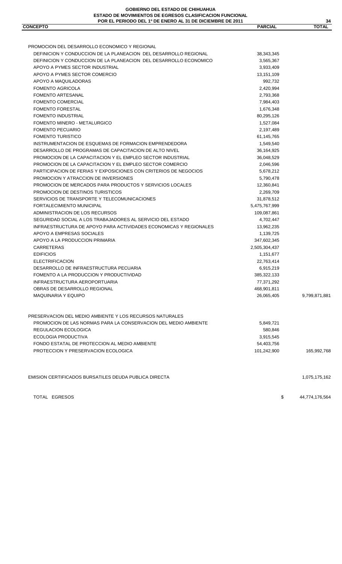| TOTAL EGRESOS                                                                                            | \$                        | 44,774,176,564 |
|----------------------------------------------------------------------------------------------------------|---------------------------|----------------|
| EMISION CERTIFICADOS BURSATILES DEUDA PUBLICA DIRECTA                                                    |                           | 1,075,175,162  |
|                                                                                                          |                           | 165,992,768    |
| FONDO ESTATAL DE PROTECCION AL MEDIO AMBIENTE<br>PROTECCION Y PRESERVACION ECOLOGICA                     | 54,403,756<br>101,242,900 |                |
| <b>ECOLOGIA PRODUCTIVA</b>                                                                               | 3,915,545                 |                |
| REGULACION ECOLOGICA                                                                                     | 580,846                   |                |
| PROMOCION DE LAS NORMAS PARA LA CONSERVACION DEL MEDIO AMBIENTE                                          | 5,849,721                 |                |
| PRESERVACION DEL MEDIO AMBIENTE Y LOS RECURSOS NATURALES                                                 |                           |                |
|                                                                                                          |                           |                |
|                                                                                                          |                           |                |
| <b>MAQUINARIA Y EQUIPO</b>                                                                               | 26,065,405                | 9,799,871,881  |
| OBRAS DE DESARROLLO REGIONAL                                                                             | 468,901,811               |                |
| INFRAESTRUCTURA AEROPORTUARIA                                                                            | 77,371,292                |                |
| FOMENTO A LA PRODUCCION Y PRODUCTIVIDAD                                                                  | 385,322,133               |                |
| DESARROLLO DE INFRAESTRUCTURA PECUARIA                                                                   | 6,915,219                 |                |
| <b>ELECTRIFICACION</b>                                                                                   | 22,763,414                |                |
| <b>EDIFICIOS</b>                                                                                         | 1,151,677                 |                |
| <b>CARRETERAS</b>                                                                                        | 2,505,304,437             |                |
| APOYO A LA PRODUCCION PRIMARIA                                                                           | 347,602,345               |                |
| APOYO A EMPRESAS SOCIALES                                                                                | 1,139,725                 |                |
| INFRAESTRUCTURA DE APOYO PARA ACTIVIDADES ECONOMICAS Y REGIONALES                                        | 13,962,235                |                |
| SEGURIDAD SOCIAL A LOS TRABAJADORES AL SERVICIO DEL ESTADO                                               | 4,702,447                 |                |
| ADMINISTRACION DE LOS RECURSOS                                                                           | 109,087,861               |                |
| FORTALECIMIENTO MUNICIPAL                                                                                | 5,475,767,999             |                |
| SERVICIOS DE TRANSPORTE Y TELECOMUNICACIONES                                                             | 31,878,512                |                |
| PROMOCION DE MERCADOS PARA PRODUCTOS Y SERVICIOS LOCALES<br>PROMOCION DE DESTINOS TURISTICOS             | 12,360,841<br>2,269,709   |                |
|                                                                                                          | 5,790,478                 |                |
| PARTICIPACION DE FERIAS Y EXPOSICIONES CON CRITERIOS DE NEGOCIOS<br>PROMOCION Y ATRACCION DE INVERSIONES | 5,678,212                 |                |
| PROMOCION DE LA CAPACITACION Y EL EMPLEO SECTOR COMERCIO                                                 | 2,046,596                 |                |
| PROMOCION DE LA CAPACITACION Y EL EMPLEO SECTOR INDUSTRIAL                                               | 36,048,529                |                |
| DESARROLLO DE PROGRAMAS DE CAPACITACION DE ALTO NIVEL                                                    | 36,164,925                |                |
| INSTRUMENTACION DE ESQUEMAS DE FORMACION EMPRENDEDORA                                                    | 1,549,540                 |                |
| <b>FOMENTO TURISTICO</b>                                                                                 | 61,145,765                |                |
| <b>FOMENTO PECUARIO</b>                                                                                  | 2,197,489                 |                |
| FOMENTO MINERO - METALURGICO                                                                             | 1,527,084                 |                |
| <b>FOMENTO INDUSTRIAL</b>                                                                                | 80,295,126                |                |
| <b>FOMENTO FORESTAL</b>                                                                                  | 1,676,348                 |                |
| <b>FOMENTO COMERCIAL</b>                                                                                 | 7,984,403                 |                |
| <b>FOMENTO ARTESANAL</b>                                                                                 | 2,793,368                 |                |
| <b>FOMENTO AGRICOLA</b>                                                                                  | 2,420,994                 |                |
| APOYO A MAQUILADORAS                                                                                     | 992,732                   |                |
| APOYO A PYMES SECTOR COMERCIO                                                                            | 13,151,109                |                |
| APOYO A PYMES SECTOR INDUSTRIAL                                                                          | 3,933,409                 |                |
| DEFINICION Y CONDUCCION DE LA PLANEACION DEL DESARROLLO ECONOMICO                                        | 3,565,367                 |                |
| DEFINICION Y CONDUCCION DE LA PLANEACION DEL DESARROLLO REGIONAL                                         | 38, 343, 345              |                |
| PROMOCION DEL DESARROLLO ECONOMICO Y REGIONAL                                                            |                           |                |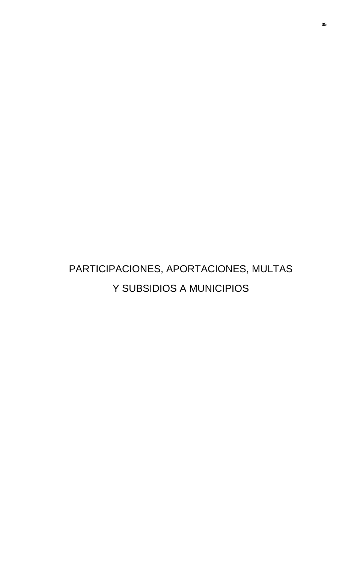# PARTICIPACIONES, APORTACIONES, MULTAS Y SUBSIDIOS A MUNICIPIOS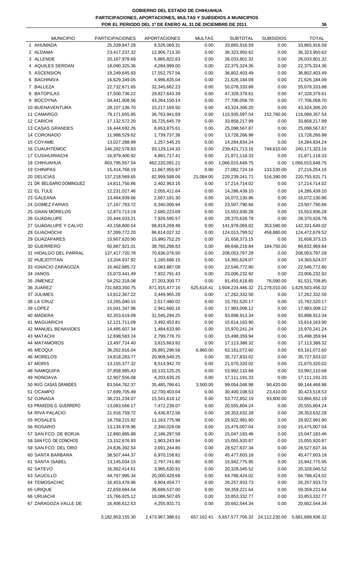**GOBIERNO DEL ESTADO DE CHIHUAHUA PARTICIPACIONES, APORTACIONES, MULTAS Y SUBSIDIOS A MUNICIPIOS POR EL PERIODO DEL 1º DE ENERO AL 31 DE DICIEMBRE DE 2011**

|   | <b>MUNICIPIO</b>                  | <b>PARTICIPACIONES</b>         | <b>APORTACIONES</b>           | <b>MULTAS</b>    | <b>SUBTOTAL</b>                | <b>SUBSIDIOS</b> | <b>TOTAL</b>                                    |
|---|-----------------------------------|--------------------------------|-------------------------------|------------------|--------------------------------|------------------|-------------------------------------------------|
|   | 1 AHUMADA                         | 25,339,847.28                  | 8,526,069.31                  | 0.00             | 33,865,916.59                  | 0.00             | 33,865,916.59                                   |
|   | 2 ALDAMA                          | 23,417,237.32                  | 12,906,713.30                 | 0.00             | 36,323,950.62                  | 0.00             | 36,323,950.62                                   |
|   | 3 ALLENDE                         | 20,167,978.69                  | 5,865,822.63                  | 0.00             | 26,033,801.32                  | 0.00             | 26,033,801.32                                   |
|   | 4 AQUILES SERDAN                  | 18,090,325.36                  | 4,284,999.00                  | 0.00             | 22,375,324.36                  | 0.00             | 22,375,324.36                                   |
|   | 5 ASCENSION                       | 19,249,645.93                  | 17,552,757.56                 | 0.00             | 36,802,403.49                  | 0.00             | 36,802,403.49                                   |
| 6 | <b>BACHINIVA</b>                  | 16,629,349.05                  | 4,996,835.04                  | 0.00             | 21,626,184.09                  | 0.00             | 21,626,184.09                                   |
|   | 7 BALLEZA                         | 22,732,671.65                  | 32,345,662.23                 | 0.00             | 55,078,333.88                  | 0.00             | 55,078,333.88                                   |
|   | 8 BATOPILAS                       | 17,500,736.22                  | 29,827,643.39                 | 0.00             | 47,328,379.61                  | 0.00             | 47,328,379.61                                   |
|   | 9 BOCOYNA                         | 34,441,908.56                  | 43,264,150.14                 | 0.00             | 77,706,058.70                  | 0.00             | 77,706,058.70                                   |
|   | 10 BUENAVENTURA                   | 28,107,136.70                  | 15,217,169.50                 | 0.00             | 43,324,306.20                  | 0.00             | 43,324,306.20                                   |
|   | 11 CAMARGO                        | 79,171,655.85                  | 36,763,941.69                 | 0.00             | 115,935,597.54                 | 152,760.00       | 116,088,357.54                                  |
|   | 12 CARICHI                        | 17, 132, 572. 20               | 16,725,645.79                 | 0.00             | 33,858,217.99                  | 0.00             | 33,858,217.99                                   |
|   | 13 CASAS GRANDES<br>14 CORONADO   | 16,444,692.26                  | 8,653,875.61                  | 0.00<br>0.00     | 25,098,567.87                  | 0.00<br>0.00     | 25,098,567.87                                   |
|   | 15 COYAME                         | 11,988,529.62<br>13,027,288.99 | 1,739,737.36<br>1,257,545.25  | 0.00             | 13,728,266.98<br>14,284,834.24 | 0.00             | 13,728,266.98<br>14,284,834.24                  |
|   | <b>16 CUAUHTEMOC</b>              | 146,292,578.83                 | 93,129,134.33                 | 0.00             | 239,421,713.16                 | 749,610.00       | 240, 171, 323. 16                               |
|   | <b>17 CUSIHUIRIACHI</b>           | 16,979,400.92                  | 4,891,717.41                  | 0.00             | 21,871,118.33                  | 0.00             | 21,871,118.33                                   |
|   | <b>18 CHIHUAHUA</b>               | 603,795,557.54                 | 462,220,091.21                | 0.00             | 1,066,015,648.75               | 0.00             | 1,066,015,648.75                                |
|   | 19 CHINIPAS                       | 15,414,768.19                  | 11,667,955.97                 | 0.00             | 27,082,724.16                  | 133,530.00       | 27,216,254.16                                   |
|   | 20 DELICIAS                       | 137,218,569.65                 | 82,999,588.06                 | 21,084.00        | 220, 239, 241. 71              | 516,390.00       | 220,755,631.71                                  |
|   | 21 DR. BELISARIO DOMINGUEZ        | 14,811,750.86                  | 2,402,963.16                  | 0.00             | 17,214,714.02                  | 0.00             | 17,214,714.02                                   |
|   | 22 EL TULE                        | 12,231,027.46                  | 2,055,411.64                  | 0.00             | 14,286,439.10                  | 0.00             | 14,286,439.10                                   |
|   | 23 GALEANA                        | 13,464,939.66                  | 2,607,191.30                  | 0.00             | 16,072,130.96                  | 0.00             | 16,072,130.96                                   |
|   | 24 GOMEZ FARIAS                   | 17, 167, 783. 72               | 6,340,006.94                  | 0.00             | 23,507,790.66                  | 0.00             | 23,507,790.66                                   |
|   | 25 GRAN MORELOS                   | 12,873,713.19                  | 2,680,223.09                  | 0.00             | 15,553,936.28                  | 0.00             | 15,553,936.28                                   |
|   | 26 GUADALUPE                      | 20,444,033.21                  | 7,926,595.57                  | 0.00             | 28,370,628.78                  | 0.00             | 28,370,628.78                                   |
|   | 27 GUADALUPE Y CALVO              | 43,158,800.54                  | 98,819,268.48                 | 0.00             | 141,978,069.02                 | 353,580.00       | 142,331,649.02                                  |
|   | 28 GUACHOCHI                      | 37,399,772.20                  | 86,614,027.32                 | 0.00             | 124,013,799.52                 | 458,880.00       | 124,472,679.52                                  |
|   | 29 GUAZAPARES                     | 15,667,620.90                  | 15,990,752.25                 | 0.00             | 31,658,373.15                  | 0.00             | 31,658,373.15                                   |
|   | 30 GUERRERO                       | 50,887,921.01                  | 38,760,298.83                 | 0.00             | 89,648,219.84                  | 184,750.00       | 89,832,969.84                                   |
|   | 31 HIDALGO DEL PARRAL             | 137,417,720.78                 | 70,636,076.50                 | 0.00             | 208,053,797.28                 | 0.00             | 208,053,797.28                                  |
|   | 32 HUEJOTITAN                     | 13,204,937.92                  | 1,160,686.15                  | 0.00             | 14,365,624.07                  | 0.00             | 14,365,624.07                                   |
|   | 33 IGNACIO ZARAGOZA               | 16,462,885.72                  | 6,083,887.08                  | 0.00             | 22,546,772.80                  | 0.00             | 22,546,772.80                                   |
|   | 34 JANOS                          | 15,073,441.49                  | 7,932,791.43                  | 0.00             | 23,006,232.92                  | 0.00             | 23,006,232.92                                   |
|   | 35 JIMENEZ                        | 54,252,318.08                  | 27,203,300.77                 | 0.00             | 81,455,618.85                  | 76,090.00        | 81,531,708.85                                   |
|   | 36 JUAREZ                         | 731,683,350.75                 | 871,915,477.16                | 625,618.41       | 1,604,224,446.32 21,279,010.00 |                  | 1,625,503,456.32                                |
|   | 37 JULIMES                        | 13,812,367.22                  | 3,449,965.28                  | 0.00             | 17,262,332.50                  | 0.00             | 17,262,332.50                                   |
|   | 38 LA CRUZ                        | 13,265,040.15                  | 2,517,480.02                  | 0.00             | 15,782,520.17                  | 0.00             | 15,782,520.17                                   |
|   | 39 LOPEZ                          | 15,041,347.96                  | 2,941,660.16                  | 0.00             | 17,983,008.12                  | 0.00             | 17,983,008.12                                   |
|   | 40 MADERA                         | 62,353,619.09                  | 31,545,294.25                 | 0.00             | 93,898,913.34                  | 0.00             | 93,898,913.34                                   |
|   | 41 MAGUARICHI                     | 12,121,711.09                  | 3,492,452.81                  | 0.00             | 15,614,163.90                  | 0.00             | 15,614,163.90                                   |
|   | 42 MANUEL BENAVIDES               | 14,485,607.34                  | 1,484,633.90                  | 0.00             | 15,970,241.24                  | 0.00             | 15,970,241.24                                   |
|   | 43 MATACHI                        | 12,698,583.24                  | 2,799,776.70                  | 0.00             | 15,498,359.94                  | 0.00             | 15,498,359.94                                   |
|   | 44 MATAMOROS                      | 13,497,724.40                  | 3,615,663.92                  | 0.00             | 17,113,388.32                  | 0.00             | 17,113,388.32                                   |
|   | 45 MEOQUI                         | 36,262,816.04                  | 26,891,296.56                 | 6,960.00         | 63,161,072.60                  | 0.00             | 63,161,072.60                                   |
|   | 46 MORELOS                        | 14,818,283.77                  | 20,909,549.25                 | 0.00             | 35,727,833.02                  | 0.00             | 35,727,833.02                                   |
|   | 47 MORIS                          | 13, 155, 377. 32               | 8,514,942.70                  | 0.00             | 21,670,320.02                  | 0.00             | 21,670,320.02                                   |
|   | <b>48 NAMIQUIPA</b><br>49 NONOAVA | 37,858,985.43                  | 16, 133, 125. 25              | 0.00             | 53,992,110.68                  | 0.00<br>0.00     | 53,992,110.68                                   |
|   | 50 NVO. CASAS GRANDES             | 12,907,556.08<br>63,564,762.37 | 4,203,635.25<br>35,485,786.61 | 0.00<br>3,500.00 | 17,111,191.33<br>99,054,048.98 | 90,420.00        | 17,111,191.33<br>99,144,468.98                  |
|   | 51 OCAMPO                         | 17,699,705.49                  | 12,700,403.04                 | 0.00             | 30,400,108.53                  | 23,410.00        | 30,423,518.53                                   |
|   | 52 OJINAGA                        | 38,231,234.07                  | 15,541,618.12                 | 0.00             | 53,772,852.19                  | 93,800.00        | 53,866,652.19                                   |
|   | 53 PRAXEDIS G. GUERRERO           | 13,083,566.17                  | 7,472,238.07                  | 0.00             | 20,555,804.24                  | 0.00             | 20,555,804.24                                   |
|   | 54 RIVA PALACIO                   | 21,916,759.72                  | 6,436,872.56                  | 0.00             | 28,353,632.28                  | 0.00             | 28,353,632.28                                   |
|   | 55 ROSALES                        | 18,759,215.92                  | 11,163,775.98                 | 0.00             | 29,922,991.90                  | 0.00             | 29,922,991.90                                   |
|   | 56 ROSARIO                        | 13,134,978.96                  | 2,340,028.08                  | 0.00             | 15,475,007.04                  | 0.00             | 15,475,007.04                                   |
|   | 57 SAN FCO. DE BORJA              | 12,860,885.88                  | 2,186,297.58                  | 0.00             | 15,047,183.46                  | 0.00             | 15,047,183.46                                   |
|   | 58 SAN FCO. DE CONCHOS            | 13, 152, 676. 93               | 1,903,243.94                  | 0.00             | 15,055,920.87                  | 0.00             | 15,055,920.87                                   |
|   | 59 SAN FCO. DEL ORO               | 24,836,392.54                  | 3,691,244.80                  | 0.00             | 28,527,637.34                  | 0.00             | 28,527,637.34                                   |
|   | 60 SANTA BARBARA                  | 38,507,444.37                  | 6,970,158.81                  | 0.00             | 45,477,603.18                  | 0.00             | 45,477,603.18                                   |
|   | 61 SANTA ISABEL                   | 13,145,034.15                  | 2,797,741.80                  | 0.00             | 15,942,775.95                  | 0.00             | 15,942,775.95                                   |
|   | 62 SATEVO                         | 16,362,414.61                  | 3,965,630.91                  | 0.00             | 20,328,045.52                  | 0.00             | 20,328,045.52                                   |
|   | 63 SAUCILLO                       | 44,787,995.34                  | 20,000,428.68                 | 0.00             | 64,788,424.02                  | 0.00             | 64,788,424.02                                   |
|   | 64 TEMOSACHIC                     | 16,453,478.96                  | 9,804,454.77                  | 0.00             | 26,257,933.73                  | 0.00             | 26,257,933.73                                   |
|   | 65 URIQUE                         | 22,659,684.64                  | 36,699,537.00                 | 0.00             | 59,359,221.64                  | 0.00             | 59,359,221.64                                   |
|   | 66 URUACHI                        | 15,766,825.12                  | 18,086,507.65                 | 0.00             | 33,853,332.77                  | 0.00             | 33,853,332.77                                   |
|   | 67 ZARAGOZA VALLE DE              | 16,406,612.63                  | 4,255,931.71                  | 0.00             | 20,662,544.34                  | 0.00             | 20,662,544.34                                   |
|   |                                   |                                |                               |                  |                                |                  |                                                 |
|   |                                   | 3, 182, 953, 155.30            | 2,473,967,388.61              | 657,162.41       |                                |                  | 5,657,577,706.32 24,112,230.00 5,681,689,936.32 |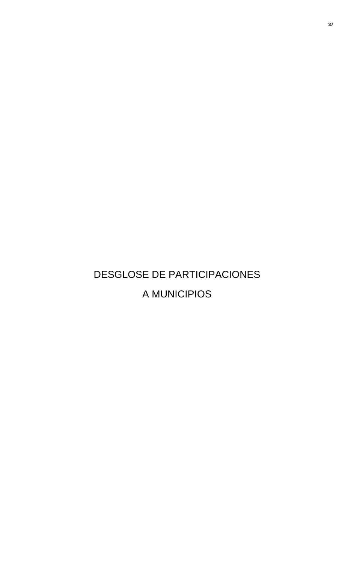# DESGLOSE DE PARTICIPACIONES A MUNICIPIOS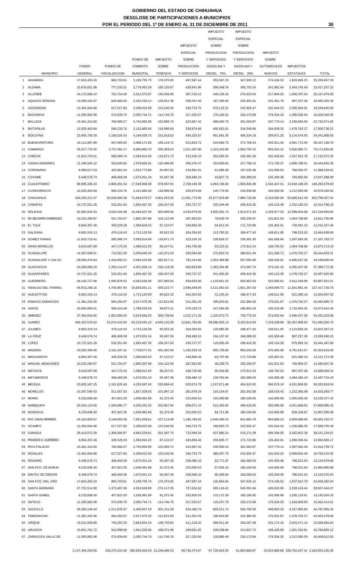#### **GOBIERNO DEL ESTADO DE CHIHUAHUA DESGLOSE DE PARTICIPACIONES A MUNICIPIOS POR EL PERIODO DEL 1º DE ENERO AL 31 DE DICIEMBRE DE 2011**

|    |                                               |                                |                            |                                 |                          |                            | <b>IMPUESTO</b>                         | <b>IMPUESTO</b>                         |                             |                              |                                |
|----|-----------------------------------------------|--------------------------------|----------------------------|---------------------------------|--------------------------|----------------------------|-----------------------------------------|-----------------------------------------|-----------------------------|------------------------------|--------------------------------|
|    |                                               |                                |                            |                                 |                          |                            | <b>ESPECIAL</b>                         | <b>ESPECIAL</b>                         |                             |                              |                                |
|    |                                               |                                |                            |                                 |                          | <b>IMPUESTO</b>            | SOBRE                                   | SOBRE                                   |                             |                              |                                |
|    |                                               |                                |                            |                                 |                          | <b>ESPECIAL</b>            | <b>PRODUCCION</b><br><b>Y SERVICIOS</b> | <b>PRODUCCION</b><br><b>Y SERVICIOS</b> | <b>IMPUESTO</b>             |                              |                                |
|    |                                               | <b>FONDO</b>                   | FONDO DE                   | FONDO DE<br><b>FOMENTO</b>      | <b>IMPUESTO</b><br>SOBRE | SOBRE<br><b>PRODUCCION</b> | <b>GASOLINA Y</b>                       | <b>GASOLINA Y</b>                       | SOBRE<br><b>AUTOMOVILES</b> | <b>IMPUESTOS</b>             |                                |
|    | <b>MUNICIPIO</b>                              | <b>GENERAL</b>                 | <b>FISCALIZACION</b>       | <b>MUNICIPAL</b>                | <b>TENENCIA</b>          | Y SERVICIOS                | DIESEL 70%                              | DIESEL 30%                              | <b>NUEVOS</b>               | <b>ESTATALES</b>             | <b>TOTAL</b>                   |
|    | 1 AHUMADA                                     | 17,823,455.33                  | 883,703.61                 | 3,159,755.75                    | 176,370.05               | 487,587.44                 | 353,567.23                              | 347,636.12                              | 274,106.52                  | 1,833,665.23                 | 25,339,847.28                  |
|    | 2 ALDAMA                                      | 15,676,051.08                  | 777,233.31                 | 2,779,062.29                    | 155,120.67               | 428,841.96                 | 599,348.74                              | 305,752.24                              | 241,081.64                  | 2,454,745.40                 | 23,417,237.32                  |
|    | 3 ALLENDE                                     | 14,172,868.10                  | 702,704.08                 | 2,512,576.87                    | 140,246.08               | 387,720.12                 | 249,128.16                              | 276,433.54                              | 217,964.20                  | 1,508,337.54                 | 20,167,978.69                  |
|    | 4 AQUILES SERDAN                              | 13,099,165.97                  | 649,468.92                 | 2,322,230.12                    | 129,621.38               | 358,347.40                 | 187,290.83                              | 255,491.61                              | 201,451.76                  | 887,257.36                   | 18,090,325.36                  |
|    | 5 ASCENSION                                   | 12,454,944.68                  | 617,527.83                 | 2,208,022.09                    | 123,246.56               | 340,723.75                 | 675,115.31                              | 242,926.47                              | 191,544.33                  | 2,395,594.91                 | 19,249,645.93                  |
|    | 6 BACHINIVA                                   | 11,595,982.99                  | 574,939.70                 | 2,055,744.71                    | 114,746.79               | 317,225.57                 | 176,165.52                              | 226,172.89                              | 178,334.33                  | 1,390,036.54                 | 16,629,349.05                  |
|    | 7 BALLEZA                                     | 15,461,310.65                  | 766,586.27                 | 2,740,992.95                    | 152,995.74               | 422,967.42                 | 489,482.70                              | 301,563.87                              | 237,779.14                  | 2,158,992.92                 | 22,732,671.65                  |
|    | 8 BATOPILAS                                   | 12,025,463.84                  | 596,233.76                 | 2,131,883.40                    | 118,996.68               | 328,974.66                 | 400,932.61                              | 234,549.66                              | 184,939.33                  | 1,478,762.27                 | 17,500,736.22                  |
|    | 9 BOCOYNA                                     | 23,406,706.39                  | 1,160,526.43               | 4,149,558.75                    | 231,618.53               | 640,325.67                 | 901,691.35                              | 456,534.18                              | 359,971.20                  | 3,134,976.05                 | 34,441,908.56                  |
|    | 10 BUENAVENTURA<br>11 CAMARGO                 | 19,111,897.89<br>55,617,770.25 | 947,585.82<br>2,757,581.17 | 3,388,171.83<br>9,859,960.70    | 189,119.72<br>550,359.63 | 522,834.72<br>1,521,507.80 | 619,066.75<br>1,423,343.96              | 372,766.43<br>1,084,792.22              | 293,921.46<br>855,344.41    | 2,661,772.09<br>5,500,995.71 | 28,107,136.70<br>79,171,655.85 |
|    | 12 CARICHI                                    | 11,810,723.41                  | 585,586.74                 | 2,093,814.06                    | 116,871.73               | 323,100.10                 | 252,565.24                              | 230,361.30                              | 181,636.84                  | 1,537,912.78                 | 17, 132, 572. 20               |
|    | 13 CASAS GRANDES                              | 11,166,502.12                  | 553,645.62                 | 1,979,606.01                    | 110,496.90               | 305,476.47                 | 253,650.63                              | 217,796.13                              | 171,729.37                  | 1,685,789.01                 | 16,444,692.26                  |
|    | 14 CORONADO                                   | 8,589,617.03                   | 425,881.24                 | 1,522,773.86                    | 84,997.62                | 234,981.91                 | 61,686.58                               | 167,535.48                              | 132,099.52                  | 768,956.37                   | 11,988,529.62                  |
|    | 15 COYAME                                     | 9,448,578.74                   | 468,469.39                 | 1,675,051.24                    | 93,497.39                | 258,480.10                 | 43,807.73                               | 184,289.03                              | 145,309.48                  | 709,805.90                   | 13,027,288.99                  |
|    | 16 CUAUHTEMOC                                 | 98,995,336.23                  | 4,908,281.54               | 17,549,968.68                   | 979,597.65               | 2,708,166.39               | 4,063,746.65                            | 1,930,846.39                            | 1,522,447.01                | 13,634,188.29                | 146,292,578.83                 |
|    | 17 CUSIHUIRIACHI                              | 12,025,463.84                  | 596,233.76                 | 2,131,883.40                    | 118,996.68               | 328,974.66                 | 145,774.50                              | 234,549.66                              | 184,939.33                  | 1,212,585.08                 | 16,979,400.92                  |
|    | 18 CHIHUAHUA                                  | 404,356,221.57                 | 20,048,360.39              | 71,684,579.27                   | 4,001,263.26             | 11,061,772.90              | 22,877,429.89                           | 7,886,732.66                            | 6,218,585.09                | 55,660,612.49                | 603,795,557.54                 |
|    | 19 CHINIPAS                                   | 10,737,021.29                  | 532,351.60                 | 1,903,467.35                    | 106,247.03               | 293,727.37                 | 225,249.49                              | 209,419.35                              | 165,124.39                  | 1,242,160.33                 | 15,414,768.19                  |
|    | 20 DELICIAS                                   | 92,982,604.33                  | 4,610,164.68               | 16,484,027.00                   | 920,099.30               | 2,543,679.06               | 3,835,391.74                            | 1,813,571.54                            | 1,429,977.33                | 12,599,054.68                | 137,218,569.65                 |
|    | 21 DR. BELISARIO DOMINGUEZ                    | 10,522,280.87                  | 521,704.57                 | 1,865,397.98                    | 104,122.09               | 287,852.82                 | 78,630.79                               | 205,230.97                              | 161,821.93                  | 1,064,708.86                 | 14,811,750.86                  |
|    | 22 EL TULE                                    | 8,804,357.46                   | 436,528.29                 | 1,560,843.22                    | 87,122.57                | 240,856.46                 | 54,812.44                               | 171,723.86                              | 135,402.01                  | 739,381.15                   | 12,231,027.46                  |
|    | 23 GALEANA                                    | 9,663,319.13                   | 479,116.43                 | 1,713,120.59                    | 95,622.33                | 264,354.65                 | 113,785.52                              | 188,477.43                              | 148,611.95                  | 798,531.63                   | 13,464,939.66                  |
|    | 24 GOMEZ FARIAS                               | 11,810,723.41                  | 585,586.74                 | 2,093,814.06                    | 116,871.73               | 323,100.10                 | 228,626.27                              | 230,361.30                              | 181,636.84                  | 1,597,063.26                 | 17, 167, 783. 72               |
|    | 25 GRAN MORELOS                               | 9.019.097.89                   | 447,175.33                 | 1,598,912.55                    | 89,247.51                | 246,730.98                 | 93,223.31                               | 175,912.24                              | 138,704.52                  | 1,064,708.86                 | 12,873,713.19                  |
|    | 26 GUADALUPE                                  | 14,387,608.51                  | 713,351.09                 | 2,550,646.20                    | 142,371.03               | 393,594.68                 | 275,810.76                              | 280,621.94                              | 221,266.72                  | 1,478,762.27                 | 20,444,033.21                  |
|    | 27 GUADALUPE Y CALVO                          | 28,560,476.64                  | 1,416,055.21               | 5,063,223.08                    | 282,617.11               | 781,314.80                 | 1,563,389.98                            | 557,055.46                              | 439,230.91                  | 4,495,437.36                 | 43,158,800.54                  |
|    | 28 GUACHOCHI<br>29 GUAZAPARES                 | 24,265,668.10<br>10,737,021.29 | 1,203,114.57<br>532,351.60 | 4,301,836.14<br>1,903,467.35    | 240,118.29<br>106,247.03 | 663,823.88<br>293,727.37   | 1,383,304.96<br>241,500.26              | 473,287.74<br>209,419.35                | 373,181.16<br>165,124.39    | 4,495,437.36<br>1,478,762.27 | 37,399,772.20<br>15,667,620.90 |
| 30 | <b>GUERRERO</b>                               | 34,143,727.66                  | 1,692,878.02               | 6,053,026.06                    | 337,865.56               | 934,053.06                 | 1,123,051.52                            | 665,953.53                              | 525,095.61                  | 5,412,269.99                 | 50,887,921.01                  |
|    | 31 HIDALGO DEL PARRAL                         | 94,915,268.16                  | 4,705,987.94               | 16,826,651.11                   | 939,223.77               | 2,596,549.99               | 3,121,081.63                            | 1,851,267.03                            |                             | 1,459,699.72 11,001,991.44   | 137,417,720.78                 |
|    | 32 HUEJOTITAN                                 | 9,663,319.13                   | 479,116.43                 | 1,713,120.59                    | 95,622.33                | 264,354.65                 | 31,235.24                               | 188,477.43                              | 148,611.95                  | 621,080.16                   | 13,204,937.92                  |
|    | 33 IGNACIO ZARAGOZA                           | 11,381,242.56                  | 564,292.67                 | 2,017,675.35                    | 112,621.85               | 311,351.03                 | 199,923.61                              | 221,984.50                              | 175,031.87                  | 1,478,762.27                 | 16,462,885.72                  |
|    | 34 JANOS                                      | 10,092,800.01                  | 500,410.48                 | 1,789,259.29                    | 99,872.21                | 276,103.73                 | 247,560.38                              | 196,854.19                              | 155,216.95                  | 1,715,364.25                 | 15,073,441.49                  |
|    | 35 JIMENEZ                                    | 37,364,834.05                  | 1,852,583.50               | 6,624,066.25                    | 369,739.66               | 1,022,171.26               | 1,220,073.72                            | 728,779.33                              | 574,632.94                  | 4,495,437.36                 | 54,252,318.08                  |
|    | 36 JUAREZ                                     | 469,422,570.53                 | 23,274,410.94              | 83,219,591.22                   | 4,645,120.28             | 12,841,760.80              | 39,596,935.13                           | 9,155,813.93                            | 7,219,238.99                | 82,307,908.92                | 731,683,350.75                 |
|    | 37 JULIMES                                    | 9,663,319.13                   | 479,116.43                 | 1,713,120.59                    | 95,622.33                | 264,354.65                 | 135,885.36                              | 188,477.43                              | 148,611.95                  | 1,123,859.34                 | 13,812,367.22                  |
|    | 38 LA CRUZ                                    | 9,448,578.74                   | 468,469.39                 | 1,675,051.24                    | 93,497.39                | 258,480.10                 | 104,107.42                              | 184,289.03                              | 145,309.48                  | 887,257.36                   | 13,265,040.15                  |
|    | 39 LOPEZ                                      | 10,737,021.29                  | 532,351.60                 | 1,903,467.35                    | 106,247.03               | 293,727.37                 | 118,006.49                              | 209,419.35                              | 165,124.39                  | 975,983.10                   | 15,041,347.96                  |
|    | 40 MADERA                                     | 43,592,306.40                  | 2,161,347.41               | 7,728,077.31                    | 431,362.96               | 1,192,533.16               | 965,729.65                              | 850,242.55                              | 670,405.08                  | 4,761,614.57                 | 62,353,619.09                  |
|    | 41 MAGUARICHI                                 | 8,804,357.46                   | 436,528.29                 | 1,560,843.22                    | 87,122.57                | 240,856.46                 | 63,797.06                               | 171,723.86                              | 135,402.01                  | 621,080.16                   | 12,121,711.09                  |
|    | 42 MANUEL BENAVIDES                           | 10,522,280.87                  | 521,704.57                 | 1,865,397.98                    | 104,122.09               | 287,852.82                 | 48,239.75                               | 205,230.97                              | 161,821.93                  | 768,956.37                   | 14,485,607.34                  |
|    | 43 MATACHI                                    | 9,019,097.89                   | 447,175.33                 | 1,598,912.55                    | 89,247.51                | 246,730.98                 | 95,544.85                               | 175,912.24                              | 138,704.52                  | 887,257.36                   | 12,698,583.24                  |
|    | 44 MATAMOROS<br>45 MEOQUI                     | 9,448,578.74<br>23,836,187.25  | 468,469.39<br>1,181,820.49 | 1,675,051.24<br>4,225,697.45    | 93,497.39<br>235,868.42  | 258,480.10<br>652,074.78   | 129,764.94<br>1,247,871.86              | 184,289.03<br>464,910.95                | 145,309.48<br>366,576.19    | 1,094,284.10<br>4,051,808.65 | 13,497,724.40<br>36,262,816.04 |
|    | 46 MORELOS                                    | 10,307,540.43                  | 511,057.53                 | 1,827,328.63                    | 101,997.15               | 281,978.29                 | 216,234.67                              | 201,042.58                              | 158,519.42                  | 1,212,585.08                 | 14,818,283.77                  |
|    | 47 MORIS                                      | 9,233,838.30                   | 457,822.35                 | 1,636,981.89                    | 91,372.45                | 252,605.53                 | 155,090.80                              | 180,100.65                              | 142,006.99                  | 1,005,558.36                 | 13, 155, 377. 32               |
|    | 48 NAMIQUIPA                                  | 25,554,110.65                  | 1,266,996.77               | 4,530,252.22                    | 252,867.94               | 699,071.15                 | 612,463.92                              | 498,418.05                              | 392,996.08                  | 4,051,808.65                 | 37,858,985.43                  |
|    | 49 NONOAVA                                    | 9,233,838.30                   | 457,822.35                 | 1,636,981.89                    | 91,372.45                | 252,605.53                 | 84,721.06                               | 180,100.65                              | 142,006.99                  | 828,106.87                   | 12,907,556.08                  |
|    | 50 NVO. CASAS GRANDES                         | 43, 162, 825. 57               | 2,140,053.35               | 7,651,938.61                    | 427,113.08               | 1,180,784.05               | 1,640,483.15                            | 841,865.79                              | 663,800.10                  | 5,855,898.65                 | 63,564,762.37                  |
|    | 51 OCAMPO                                     | 12,454,944.68                  | 617,527.83                 | 2,208,022.09                    | 123,246.56               | 340,723.75                 | 189,883.73                              | 242,926.47                              | 191,544.33                  | 1,330,886.05                 | 17,699,705.49                  |
|    | 52 OJINAGA                                    | 26,413,072.39                  | 1,309,584.87               | 4,682,529.61                    | 261,367.70               | 722,569.34                 | 637,880.24                              | 515,171.59                              | 406,206.05                  | 3,282,852.28                 | 38,231,234.07                  |
|    | 53 PRAXEDIS G. GUERRERO                       | 8,804,357.46                   | 436,528.29                 | 1,560,843.22                    | 87,122.57                | 240,856.46                 | 256,695.77                              | 171,723.86                              | 135,402.01                  | 1,390,036.54                 | 13,083,566.17                  |
|    | 54 RIVA PALACIO                               | 15,461,310.65                  | 766,586.27                 | 2,740,992.95                    | 152,995.74               | 422,967.42                 | 235,500.43                              | 301,563.87                              | 237,779.14                  | 1,597,063.26                 | 21,916,759.72                  |
|    | 55 ROSALES                                    | 12,454,944.68                  | 617,527.83                 | 2,208,022.09                    | 123,246.56               | 340,723.75                 | 480,437.75                              | 242,926.47                              | 191,544.33                  | 2,099,842.46                 | 18,759,215.92                  |
|    | 56 ROSARIO                                    | 9,448,578.74                   | 468,469.39                 | 1,675,051.24                    | 93,497.39                | 258,480.10                 | 62,771.97                               | 184,289.03                              | 145,309.48                  | 798,531.63                   | 13,134,978.96                  |
|    | 57 SAN FCO. DE BORJA                          | 9,233,838.30                   | 457,822.35                 | 1,636,981.89                    | 91,372.45                | 252,605.53                 | 67,626.10                               | 180.100.65                              | 142,006.99                  | 798,531.63                   | 12,860,885.88                  |
|    | 58 SAN FCO, DE CONCHOS<br>59 SAN FCO. DEL ORO | 9,448,578.74                   | 468,469.39                 | 1,675,051.24                    | 93,497.39                | 258,480.10<br>487,587.44   | 80,469.94                               | 184,289.03                              | 145,309.48                  | 798,531.63                   | 13, 152, 676. 93               |
|    | 60 SANTA BARBARA                              | 17,823,455.33<br>27,701,514.90 | 883,703.61<br>1,373,467.06 | 3, 159, 755. 75<br>4,910,945.69 | 176,370.05<br>274,117.35 | 757,816.62                 | 145,864.94<br>305,116.42                | 347,636.12<br>540,301.94                | 274,106.52<br>426,020.95    | 1,537,912.78<br>2,218,143.44 | 24,836,392.54<br>38,507,444.37 |
|    | 61 SANTA ISABEL                               | 9,233,838.30                   | 457,822.35                 | 1,636,981.89                    | 91,372.45                | 252,605.53                 | 115,172.39                              | 180,100.65                              | 142,006.99                  | 1,035,133.61                 | 13,145,034.15                  |
|    | 62 SATEVO                                     | 11,595,982.99                  | 574,939.70                 | 2,055,744.71                    | 114,746.79               | 317,225.57                 | 116,257.79                              | 226,172.89                              | 178,334.33                  | 1,183,009.83                 | 16,362,414.61                  |
|    | 63 SAUCILLO                                   | 30,493,140.44                  | 1,511,878.47               | 5,405,847.19                    | 301,741.58               | 834,185.74                 | 859,511.74                              | 594,750.95                              | 468,953.32                  | 4,317,985.90                 | 44,787,995.34                  |
|    | 64 TEMOSACHIC                                 | 11,381,242.56                  | 564,292.67                 | 2,017,675.35                    | 112,621.85               | 311,351.03                 | 190,516.85                              | 221,984.50                              | 175,031.87                  | 1,478,762.27                 | 16,453,478.96                  |
|    | 65 URIQUE                                     | 15,031,829.80                  | 745,292.20                 | 2,664,854.24                    | 148,745.84               | 411,218.32                 | 589,911.84                              | 293,187.08                              | 231, 174. 16                | 2,543,471.15                 | 22,659,684.64                  |
|    | 66 URUACHI                                    | 10,951,761.72                  | 542,998.58                 | 1,941,536.66                    | 108,371.99               | 299,601.92                 | 239,208.84                              | 213,607.72                              | 168,426.89                  | 1,301,310.81                 | 15,766,825.12                  |
|    | 67 ZARAGOZA VALLE DE                          | 11,595,982.98                  | 574,939.69                 | 2,055,744.70                    | 114,746.78               | 317,225.60                 | 130,880.49                              | 226,172.94                              |                             | 178,334.35  1,212,585.09     | 16,406,612.63                  |
|    |                                               |                                |                            |                                 |                          |                            |                                         |                                         |                             |                              |                                |

2,147,404,256.80 106,470,315.46 380,693,464.03 21,249,406.53 58,745,474.87 97,729,029.35 41,883,869.87 33,024,880.98 295,752,457.41 3,182,953,155.30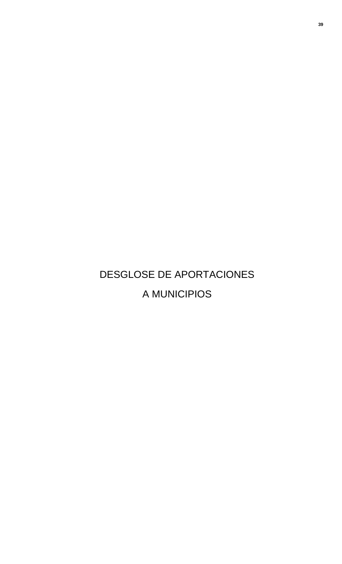# DESGLOSE DE APORTACIONES A MUNICIPIOS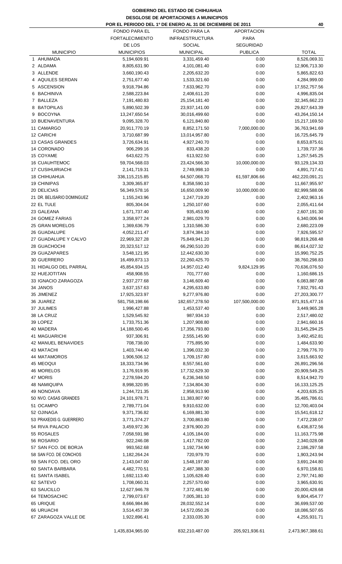### **GOBIERNO DEL ESTADO DE CHIHUAHUA DESGLOSE DE APORTACIONES A MUNICIPIOS POR EL PERIODO DEL 1º DE ENERO AL 31 DE DICIEMBRE DE 2011**

|                            | 40                     |                        |                   |                  |
|----------------------------|------------------------|------------------------|-------------------|------------------|
|                            | <b>FONDO PARA EL</b>   | <b>FONDO PARA LA</b>   | <b>APORTACION</b> |                  |
|                            | <b>FORTALECIMIENTO</b> | <b>INFRAESTRUCTURA</b> | <b>PARA</b>       |                  |
|                            | DE LOS                 | <b>SOCIAL</b>          | SEGURIDAD         |                  |
| <b>MUNICIPIO</b>           | <b>MUNICIPIOS</b>      | <b>MUNICIPAL</b>       | <b>PUBLICA</b>    | <b>TOTAL</b>     |
| 1 AHUMADA                  | 5,194,609.91           | 3,331,459.40           | 0.00              | 8,526,069.31     |
| 2 ALDAMA                   | 8,805,631.90           | 4,101,081.40           | 0.00              | 12,906,713.30    |
| 3 ALLENDE                  | 3,660,190.43           | 2,205,632.20           | 0.00              | 5,865,822.63     |
| 4 AQUILES SERDAN           |                        |                        | 0.00              |                  |
|                            | 2,751,677.40           | 1,533,321.60           |                   | 4,284,999.00     |
| 5 ASCENSION                | 9,918,794.86           | 7,633,962.70           | 0.00              | 17,552,757.56    |
| 6 BACHINIVA                | 2,588,223.84           | 2,408,611.20           | 0.00              | 4,996,835.04     |
| 7 BALLEZA                  | 7,191,480.83           | 25, 154, 181. 40       | 0.00              | 32,345,662.23    |
| 8 BATOPILAS                | 5,890,502.39           | 23,937,141.00          | 0.00              | 29,827,643.39    |
| 9 BOCOYNA                  | 13,247,650.54          | 30,016,499.60          | 0.00              | 43,264,150.14    |
| 10 BUENAVENTURA            | 9,095,328.70           | 6,121,840.80           | 0.00              | 15,217,169.50    |
| 11 CAMARGO                 | 20,911,770.19          | 8,852,171.50           | 7,000,000.00      | 36,763,941.69    |
| 12 CARICHI                 | 3,710,687.99           | 13,014,957.80          | 0.00              | 16,725,645.79    |
| 13 CASAS GRANDES           | 3,726,634.91           | 4,927,240.70           | 0.00              | 8,653,875.61     |
| 14 CORONADO                | 906,299.16             | 833,438.20             | 0.00              | 1,739,737.36     |
| 15 COYAME                  | 643,622.75             | 613,922.50             | 0.00              | 1,257,545.25     |
| <b>16 CUAUHTEMOC</b>       | 59,704,568.03          | 23,424,566.30          | 10,000,000.00     | 93,129,134.33    |
| <b>17 CUSIHUIRIACHI</b>    | 2,141,719.31           | 2,749,998.10           | 0.00              | 4,891,717.41     |
|                            |                        |                        |                   |                  |
| <b>18 CHIHUAHUA</b>        | 336, 115, 215.85       | 64,507,068.70          | 61,597,806.66     | 462,220,091.21   |
| <b>19 CHINIPAS</b>         | 3,309,365.87           | 8,358,590.10           | 0.00              | 11,667,955.97    |
| 20 DELICIAS                | 56,349,578.16          | 16,650,009.90          | 10,000,000.00     | 82,999,588.06    |
| 21 DR. BELISARIO DOMINGUEZ | 1,155,243.96           | 1,247,719.20           | 0.00              | 2,402,963.16     |
| 22 EL TULE                 | 805,304.04             | 1,250,107.60           | 0.00              | 2,055,411.64     |
| 23 GALEANA                 | 1,671,737.40           | 935,453.90             | 0.00              | 2,607,191.30     |
| 24 GOMEZ FARIAS            | 3,358,977.24           | 2,981,029.70           | 0.00              | 6,340,006.94     |
| 25 GRAN MORELOS            | 1,369,636.79           | 1,310,586.30           | 0.00              | 2,680,223.09     |
| 26 GUADALUPE               | 4,052,211.47           | 3,874,384.10           | 0.00              | 7,926,595.57     |
| 27 GUADALUPE Y CALVO       | 22,969,327.28          | 75,849,941.20          | 0.00              | 98,819,268.48    |
| 28 GUACHOCHI               | 20,323,517.12          | 66,290,510.20          | 0.00              | 86,614,027.32    |
| 29 GUAZAPARES              | 3,548,121.95           | 12,442,630.30          | 0.00              | 15,990,752.25    |
| 30 GUERRERO                |                        |                        | 0.00              |                  |
|                            | 16,499,873.13          | 22,260,425.70          |                   | 38,760,298.83    |
| 31 HIDALGO DEL PARRAL      | 45,854,934.15          | 14,957,012.40          | 9,824,129.95      | 70,636,076.50    |
| 32 HUEJOTITAN              | 458,908.55             | 701,777.60             | 0.00              | 1,160,686.15     |
| 33 IGNACIO ZARAGOZA        | 2,937,277.68           | 3,146,609.40           | 0.00              | 6,083,887.08     |
| 34 JANOS                   | 3,637,157.63           | 4,295,633.80           | 0.00              | 7,932,791.43     |
| 35 JIMENEZ                 | 17,925,323.97          | 9,277,976.80           | 0.00              | 27,203,300.77    |
| 36 JUAREZ                  | 581,758,198.66         | 182,657,278.50         | 107,500,000.00    | 871,915,477.16   |
| 37 JULIMES                 | 1,996,427.88           | 1,453,537.40           | 0.00              | 3,449,965.28     |
| 38 LA CRUZ                 | 1,529,545.92           | 987,934.10             | 0.00              | 2,517,480.02     |
| 39 LOPEZ                   | 1,733,751.36           | 1,207,908.80           | 0.00              | 2,941,660.16     |
| 40 MADERA                  | 14,188,500.45          | 17,356,793.80          | 0.00              | 31,545,294.25    |
| 41 MAGUARICHI              | 937,306.91             | 2,555,145.90           | 0.00              | 3,492,452.81     |
| 42 MANUEL BENAVIDES        | 708,738.00             | 775,895.90             | 0.00              | 1,484,633.90     |
| 43 MATACHI                 | 1,403,744.40           | 1,396,032.30           | 0.00              | 2,799,776.70     |
| 44 MATAMOROS               | 1,906,506.12           | 1,709,157.80           | 0.00              | 3,615,663.92     |
| 45 MEOQUI                  | 18,333,734.96          | 8,557,561.60           | 0.00              |                  |
|                            |                        |                        |                   | 26,891,296.56    |
| 46 MORELOS                 | 3,176,919.95           | 17,732,629.30          | 0.00              | 20,909,549.25    |
| 47 MORIS                   | 2,278,594.20           | 6,236,348.50           | 0.00              | 8,514,942.70     |
| <b>48 NAMIQUIPA</b>        | 8,998,320.95           | 7,134,804.30           | 0.00              | 16, 133, 125. 25 |
| 49 NONOAVA                 | 1,244,721.35           | 2,958,913.90           | 0.00              | 4,203,635.25     |
| 50 NVO. CASAS GRANDES      | 24, 101, 978. 71       | 11,383,807.90          | 0.00              | 35,485,786.61    |
| 51 OCAMPO                  | 2,789,771.04           | 9,910,632.00           | 0.00              | 12,700,403.04    |
| 52 OJINAGA                 | 9,371,736.82           | 6,169,881.30           | 0.00              | 15,541,618.12    |
| 53 PRAXEDIS G. GUERRERO    | 3,771,374.27           | 3,700,863.80           | 0.00              | 7,472,238.07     |
| 54 RIVA PALACIO            | 3,459,972.36           | 2,976,900.20           | 0.00              | 6,436,872.56     |
| 55 ROSALES                 | 7,058,591.98           | 4,105,184.00           | 0.00              | 11,163,775.98    |
| 56 ROSARIO                 | 922,246.08             | 1,417,782.00           | 0.00              | 2,340,028.08     |
| 57 SAN FCO. DE BORJA       | 993,562.68             | 1,192,734.90           | 0.00              | 2,186,297.58     |
| 58 SAN FCO. DE CONCHOS     | 1,182,264.24           | 720,979.70             | 0.00              | 1,903,243.94     |
| 59 SAN FCO. DEL ORO        | 2,143,047.00           | 1,548,197.80           | 0.00              | 3,691,244.80     |
|                            |                        |                        |                   |                  |
| 60 SANTA BARBARA           | 4,482,770.51           | 2,487,388.30           | 0.00              | 6,970,158.81     |
| 61 SANTA ISABEL            | 1,692,113.40           | 1,105,628.40           | 0.00              | 2,797,741.80     |
| 62 SATEVO                  | 1,708,060.31           | 2,257,570.60           | 0.00              | 3,965,630.91     |
| 63 SAUCILLO                | 12,627,946.78          | 7,372,481.90           | 0.00              | 20,000,428.68    |
| 64 TEMOSACHIC              | 2,799,073.67           | 7,005,381.10           | 0.00              | 9,804,454.77     |
| 65 URIQUE                  | 8,666,984.86           | 28,032,552.14          | 0.00              | 36,699,537.00    |
| 66 URUACHI                 | 3,514,457.39           | 14,572,050.26          | 0.00              | 18,086,507.65    |
| 67 ZARAGOZA VALLE DE       | 1,922,896.41           | 2,333,035.30           | 0.00              | 4,255,931.71     |
|                            |                        |                        |                   |                  |
|                            | 1,435,834,965.00       | 832,210,487.00         | 205,921,936.61    | 2,473,967,388.61 |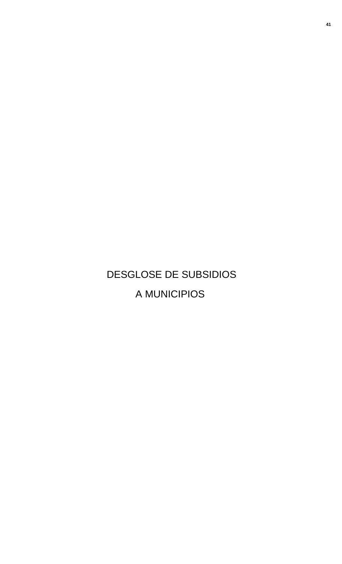# DESGLOSE DE SUBSIDIOS A MUNICIPIOS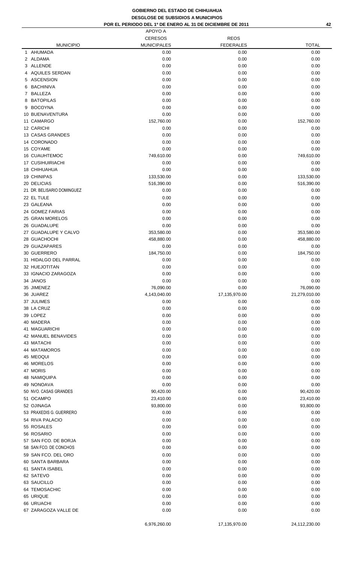### **GOBIERNO DEL ESTADO DE CHIHUAHUA DESGLOSE DE SUBSIDIOS A MUNICIPIOS**

|  | POR EL PERIODO DEL 1º DE ENERO AL 31 DE DICIEMBRE DE 2011 |
|--|-----------------------------------------------------------|
|--|-----------------------------------------------------------|

| <b>DESGLOSE DE SUBSIDIOS A MUNICIPIOS</b>                       |                    |                  |              |  |  |
|-----------------------------------------------------------------|--------------------|------------------|--------------|--|--|
| POR EL PERIODO DEL 1º DE ENERO AL 31 DE DICIEMBRE DE 2011<br>42 |                    |                  |              |  |  |
|                                                                 | APOYO A            |                  |              |  |  |
|                                                                 | <b>CERESOS</b>     | <b>REOS</b>      |              |  |  |
| <b>MUNICIPIO</b>                                                | <b>MUNICIPALES</b> | <b>FEDERALES</b> | <b>TOTAL</b> |  |  |
| 1 AHUMADA                                                       | 0.00               | 0.00             | 0.00         |  |  |
| 2 ALDAMA                                                        | 0.00               | 0.00             | 0.00         |  |  |
| 3 ALLENDE                                                       | 0.00               | 0.00             | 0.00         |  |  |
| 4 AQUILES SERDAN                                                | 0.00               | 0.00             | 0.00         |  |  |
| 5 ASCENSION                                                     | 0.00               | 0.00             | 0.00         |  |  |
| 6 BACHINIVA                                                     | 0.00               | 0.00             | 0.00         |  |  |
| 7 BALLEZA                                                       | 0.00               | 0.00             | 0.00         |  |  |
| 8 BATOPILAS                                                     | 0.00               | 0.00             | 0.00         |  |  |
| 9 BOCOYNA                                                       | 0.00               | 0.00             | 0.00         |  |  |
| <b>10 BUENAVENTURA</b>                                          | 0.00               | 0.00             | 0.00         |  |  |
| 11 CAMARGO                                                      | 152,760.00         | 0.00             | 152,760.00   |  |  |
| <b>2 CARICHI</b>                                                | 0.00               | 0.00             | 0.00         |  |  |
| <b>3 CASAS GRANDES</b>                                          | 0.00               | 0.00             | 0.00         |  |  |
| <b>4 CORONADO</b>                                               | 0.00               | 0.00             | 0.00         |  |  |
| <b>5 COYAME</b>                                                 | 0.00               | 0.00             | 0.00         |  |  |
| <b>6 CUAUHTEMOC</b>                                             | 749,610.00         | 0.00             | 749,610.00   |  |  |
| I7 CUSIHUIRIACHI                                                | 0.00               | 0.00             | 0.00         |  |  |
| 18 CHIHUAHUA                                                    | 0.00               | 0.00             | 0.00         |  |  |
| <b>9 CHINIPAS</b>                                               | 133,530.00         | 0.00             | 133,530.00   |  |  |
| 20 DELICIAS                                                     | 516,390.00         | 0.00             | 516,390.00   |  |  |
| 21 DR. BELISARIO DOMINGUEZ                                      | 0.00               | 0.00             | 0.00         |  |  |
| 22 EL TULE                                                      | 0.00               | 0.00             | 0.00         |  |  |
| 23 GALEANA                                                      | 0.00               | 0.00             | 0.00         |  |  |
| 24 GOMEZ FARIAS                                                 | 0.00               | 0.00             | 0.00         |  |  |
|                                                                 |                    |                  |              |  |  |

| 3 ALLENDE                          | 0.00         | 0.00          | 0.00          |
|------------------------------------|--------------|---------------|---------------|
| 4 AQUILES SERDAN                   | 0.00         | 0.00          | 0.00          |
| 5 ASCENSION                        | 0.00         | 0.00          | 0.00          |
| 6 BACHINIVA                        | 0.00         | 0.00          | 0.00          |
| 7 BALLEZA                          | 0.00         | 0.00          | 0.00          |
| 8 BATOPILAS                        | 0.00         | 0.00          | 0.00          |
|                                    |              |               |               |
| 9 BOCOYNA                          | 0.00         | 0.00          | 0.00          |
| 10 BUENAVENTURA                    | 0.00         | 0.00          | 0.00          |
| 11 CAMARGO                         | 152,760.00   | 0.00          | 152,760.00    |
| 12 CARICHI                         | 0.00         | 0.00          | 0.00          |
| 13 CASAS GRANDES                   | 0.00         | 0.00          | 0.00          |
| 14 CORONADO                        | 0.00         | 0.00          | 0.00          |
| 15 COYAME                          | 0.00         | 0.00          | 0.00          |
| <b>16 CUAUHTEMOC</b>               | 749,610.00   | 0.00          | 749,610.00    |
| 17 CUSIHUIRIACHI                   |              | 0.00          | 0.00          |
|                                    | 0.00         |               |               |
| <b>18 CHIHUAHUA</b>                | 0.00         | 0.00          | 0.00          |
| 19 CHINIPAS                        | 133,530.00   | 0.00          | 133,530.00    |
| 20 DELICIAS                        | 516,390.00   | 0.00          | 516,390.00    |
| 21 DR. BELISARIO DOMINGUEZ         | 0.00         | 0.00          | 0.00          |
| 22 EL TULE                         | 0.00         | 0.00          | 0.00          |
| 23 GALEANA                         | 0.00         | 0.00          | 0.00          |
| 24 GOMEZ FARIAS                    | 0.00         | 0.00          | 0.00          |
| 25 GRAN MORELOS                    | 0.00         | 0.00          | 0.00          |
|                                    |              |               |               |
| 26 GUADALUPE                       | 0.00         | 0.00          | 0.00          |
| 27 GUADALUPE Y CALVO               | 353,580.00   | 0.00          | 353,580.00    |
| 28 GUACHOCHI                       | 458,880.00   | 0.00          | 458,880.00    |
| 29 GUAZAPARES                      | 0.00         | 0.00          | 0.00          |
| 30 GUERRERO                        | 184,750.00   | 0.00          | 184,750.00    |
| 31 HIDALGO DEL PARRAL              | 0.00         | 0.00          | 0.00          |
| 32 HUEJOTITAN                      | 0.00         | 0.00          | 0.00          |
| 33 IGNACIO ZARAGOZA                | 0.00         | 0.00          | 0.00          |
|                                    |              |               |               |
|                                    |              |               |               |
| 34 JANOS                           | 0.00         | 0.00          | 0.00          |
| 35 JIMENEZ                         | 76,090.00    | 0.00          | 76,090.00     |
| 36 JUAREZ                          | 4,143,040.00 | 17,135,970.00 | 21,279,010.00 |
| 37 JULIMES                         | 0.00         | 0.00          | 0.00          |
| 38 LA CRUZ                         | 0.00         | 0.00          | 0.00          |
| 39 LOPEZ                           | 0.00         | 0.00          | 0.00          |
| 40 MADERA                          |              |               |               |
|                                    | 0.00         | 0.00          | 0.00          |
| 41 MAGUARICHI                      | 0.00         | 0.00          | 0.00          |
| 42 MANUEL BENAVIDES                | 0.00         | 0.00          | 0.00          |
| 43 MATACHI                         | 0.00         | 0.00          | 0.00          |
| 44 MATAMOROS                       | 0.00         | 0.00          | 0.00          |
| 45 MEOQUI                          | 0.00         | 0.00          | 0.00          |
| 46 MORELOS                         | 0.00         | 0.00          | 0.00          |
| 47 MORIS                           | 0.00         | 0.00          | 0.00          |
| 48 NAMIQUIPA                       | 0.00         | 0.00          | 0.00          |
| 49 NONOAVA                         |              |               |               |
|                                    | 0.00         | 0.00          | 0.00          |
| 50 NVO. CASAS GRANDES              | 90,420.00    | 0.00          | 90,420.00     |
| 51 OCAMPO                          | 23,410.00    | 0.00          | 23,410.00     |
| 52 OJINAGA                         | 93,800.00    | 0.00          | 93,800.00     |
| 53 PRAXEDIS G. GUERRERO            | 0.00         | 0.00          | 0.00          |
| 54 RIVA PALACIO                    | 0.00         | 0.00          | 0.00          |
| 55 ROSALES                         | 0.00         | 0.00          | 0.00          |
| 56 ROSARIO                         | 0.00         |               | 0.00          |
|                                    |              | 0.00          |               |
| 57 SAN FCO. DE BORJA               | 0.00         | 0.00          | 0.00          |
| 58 SAN FCO. DE CONCHOS             | 0.00         | 0.00          | 0.00          |
| 59 SAN FCO. DEL ORO                | 0.00         | 0.00          | 0.00          |
| 60 SANTA BARBARA                   | 0.00         | 0.00          | 0.00          |
| 61 SANTA ISABEL                    | 0.00         | 0.00          | 0.00          |
| 62 SATEVO                          | 0.00         | 0.00          | 0.00          |
| 63 SAUCILLO                        | 0.00         | 0.00          | 0.00          |
| 64 TEMOSACHIC                      |              |               | 0.00          |
|                                    | 0.00         | 0.00          |               |
| 65 URIQUE                          | 0.00         | 0.00          | 0.00          |
| 66 URUACHI<br>67 ZARAGOZA VALLE DE | 0.00<br>0.00 | 0.00<br>0.00  | 0.00<br>0.00  |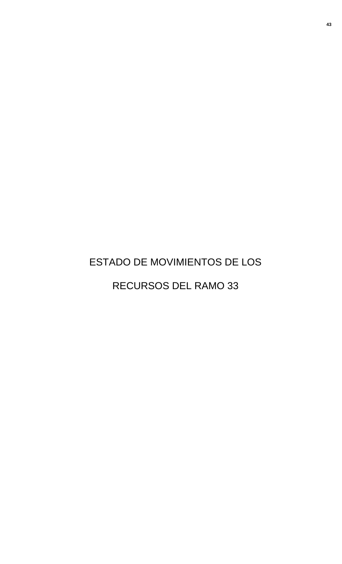# ESTADO DE MOVIMIENTOS DE LOS RECURSOS DEL RAMO 33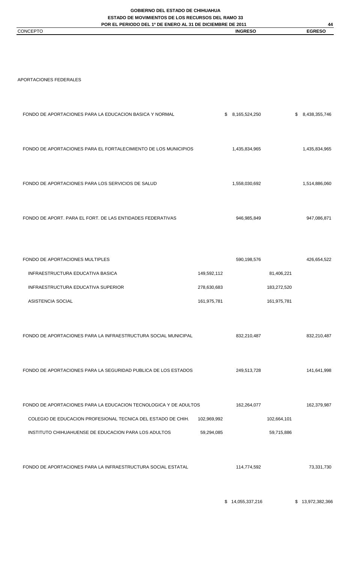**GOBIERNO DEL ESTADO DE CHIHUAHUA**

**ESTADO DE MOVIMIENTOS DE LOS RECURSOS DEL RAMO 33 POR EL PERIODO DEL 1º DE ENERO AL 31 DE DICIEMBRE DE 2011**

FONDO DE APORTACIONES PARA LA EDUCACION BASICA Y NORMAL  $$8,165,524,250$   $$8,465,524,250$ 

**44** CONCEPTO **INGRESO EGRESO**

APORTACIONES FEDERALES

| FONDO DE APORTACIONES PARA EL FORTALECIMIENTO DE LOS MUNICIPIOS |             | 1,435,834,965 |             | 1,435,834,965 |
|-----------------------------------------------------------------|-------------|---------------|-------------|---------------|
| FONDO DE APORTACIONES PARA LOS SERVICIOS DE SALUD               |             | 1,558,030,692 |             | 1,514,886,060 |
| FONDO DE APORT. PARA EL FORT. DE LAS ENTIDADES FEDERATIVAS      |             | 946,985,849   |             | 947,086,871   |
|                                                                 |             |               |             |               |
| FONDO DE APORTACIONES MULTIPLES                                 |             | 590,198,576   |             | 426,654,522   |
| INFRAESTRUCTURA EDUCATIVA BASICA                                | 149,592,112 |               | 81,406,221  |               |
| INFRAESTRUCTURA EDUCATIVA SUPERIOR                              | 278,630,683 |               | 183,272,520 |               |
| <b>ASISTENCIA SOCIAL</b>                                        | 161,975,781 |               | 161,975,781 |               |
|                                                                 |             |               |             |               |
| FONDO DE APORTACIONES PARA LA INFRAESTRUCTURA SOCIAL MUNICIPAL  |             | 832,210,487   |             | 832,210,487   |
| FONDO DE APORTACIONES PARA LA SEGURIDAD PUBLICA DE LOS ESTADOS  |             | 249,513,728   |             | 141,641,998   |

FONDO DE APORTACIONES PARA LA EDUCACION TECNOLOGICA Y DE ADULTOS 162,264,077 162,379,987 COLEGIO DE EDUCACION PROFESIONAL TECNICA DEL ESTADO DE CHIH. 102,969,992 102,664,101 INSTITUTO CHIHUAHUENSE DE EDUCACION PARA LOS ADULTOS 69,294,085 59,715,886

FONDO DE APORTACIONES PARA LA INFRAESTRUCTURA SOCIAL ESTATAL 114,774,592 73,331,730 73,331,730

\$ 14,055,337,216 \$ 13,972,382,366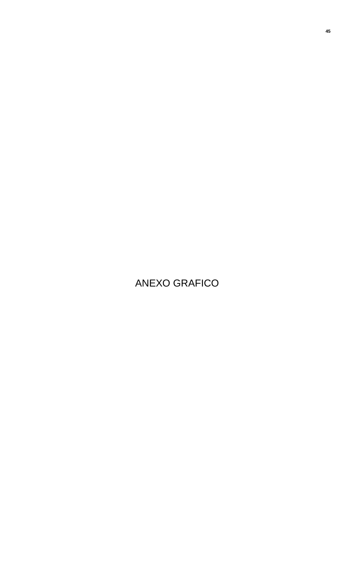## ANEXO GRAFICO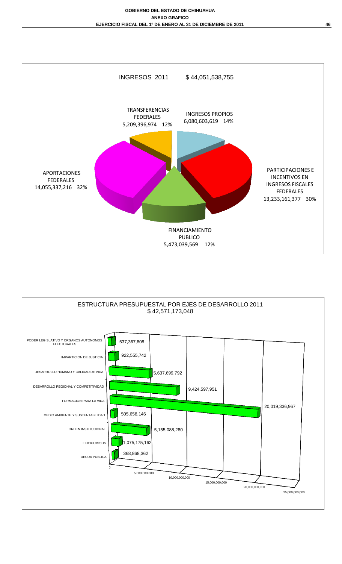

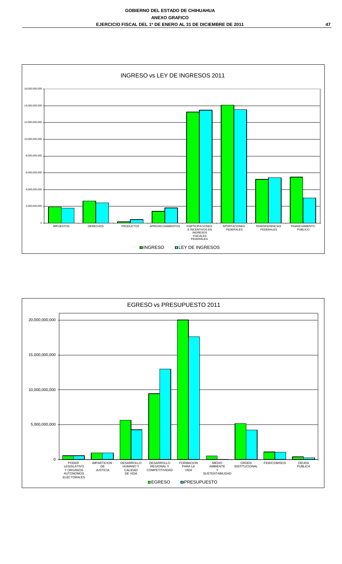

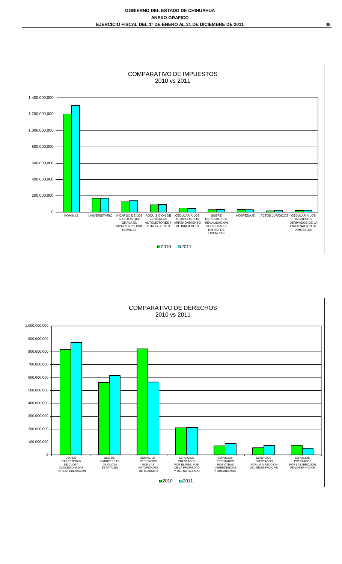

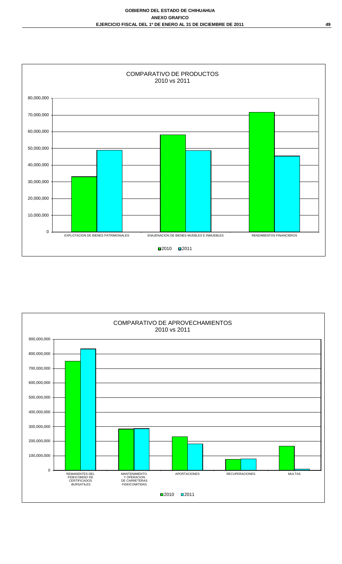

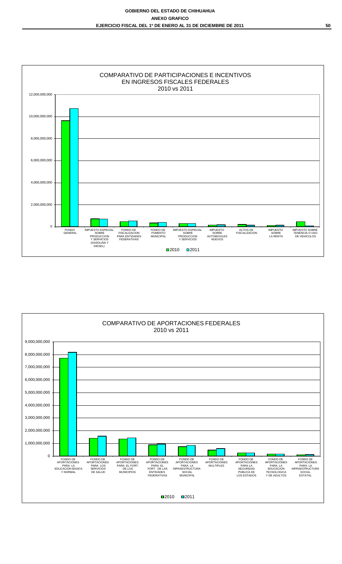

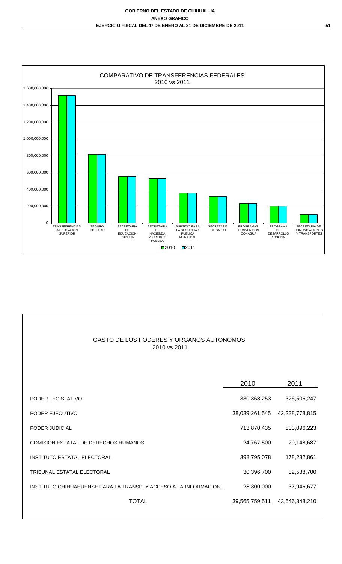

| GASTO DE LOS PODERES Y ORGANOS AUTONOMOS<br>2010 vs 2011         |                |                |
|------------------------------------------------------------------|----------------|----------------|
|                                                                  | 2010           | 2011           |
| PODER LEGISLATIVO                                                | 330, 368, 253  | 326,506,247    |
| PODER EJECUTIVO                                                  | 38,039,261,545 | 42,238,778,815 |
| PODER JUDICIAL                                                   | 713,870,435    | 803,096,223    |
| <b>COMISION ESTATAL DE DERECHOS HUMANOS</b>                      | 24,767,500     | 29,148,687     |
| <b>INSTITUTO ESTATAL ELECTORAL</b>                               | 398,795,078    | 178,282,861    |
| <b>TRIBUNAL ESTATAL ELECTORAL</b>                                | 30,396,700     | 32,588,700     |
| INSTITUTO CHIHUAHUENSE PARA LA TRANSP. Y ACCESO A LA INFORMACION | 28,300,000     | 37,946,677     |
| <b>TOTAL</b>                                                     | 39,565,759,511 | 43,646,348,210 |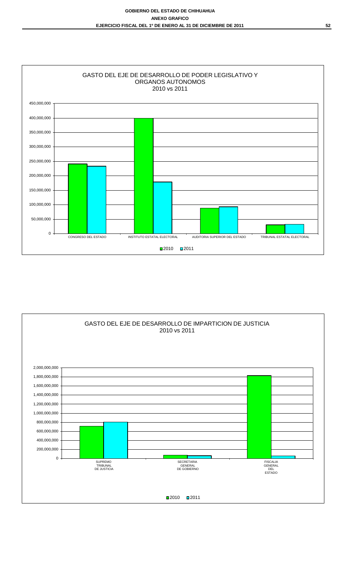

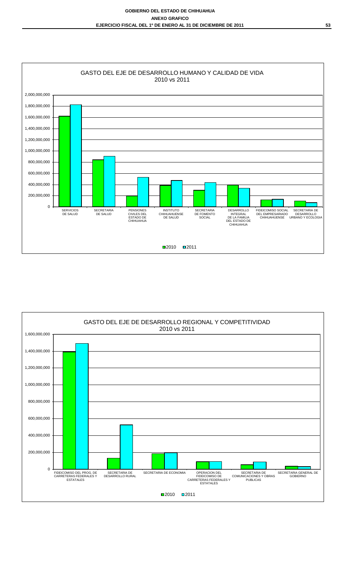

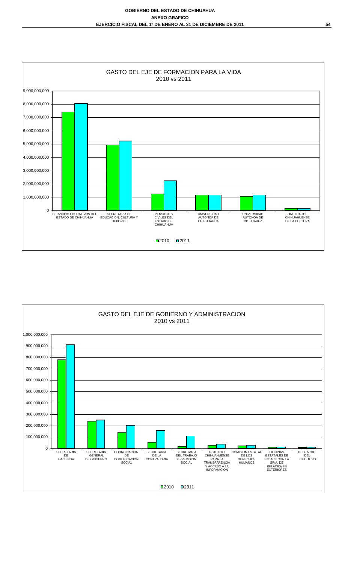

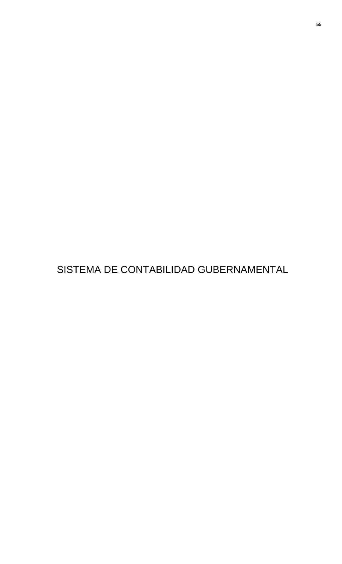SISTEMA DE CONTABILIDAD GUBERNAMENTAL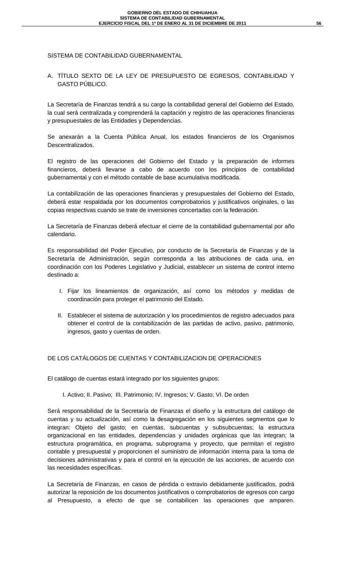### SISTEMA DE CONTABILIDAD GUBERNAMENTAL

A. TÍTULO SEXTO DE LA LEY DE PRESUPUESTO DE EGRESOS, CONTABILIDAD Y GASTO PÚBLICO.

La Secretaría de Finanzas tendrá a su cargo la contabilidad general del Gobierno del Estado, la cual será centralizada y comprenderá la captación y registro de las operaciones financieras y presupuestales de las Entidades y Dependencias.

Se anexarán a la Cuenta Pública Anual, los estados financieros de los Organismos Descentralizados.

El registro de las operaciones del Gobierno del Estado y la preparación de informes financieros, deberá llevarse a cabo de acuerdo con los principios de contabilidad gubernamental y con el método contable de base acumulativa modificada.

La contabilización de las operaciones financieras y presupuestales del Gobierno del Estado, deberá estar respaldada por los documentos comprobatorios y justificativos originales, o las copias respectivas cuando se trate de inversiones concertadas con la federación.

La Secretaría de Finanzas deberá efectuar el cierre de la contabilidad gubernamental por año calendario.

Es responsabilidad del Poder Ejecutivo, por conducto de la Secretaría de Finanzas y de la Secretaría de Administración, según corresponda a las atribuciones de cada una, en coordinación con los Poderes Legislativo y Judicial, establecer un sistema de control interno destinado a:

- I. Fijar los lineamientos de organización, así como los métodos y medidas de coordinación para proteger el patrimonio del Estado.
- II. Establecer el sistema de autorización y los procedimientos de registro adecuados para obtener el control de la contabilización de las partidas de activo, pasivo, patrimonio, ingresos, gasto y cuentas de orden.

DE LOS CATÁLOGOS DE CUENTAS Y CONTABILIZACION DE OPERACIONES

El catálogo de cuentas estará integrado por los siguientes grupos:

I. Activo; II. Pasivo; III. Patrimonio; IV. Ingresos; V. Gasto; VI. De orden

Será responsabilidad de la Secretaría de Finanzas el diseño y la estructura del catálogo de cuentas y su actualización, así como la desagregación en los siguientes segmentos que lo integran: Objeto del gasto; en cuentas, subcuentas y subsubcuentas; la estructura organizacional en las entidades, dependencias y unidades orgánicas que las integran; la estructura programática, en programa, subprograma y proyecto, que permitan el registro contable y presupuestal y proporcionen el suministro de información interna para la toma de decisiones administrativas y para el control en la ejecución de las acciones, de acuerdo con las necesidades específicas.

La Secretaría de Finanzas, en casos de pérdida o extravío debidamente justificados, podrá autorizar la reposición de los documentos justificativos o comprobatorios de egresos con cargo al Presupuesto, a efecto de que se contabilicen las operaciones que amparen.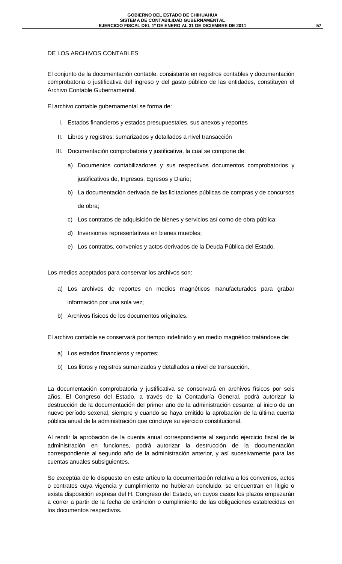### DE LOS ARCHIVOS CONTABLES

El conjunto de la documentación contable, consistente en registros contables y documentación comprobatoria o justificativa del ingreso y del gasto público de las entidades, constituyen el Archivo Contable Gubernamental.

El archivo contable gubernamental se forma de:

- I. Estados financieros y estados presupuestales, sus anexos y reportes
- II. Libros y registros; sumarizados y detallados a nivel transacción
- III. Documentación comprobatoria y justificativa, la cual se compone de:
	- a) Documentos contabilizadores y sus respectivos documentos comprobatorios y justificativos de, Ingresos, Egresos y Diario;
	- b) La documentación derivada de las licitaciones públicas de compras y de concursos de obra;
	- c) Los contratos de adquisición de bienes y servicios así como de obra pública;
	- d) Inversiones representativas en bienes muebles;
	- e) Los contratos, convenios y actos derivados de la Deuda Pública del Estado.

Los medios aceptados para conservar los archivos son:

- a) Los archivos de reportes en medios magnéticos manufacturados para grabar información por una sola vez;
- b) Archivos físicos de los documentos originales.

El archivo contable se conservará por tiempo indefinido y en medio magnético tratándose de:

- a) Los estados financieros y reportes;
- b) Los libros y registros sumarizados y detallados a nivel de transacción.

La documentación comprobatoria y justificativa se conservará en archivos físicos por seis años. El Congreso del Estado, a través de la Contaduría General, podrá autorizar la destrucción de la documentación del primer año de la administración cesante, al inicio de un nuevo período sexenal, siempre y cuando se haya emitido la aprobación de la última cuenta pública anual de la administración que concluye su ejercicio constitucional.

Al rendir la aprobación de la cuenta anual correspondiente al segundo ejercicio fiscal de la administración en funciones, podrá autorizar la destrucción de la documentación correspondiente al segundo año de la administración anterior, y así sucesivamente para las cuentas anuales subsiguientes.

Se exceptúa de lo dispuesto en este artículo la documentación relativa a los convenios, actos o contratos cuya vigencia y cumplimiento no hubieran concluido, se encuentran en litigio o exista disposición expresa del H. Congreso del Estado, en cuyos casos los plazos empezarán a correr a partir de la fecha de extinción o cumplimiento de las obligaciones establecidas en los documentos respectivos.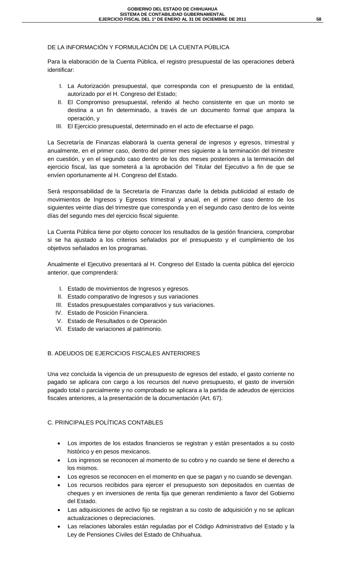### DE LA INFORMACIÓN Y FORMULACIÓN DE LA CUENTA PÚBLICA

Para la elaboración de la Cuenta Pública, el registro presupuestal de las operaciones deberá identificar:

- I. La Autorización presupuestal, que corresponda con el presupuesto de la entidad, autorizado por el H. Congreso del Estado;
- II. El Compromiso presupuestal, referido al hecho consistente en que un monto se destina a un fin determinado, a través de un documento formal que ampara la operación, y
- III. El Ejercicio presupuestal, determinado en el acto de efectuarse el pago*.*

La Secretaría de Finanzas elaborará la cuenta general de ingresos y egresos, trimestral y anualmente, en el primer caso, dentro del primer mes siguiente a la terminación del trimestre en cuestión, y en el segundo caso dentro de los dos meses posteriores a la terminación del ejercicio fiscal, las que someterá a la aprobación del Titular del Ejecutivo a fin de que se envíen oportunamente al H. Congreso del Estado.

Será responsabilidad de la Secretaría de Finanzas darle la debida publicidad al estado de movimientos de Ingresos y Egresos trimestral y anual, en el primer caso dentro de los siguientes veinte días del trimestre que corresponda y en el segundo caso dentro de los veinte días del segundo mes del ejercicio fiscal siguiente.

La Cuenta Pública tiene por objeto conocer los resultados de la gestión financiera, comprobar si se ha ajustado a los criterios señalados por el presupuesto y el cumplimiento de los objetivos señalados en los programas.

Anualmente el Ejecutivo presentará al H. Congreso del Estado la cuenta pública del ejercicio anterior, que comprenderá:

- I. Estado de movimientos de Ingresos y egresos.
- II. Estado comparativo de Ingresos y sus variaciones
- III. Estados presupuestales comparativos y sus variaciones.
- IV. Estado de Posición Financiera.
- V. Estado de Resultados o de Operación
- VI. Estado de variaciones al patrimonio.

### B. ADEUDOS DE EJERCICIOS FISCALES ANTERIORES

Una vez concluida la vigencia de un presupuesto de egresos del estado, el gasto corriente no pagado se aplicara con cargo a los recursos del nuevo presupuesto, el gasto de inversión pagado total o parcialmente y no comprobado se aplicara a la partida de adeudos de ejercicios fiscales anteriores, a la presentación de la documentación (Art. 67).

### C. PRINCIPALES POLÍTICAS CONTABLES

- Los importes de los estados financieros se registran y están presentados a su costo histórico y en pesos mexicanos.
- Los ingresos se reconocen al momento de su cobro y no cuando se tiene el derecho a los mismos.
- Los egresos se reconocen en el momento en que se pagan y no cuando se devengan.
- Los recursos recibidos para ejercer el presupuesto son depositados en cuentas de cheques y en inversiones de renta fija que generan rendimiento a favor del Gobierno del Estado.
- Las adquisiciones de activo fijo se registran a su costo de adquisición y no se aplican actualizaciones o depreciaciones.
- Las relaciones laborales están reguladas por el Código Administrativo del Estado y la Ley de Pensiones Civiles del Estado de Chihuahua.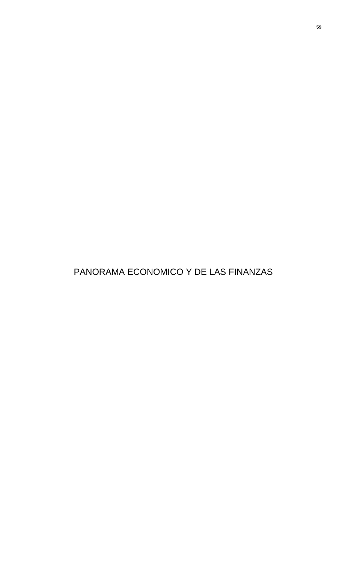PANORAMA ECONOMICO Y DE LAS FINANZAS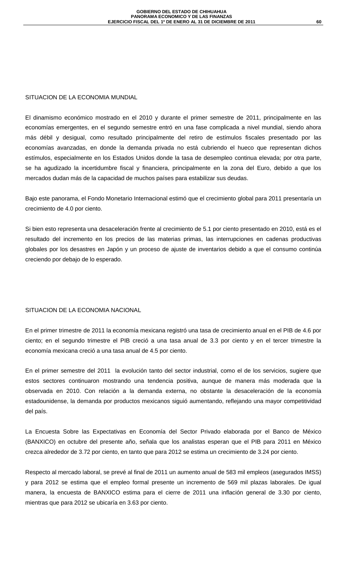### SITUACION DE LA ECONOMIA MUNDIAL

El dinamismo económico mostrado en el 2010 y durante el primer semestre de 2011, principalmente en las economías emergentes, en el segundo semestre entró en una fase complicada a nivel mundial, siendo ahora más débil y desigual, como resultado principalmente del retiro de estímulos fiscales presentado por las economías avanzadas, en donde la demanda privada no está cubriendo el hueco que representan dichos estímulos, especialmente en los Estados Unidos donde la tasa de desempleo continua elevada; por otra parte, se ha agudizado la incertidumbre fiscal y financiera, principalmente en la zona del Euro, debido a que los mercados dudan más de la capacidad de muchos países para estabilizar sus deudas.

Bajo este panorama, el Fondo Monetario Internacional estimó que el crecimiento global para 2011 presentaría un crecimiento de 4.0 por ciento.

Si bien esto representa una desaceleración frente al crecimiento de 5.1 por ciento presentado en 2010, está es el resultado del incremento en los precios de las materias primas, las interrupciones en cadenas productivas globales por los desastres en Japón y un proceso de ajuste de inventarios debido a que el consumo continúa creciendo por debajo de lo esperado.

### SITUACION DE LA ECONOMIA NACIONAL

En el primer trimestre de 2011 la economía mexicana registró una tasa de crecimiento anual en el PIB de 4.6 por ciento; en el segundo trimestre el PIB creció a una tasa anual de 3.3 por ciento y en el tercer trimestre la economía mexicana creció a una tasa anual de 4.5 por ciento.

En el primer semestre del 2011 la evolución tanto del sector industrial, como el de los servicios, sugiere que estos sectores continuaron mostrando una tendencia positiva, aunque de manera más moderada que la observada en 2010. Con relación a la demanda externa, no obstante la desaceleración de la economía estadounidense, la demanda por productos mexicanos siguió aumentando, reflejando una mayor competitividad del país.

La Encuesta Sobre las Expectativas en Economía del Sector Privado elaborada por el Banco de México (BANXICO) en octubre del presente año, señala que los analistas esperan que el PIB para 2011 en México crezca alrededor de 3.72 por ciento, en tanto que para 2012 se estima un crecimiento de 3.24 por ciento.

Respecto al mercado laboral, se prevé al final de 2011 un aumento anual de 583 mil empleos (asegurados IMSS) y para 2012 se estima que el empleo formal presente un incremento de 569 mil plazas laborales. De igual manera, la encuesta de BANXICO estima para el cierre de 2011 una inflación general de 3.30 por ciento, mientras que para 2012 se ubicaría en 3.63 por ciento.